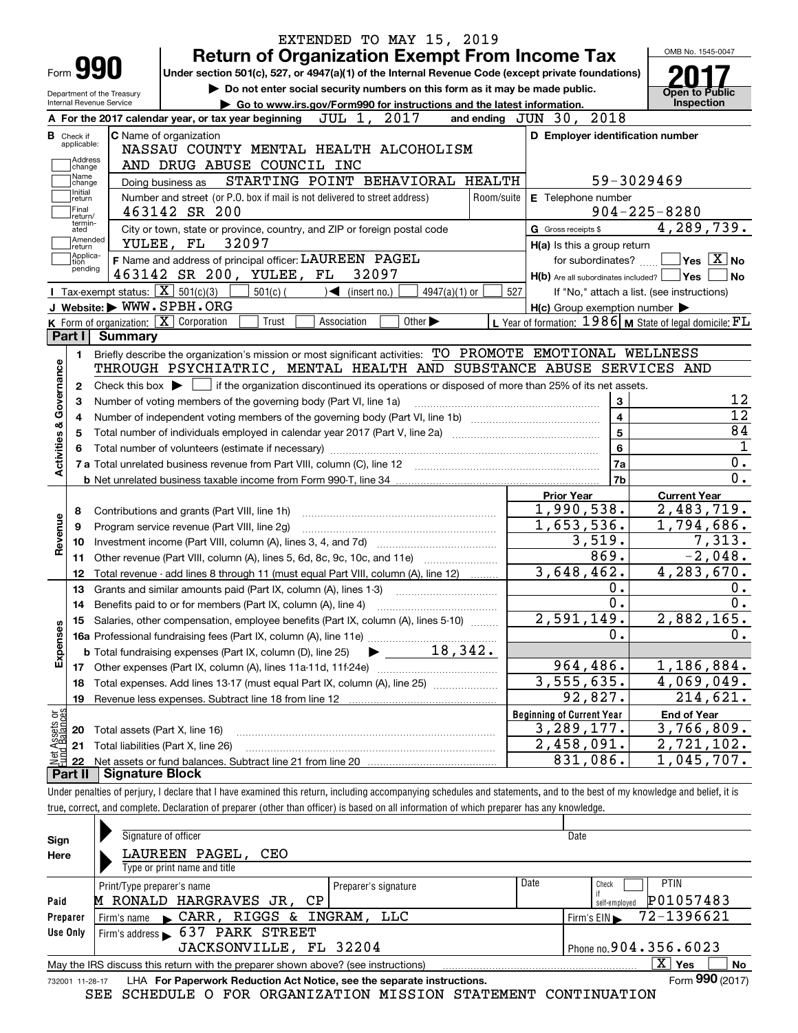|                                                                                       |                                                                                                                    |                            | EXTENDED TO MAY 15, 2019                                                                                                                                                   |                                                             | OMB No. 1545-0047                          |  |  |  |
|---------------------------------------------------------------------------------------|--------------------------------------------------------------------------------------------------------------------|----------------------------|----------------------------------------------------------------------------------------------------------------------------------------------------------------------------|-------------------------------------------------------------|--------------------------------------------|--|--|--|
| <b>Form 990</b>                                                                       |                                                                                                                    |                            | <b>Return of Organization Exempt From Income Tax</b><br>Under section 501(c), 527, or 4947(a)(1) of the Internal Revenue Code (except private foundations)                 |                                                             |                                            |  |  |  |
|                                                                                       |                                                                                                                    |                            |                                                                                                                                                                            |                                                             |                                            |  |  |  |
| Internal Revenue Service                                                              |                                                                                                                    | Department of the Treasury | Do not enter social security numbers on this form as it may be made public.<br>Go to www.irs.gov/Form990 for instructions and the latest information.                      |                                                             | <b>Open to Public</b><br>Inspection        |  |  |  |
|                                                                                       |                                                                                                                    |                            | JUL 1, 2017<br>A For the 2017 calendar year, or tax year beginning                                                                                                         | and ending JUN 30, 2018                                     |                                            |  |  |  |
| <b>B</b> Check if                                                                     |                                                                                                                    |                            | C Name of organization                                                                                                                                                     | D Employer identification number                            |                                            |  |  |  |
| applicable:                                                                           |                                                                                                                    |                            | NASSAU COUNTY MENTAL HEALTH ALCOHOLISM                                                                                                                                     |                                                             |                                            |  |  |  |
|                                                                                       | Address<br>AND DRUG ABUSE COUNCIL INC<br>change                                                                    |                            |                                                                                                                                                                            |                                                             |                                            |  |  |  |
| Name<br>STARTING POINT BEHAVIORAL HEALTH<br>59-3029469<br>Doing business as<br>change |                                                                                                                    |                            |                                                                                                                                                                            |                                                             |                                            |  |  |  |
|                                                                                       | Initial<br>return                                                                                                  |                            | Number and street (or P.O. box if mail is not delivered to street address)<br>Room/suite                                                                                   | E Telephone number                                          |                                            |  |  |  |
| Final                                                                                 | return/                                                                                                            |                            | 463142 SR 200                                                                                                                                                              |                                                             | $904 - 225 - 8280$                         |  |  |  |
|                                                                                       | termin-<br>City or town, state or province, country, and ZIP or foreign postal code<br>G Gross receipts \$<br>ated |                            |                                                                                                                                                                            |                                                             |                                            |  |  |  |
|                                                                                       | Amended<br> return                                                                                                 |                            | 32097<br>YULEE, FL                                                                                                                                                         | H(a) Is this a group return                                 |                                            |  |  |  |
| tion                                                                                  | Applica-                                                                                                           |                            | F Name and address of principal officer: LAUREEN PAGEL                                                                                                                     | for subordinates?                                           | $\sqrt{}$ Yes $\sqrt{}$ X $\sqrt{}$ No     |  |  |  |
|                                                                                       | pending                                                                                                            |                            | 463142 SR 200, YULEE, FL<br>32097                                                                                                                                          | $H(b)$ Are all subordinates included? $\Box$ Yes $\Box$     | <b>No</b>                                  |  |  |  |
|                                                                                       |                                                                                                                    |                            | Tax-exempt status: $\boxed{\mathbf{X}}$ 501(c)(3)<br>$501(c)$ (<br>$\rightarrow$<br>$4947(a)(1)$ or<br>(insert no.)                                                        | 527                                                         | If "No," attach a list. (see instructions) |  |  |  |
|                                                                                       |                                                                                                                    |                            | J Website: WWW.SPBH.ORG                                                                                                                                                    | $H(c)$ Group exemption number $\blacktriangleright$         |                                            |  |  |  |
|                                                                                       |                                                                                                                    |                            | K Form of organization: X Corporation<br>Other $\blacktriangleright$<br>Trust<br>Association                                                                               | L Year of formation: $1986$ M State of legal domicile: $FL$ |                                            |  |  |  |
| Part I I                                                                              |                                                                                                                    | <b>Summary</b>             |                                                                                                                                                                            |                                                             |                                            |  |  |  |
|                                                                                       | 1.                                                                                                                 |                            | Briefly describe the organization's mission or most significant activities: TO PROMOTE EMOTIONAL WELLNESS                                                                  |                                                             |                                            |  |  |  |
|                                                                                       |                                                                                                                    |                            | THROUGH PSYCHIATRIC, MENTAL HEALTH AND SUBSTANCE ABUSE SERVICES AND                                                                                                        |                                                             |                                            |  |  |  |
| Governance<br>$\mathbf{2}$                                                            |                                                                                                                    |                            | Check this box $\blacktriangleright$ $\blacksquare$ if the organization discontinued its operations or disposed of more than 25% of its net assets.                        |                                                             |                                            |  |  |  |
| 3                                                                                     |                                                                                                                    |                            | Number of voting members of the governing body (Part VI, line 1a)                                                                                                          | 3                                                           | 12                                         |  |  |  |
| 4                                                                                     |                                                                                                                    |                            |                                                                                                                                                                            | 4                                                           | $\overline{12}$                            |  |  |  |
| 5                                                                                     |                                                                                                                    |                            |                                                                                                                                                                            | 5                                                           | 84                                         |  |  |  |
| <b>Activities &amp;</b><br>6                                                          |                                                                                                                    |                            |                                                                                                                                                                            | 6                                                           | $\mathbf 1$                                |  |  |  |
|                                                                                       |                                                                                                                    |                            | 7 a Total unrelated business revenue from Part VIII, column (C), line 12                                                                                                   | 7a                                                          | 0.                                         |  |  |  |
|                                                                                       |                                                                                                                    |                            |                                                                                                                                                                            | 7 <sub>b</sub>                                              | 0.                                         |  |  |  |
|                                                                                       |                                                                                                                    |                            |                                                                                                                                                                            | <b>Prior Year</b>                                           | <b>Current Year</b>                        |  |  |  |
| 8                                                                                     |                                                                                                                    |                            | Contributions and grants (Part VIII, line 1h)                                                                                                                              | 1,990,538.                                                  | 2,483,719.                                 |  |  |  |
| 9                                                                                     |                                                                                                                    |                            | Program service revenue (Part VIII, line 2g)                                                                                                                               | 1,653,536.                                                  | 1,794,686.                                 |  |  |  |
| Revenue<br>10                                                                         |                                                                                                                    |                            |                                                                                                                                                                            | 3,519.                                                      | 7,313.                                     |  |  |  |
| 11                                                                                    |                                                                                                                    |                            | Other revenue (Part VIII, column (A), lines 5, 6d, 8c, 9c, 10c, and 11e)                                                                                                   | 869.                                                        | $-2,048.$                                  |  |  |  |
| 12                                                                                    |                                                                                                                    |                            | Total revenue - add lines 8 through 11 (must equal Part VIII, column (A), line 12)                                                                                         | $\overline{3}$ , 648, 462.                                  | 4,283,670.                                 |  |  |  |
| 13                                                                                    |                                                                                                                    |                            | Grants and similar amounts paid (Part IX, column (A), lines 1-3)                                                                                                           | 0.                                                          | 0.                                         |  |  |  |
| 14                                                                                    |                                                                                                                    |                            | Benefits paid to or for members (Part IX, column (A), line 4)                                                                                                              | 0.                                                          | 0.                                         |  |  |  |
| 15                                                                                    |                                                                                                                    |                            | Salaries, other compensation, employee benefits (Part IX, column (A), lines 5-10)                                                                                          | 2,591,149.                                                  | 2,882,165.                                 |  |  |  |
| Expenses                                                                              |                                                                                                                    |                            |                                                                                                                                                                            | 0.                                                          | 0.                                         |  |  |  |
|                                                                                       |                                                                                                                    |                            |                                                                                                                                                                            |                                                             |                                            |  |  |  |
| 17                                                                                    |                                                                                                                    |                            |                                                                                                                                                                            | 964,486.                                                    | 1,186,884.                                 |  |  |  |
| 18                                                                                    |                                                                                                                    |                            | Total expenses. Add lines 13-17 (must equal Part IX, column (A), line 25)                                                                                                  | $\overline{3,555,635}$ .                                    | 4,069,049.                                 |  |  |  |
| 19                                                                                    |                                                                                                                    |                            | Revenue less expenses. Subtract line 18 from line 12                                                                                                                       | 92,827.                                                     | 214,621.                                   |  |  |  |
|                                                                                       |                                                                                                                    |                            |                                                                                                                                                                            | <b>Beginning of Current Year</b>                            | <b>End of Year</b>                         |  |  |  |
| t Assets or<br>d Balances<br>20                                                       |                                                                                                                    |                            | Total assets (Part X, line 16)                                                                                                                                             | 3, 289, 177.                                                | 3,766,809.                                 |  |  |  |
| 21                                                                                    |                                                                                                                    |                            | Total liabilities (Part X, line 26)                                                                                                                                        | 2,458,091.                                                  | $\overline{2}$ , 721, 102.                 |  |  |  |
| 혏<br>22                                                                               |                                                                                                                    |                            |                                                                                                                                                                            | 831,086.                                                    | 1,045,707.                                 |  |  |  |
| Part II                                                                               |                                                                                                                    | <b>Signature Block</b>     |                                                                                                                                                                            |                                                             |                                            |  |  |  |
|                                                                                       |                                                                                                                    |                            | Under penalties of perjury, I declare that I have examined this return, including accompanying schedules and statements, and to the best of my knowledge and belief, it is |                                                             |                                            |  |  |  |
|                                                                                       |                                                                                                                    |                            | true, correct, and complete. Declaration of preparer (other than officer) is based on all information of which preparer has any knowledge.                                 |                                                             |                                            |  |  |  |
|                                                                                       |                                                                                                                    |                            |                                                                                                                                                                            |                                                             |                                            |  |  |  |
| Sian                                                                                  |                                                                                                                    |                            | Signature of officer                                                                                                                                                       | Date                                                        |                                            |  |  |  |

| Sign     | Signature of officer                                                                                         |                      | Date |                                     |  |  |  |  |  |
|----------|--------------------------------------------------------------------------------------------------------------|----------------------|------|-------------------------------------|--|--|--|--|--|
| Here     | LAUREEN PAGEL,<br>CEO                                                                                        |                      |      |                                     |  |  |  |  |  |
|          | Type or print name and title                                                                                 |                      |      |                                     |  |  |  |  |  |
|          | Print/Type preparer's name                                                                                   | Preparer's signature | Date | <b>PTIN</b><br>Check                |  |  |  |  |  |
| Paid     | M RONALD HARGRAVES JR, CP                                                                                    |                      |      | P01057483<br>self-emploved          |  |  |  |  |  |
| Preparer | Firm's name CARR, RIGGS & INGRAM, LLC                                                                        |                      |      | Firm's EIN $\rightarrow$ 72-1396621 |  |  |  |  |  |
| Use Only | Firm's address 637 PARK STREET                                                                               |                      |      |                                     |  |  |  |  |  |
|          | JACKSONVILLE, FL 32204                                                                                       |                      |      | Phone no. $904.356.6023$            |  |  |  |  |  |
|          | x.<br>No<br>May the IRS discuss this return with the preparer shown above? (see instructions)<br>Yes         |                      |      |                                     |  |  |  |  |  |
|          | Form 990 (2017)<br>LHA For Paperwork Reduction Act Notice, see the separate instructions.<br>732001 11-28-17 |                      |      |                                     |  |  |  |  |  |

|  |  |  |  | SEE SCHEDULE O FOR ORGANIZATION MISSION STATEMENT CONTINUATION |  |  |  |
|--|--|--|--|----------------------------------------------------------------|--|--|--|
|--|--|--|--|----------------------------------------------------------------|--|--|--|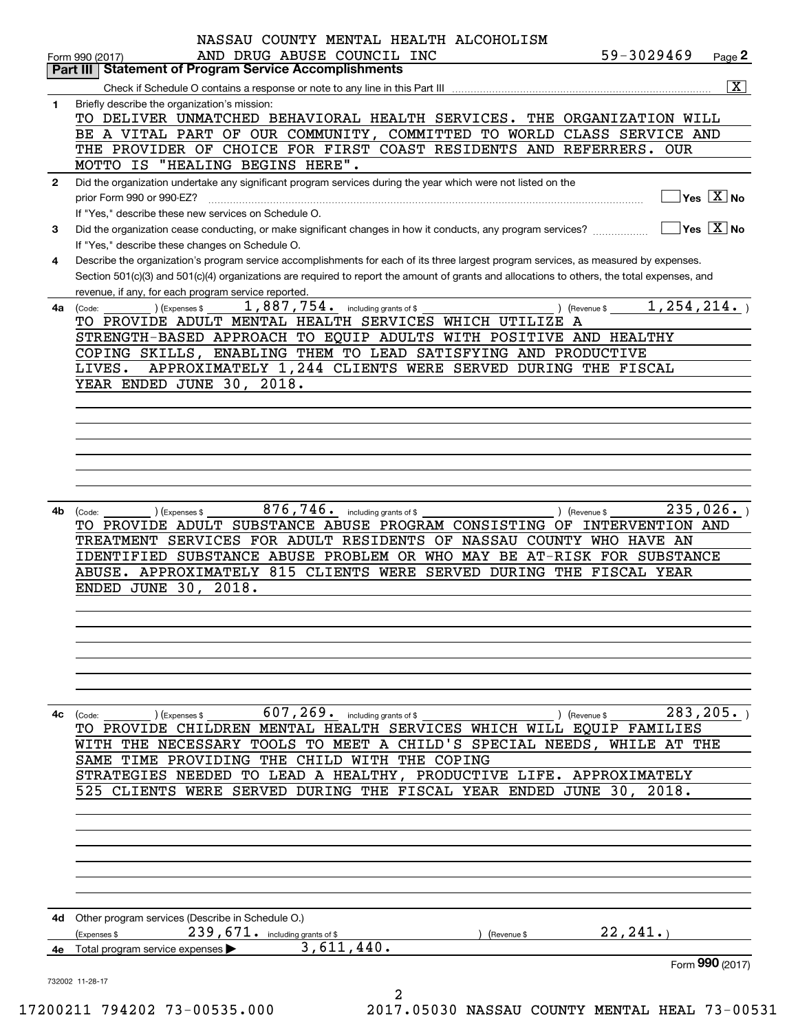|              | NASSAU COUNTY MENTAL HEALTH ALCOHOLISM                                                                                                       |                                         |                                             |
|--------------|----------------------------------------------------------------------------------------------------------------------------------------------|-----------------------------------------|---------------------------------------------|
|              | AND DRUG ABUSE COUNCIL INC<br>Form 990 (2017)                                                                                                | 59-3029469                              | Page 2                                      |
|              | <b>Statement of Program Service Accomplishments</b><br>Part III                                                                              |                                         |                                             |
|              |                                                                                                                                              |                                         | $\overline{\mathbf{x}}$                     |
| $\mathbf{1}$ | Briefly describe the organization's mission:                                                                                                 |                                         |                                             |
|              | TO DELIVER UNMATCHED BEHAVIORAL HEALTH SERVICES. THE ORGANIZATION WILL                                                                       |                                         |                                             |
|              | BE A VITAL PART OF OUR COMMUNITY, COMMITTED TO WORLD CLASS SERVICE AND                                                                       |                                         |                                             |
|              | THE PROVIDER OF CHOICE FOR FIRST COAST RESIDENTS AND REFERRERS. OUR<br>MOTTO IS "HEALING BEGINS HERE".                                       |                                         |                                             |
|              |                                                                                                                                              |                                         |                                             |
| $\mathbf{2}$ | Did the organization undertake any significant program services during the year which were not listed on the<br>prior Form 990 or 990-EZ?    |                                         | $\overline{\ }$ Yes $\overline{\rm \ }X$ No |
|              | If "Yes," describe these new services on Schedule O.                                                                                         |                                         |                                             |
| 3            | Did the organization cease conducting, or make significant changes in how it conducts, any program services?                                 |                                         | $\sqrt{}$ Yes $\sqrt{}$ X $\sqrt{}$ No      |
|              | If "Yes," describe these changes on Schedule O.                                                                                              |                                         |                                             |
| 4            | Describe the organization's program service accomplishments for each of its three largest program services, as measured by expenses.         |                                         |                                             |
|              | Section 501(c)(3) and 501(c)(4) organizations are required to report the amount of grants and allocations to others, the total expenses, and |                                         |                                             |
|              | revenue, if any, for each program service reported.                                                                                          |                                         |                                             |
| 4a           | $1,887,754$ $\cdot$ including grants of \$<br>) (Expenses \$<br>(Code:                                                                       | 1, 254, 214.<br>$($ Revenue \$ $\frac{$ |                                             |
|              | TO PROVIDE ADULT MENTAL HEALTH SERVICES WHICH UTILIZE                                                                                        | A                                       |                                             |
|              | STRENGTH-BASED APPROACH TO EQUIP ADULTS WITH POSITIVE AND HEALTHY                                                                            |                                         |                                             |
|              | COPING SKILLS, ENABLING THEM TO LEAD SATISFYING AND PRODUCTIVE                                                                               |                                         |                                             |
|              | APPROXIMATELY 1,244 CLIENTS WERE SERVED DURING THE FISCAL<br>LIVES.                                                                          |                                         |                                             |
|              | YEAR ENDED JUNE 30, 2018.                                                                                                                    |                                         |                                             |
|              |                                                                                                                                              |                                         |                                             |
|              |                                                                                                                                              |                                         |                                             |
|              |                                                                                                                                              |                                         |                                             |
|              |                                                                                                                                              |                                         |                                             |
|              |                                                                                                                                              |                                         |                                             |
|              |                                                                                                                                              |                                         |                                             |
|              |                                                                                                                                              |                                         |                                             |
| 4b           | $876$ , $746$ $\cdot$ including grants of \$<br>) (Expenses \$<br>(Code:                                                                     | ) (Revenue \$                           | 235,026.                                    |
|              | TO PROVIDE ADULT SUBSTANCE ABUSE PROGRAM CONSISTING OF INTERVENTION AND                                                                      |                                         |                                             |
|              | TREATMENT SERVICES FOR ADULT RESIDENTS OF NASSAU COUNTY WHO HAVE AN                                                                          |                                         |                                             |
|              | IDENTIFIED SUBSTANCE ABUSE PROBLEM OR WHO MAY BE AT-RISK FOR SUBSTANCE                                                                       |                                         |                                             |
|              | ABUSE. APPROXIMATELY 815 CLIENTS WERE SERVED DURING THE FISCAL YEAR                                                                          |                                         |                                             |
|              | ENDED JUNE 30, 2018.                                                                                                                         |                                         |                                             |
|              |                                                                                                                                              |                                         |                                             |
|              |                                                                                                                                              |                                         |                                             |
|              |                                                                                                                                              |                                         |                                             |
|              |                                                                                                                                              |                                         |                                             |
|              |                                                                                                                                              |                                         |                                             |
|              |                                                                                                                                              |                                         |                                             |
|              |                                                                                                                                              |                                         |                                             |
| 4c           | $607$ , $269$ or including grants of \$<br>(Expenses \$<br>(Code:                                                                            | ) (Revenue \$                           | 283, 205.                                   |
|              | TO PROVIDE CHILDREN MENTAL HEALTH SERVICES WHICH WILL EQUIP FAMILIES                                                                         |                                         |                                             |
|              | WITH THE NECESSARY TOOLS TO MEET A CHILD'S SPECIAL NEEDS, WHILE AT THE                                                                       |                                         |                                             |
|              | SAME TIME PROVIDING THE CHILD WITH THE COPING                                                                                                |                                         |                                             |
|              | STRATEGIES NEEDED TO LEAD A HEALTHY, PRODUCTIVE LIFE. APPROXIMATELY                                                                          |                                         |                                             |
|              | 525 CLIENTS WERE SERVED DURING THE FISCAL YEAR ENDED JUNE 30, 2018.                                                                          |                                         |                                             |
|              |                                                                                                                                              |                                         |                                             |
|              |                                                                                                                                              |                                         |                                             |
|              |                                                                                                                                              |                                         |                                             |
|              |                                                                                                                                              |                                         |                                             |
|              |                                                                                                                                              |                                         |                                             |
|              |                                                                                                                                              |                                         |                                             |
|              |                                                                                                                                              |                                         |                                             |
|              | 4d Other program services (Describe in Schedule O.)                                                                                          |                                         |                                             |
|              | 239, 671. including grants of \$<br>(Expenses \$<br>(Revenue \$                                                                              | 22, 241.                                |                                             |
| 4e -         | 3,611,440.<br>Total program service expenses                                                                                                 |                                         |                                             |
|              |                                                                                                                                              |                                         | Form 990 (2017)                             |
|              | 732002 11-28-17<br>2                                                                                                                         |                                         |                                             |
|              | $0.0211$ 704202.72.00525.000<br>2017 OEO20 NICCAII COUNTER MENTENT UEAT                                                                      |                                         |                                             |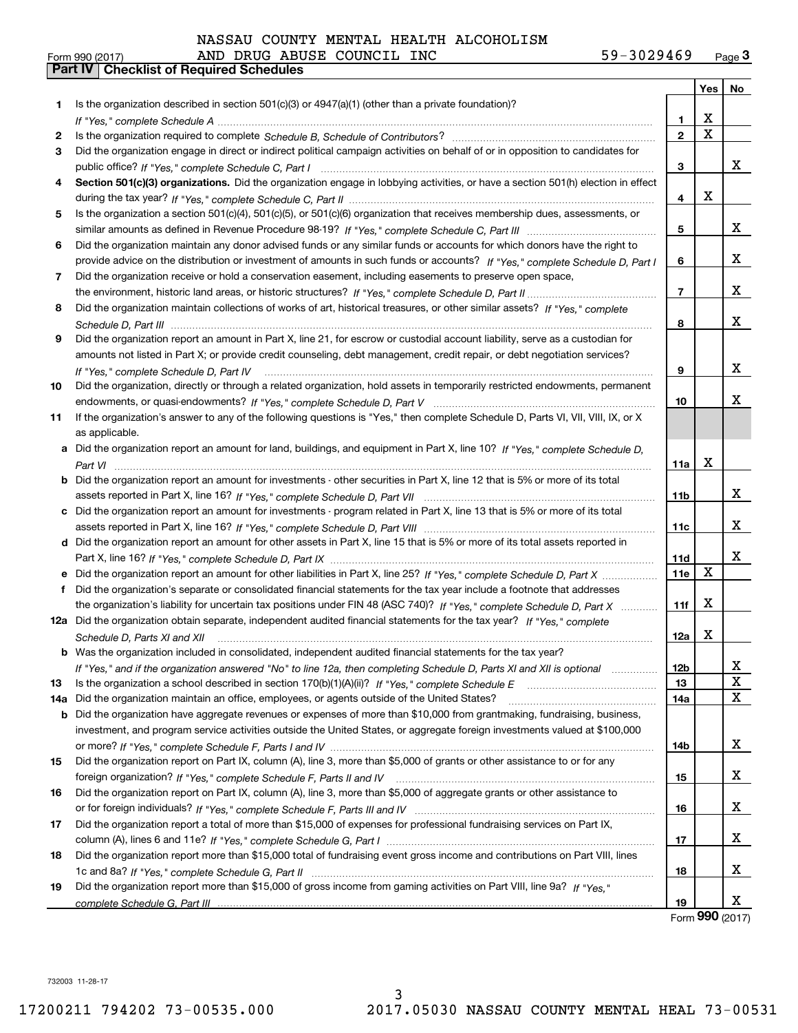|  |  |  | NASSAU COUNTY MENTAL HEALTH ALCOHOLISM |
|--|--|--|----------------------------------------|
|--|--|--|----------------------------------------|

|     | 59-3029469<br>AND DRUG ABUSE COUNCIL INC<br>Form 990 (2017)                                                                                                                                                                   |                 |             | Page $3$        |
|-----|-------------------------------------------------------------------------------------------------------------------------------------------------------------------------------------------------------------------------------|-----------------|-------------|-----------------|
|     | <b>Part IV   Checklist of Required Schedules</b>                                                                                                                                                                              |                 |             |                 |
|     |                                                                                                                                                                                                                               |                 | Yes         | No              |
| 1.  | Is the organization described in section $501(c)(3)$ or $4947(a)(1)$ (other than a private foundation)?                                                                                                                       |                 |             |                 |
|     |                                                                                                                                                                                                                               | 1.              | x           |                 |
| 2   |                                                                                                                                                                                                                               | $\mathbf{2}$    | $\mathbf X$ |                 |
| З   | Did the organization engage in direct or indirect political campaign activities on behalf of or in opposition to candidates for                                                                                               |                 |             |                 |
|     |                                                                                                                                                                                                                               | 3               |             | x               |
|     | Section 501(c)(3) organizations. Did the organization engage in lobbying activities, or have a section 501(h) election in effect                                                                                              |                 |             |                 |
|     |                                                                                                                                                                                                                               | 4               | x           |                 |
| 5   | Is the organization a section 501(c)(4), 501(c)(5), or 501(c)(6) organization that receives membership dues, assessments, or                                                                                                  |                 |             |                 |
|     |                                                                                                                                                                                                                               | 5               |             | x               |
| 6   | Did the organization maintain any donor advised funds or any similar funds or accounts for which donors have the right to                                                                                                     |                 |             |                 |
|     | provide advice on the distribution or investment of amounts in such funds or accounts? If "Yes," complete Schedule D, Part I                                                                                                  | 6               |             | x               |
| 7   | Did the organization receive or hold a conservation easement, including easements to preserve open space,                                                                                                                     |                 |             |                 |
|     |                                                                                                                                                                                                                               | $\overline{7}$  |             | x               |
| 8   | Did the organization maintain collections of works of art, historical treasures, or other similar assets? If "Yes," complete                                                                                                  |                 |             |                 |
|     |                                                                                                                                                                                                                               | 8               |             | x               |
| 9   | Did the organization report an amount in Part X, line 21, for escrow or custodial account liability, serve as a custodian for                                                                                                 |                 |             |                 |
|     | amounts not listed in Part X; or provide credit counseling, debt management, credit repair, or debt negotiation services?                                                                                                     |                 |             |                 |
|     | If "Yes." complete Schedule D. Part IV                                                                                                                                                                                        | 9               |             | x               |
| 10  | Did the organization, directly or through a related organization, hold assets in temporarily restricted endowments, permanent                                                                                                 |                 |             |                 |
|     |                                                                                                                                                                                                                               | 10              |             | x               |
| 11  | If the organization's answer to any of the following questions is "Yes," then complete Schedule D, Parts VI, VII, VIII, IX, or X                                                                                              |                 |             |                 |
|     | as applicable.                                                                                                                                                                                                                |                 |             |                 |
|     | a Did the organization report an amount for land, buildings, and equipment in Part X, line 10? If "Yes." complete Schedule D.                                                                                                 |                 |             |                 |
|     |                                                                                                                                                                                                                               | 11a             | x           |                 |
|     | <b>b</b> Did the organization report an amount for investments - other securities in Part X, line 12 that is 5% or more of its total                                                                                          |                 |             |                 |
|     |                                                                                                                                                                                                                               | 11 <sub>b</sub> |             | x               |
|     | c Did the organization report an amount for investments - program related in Part X, line 13 that is 5% or more of its total                                                                                                  |                 |             |                 |
|     |                                                                                                                                                                                                                               | 11c             |             | x               |
|     | d Did the organization report an amount for other assets in Part X, line 15 that is 5% or more of its total assets reported in                                                                                                |                 |             |                 |
|     |                                                                                                                                                                                                                               | 11d             |             | x               |
|     |                                                                                                                                                                                                                               | 11e             | X           |                 |
| f   | Did the organization's separate or consolidated financial statements for the tax year include a footnote that addresses                                                                                                       |                 |             |                 |
|     | the organization's liability for uncertain tax positions under FIN 48 (ASC 740)? If "Yes," complete Schedule D, Part X                                                                                                        | 11f             | x           |                 |
|     | 12a Did the organization obtain separate, independent audited financial statements for the tax year? If "Yes," complete                                                                                                       |                 |             |                 |
|     | Schedule D, Parts XI and XII manufactured and content to the content of the set of the set of the set of the street of the set of the set of the set of the set of the set of the set of the set of the set of the set of the | 12a             | X           |                 |
|     | <b>b</b> Was the organization included in consolidated, independent audited financial statements for the tax year?                                                                                                            |                 |             |                 |
|     | If "Yes," and if the organization answered "No" to line 12a, then completing Schedule D, Parts XI and XII is optional                                                                                                         | 12b             |             | x               |
| 13  |                                                                                                                                                                                                                               | 13              |             | $\mathbf x$     |
| 14a | Did the organization maintain an office, employees, or agents outside of the United States?                                                                                                                                   | 14a             |             | X               |
|     | b Did the organization have aggregate revenues or expenses of more than \$10,000 from grantmaking, fundraising, business,                                                                                                     |                 |             |                 |
|     | investment, and program service activities outside the United States, or aggregate foreign investments valued at \$100,000                                                                                                    |                 |             |                 |
|     |                                                                                                                                                                                                                               | 14b             |             | X               |
| 15  | Did the organization report on Part IX, column (A), line 3, more than \$5,000 of grants or other assistance to or for any                                                                                                     |                 |             |                 |
|     |                                                                                                                                                                                                                               | 15              |             | x               |
| 16  | Did the organization report on Part IX, column (A), line 3, more than \$5,000 of aggregate grants or other assistance to                                                                                                      |                 |             |                 |
|     |                                                                                                                                                                                                                               | 16              |             | x               |
| 17  | Did the organization report a total of more than \$15,000 of expenses for professional fundraising services on Part IX,                                                                                                       |                 |             |                 |
|     |                                                                                                                                                                                                                               | 17              |             | x               |
| 18  | Did the organization report more than \$15,000 total of fundraising event gross income and contributions on Part VIII, lines                                                                                                  |                 |             |                 |
|     |                                                                                                                                                                                                                               | 18              |             | x               |
| 19  | Did the organization report more than \$15,000 of gross income from gaming activities on Part VIII, line 9a? If "Yes."                                                                                                        |                 |             |                 |
|     |                                                                                                                                                                                                                               | 19              |             | x               |
|     |                                                                                                                                                                                                                               |                 |             | Form 990 (2017) |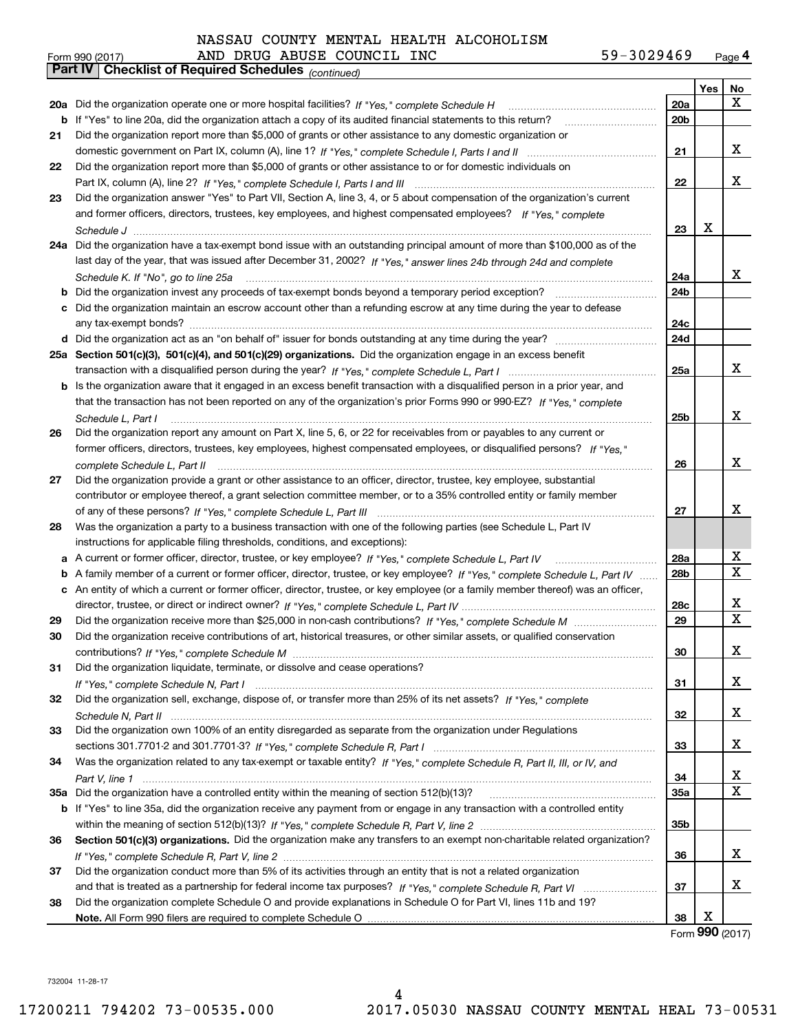| Form 990 (2017) |                                                              |  | AND DRUG ABUSE COUNCIL INC | 59-3029469 | $P_{\text{aqe}}$ 4 |
|-----------------|--------------------------------------------------------------|--|----------------------------|------------|--------------------|
|                 | <b>Part IV   Checklist of Required Schedules</b> (continued) |  |                            |            |                    |

|    | Parl IV  <br>Criecklist of Required Scriedules (continued)                                                                        |                 |            |    |
|----|-----------------------------------------------------------------------------------------------------------------------------------|-----------------|------------|----|
|    |                                                                                                                                   |                 | <b>Yes</b> | No |
|    | 20a Did the organization operate one or more hospital facilities? If "Yes," complete Schedule H                                   | 20a             |            | x  |
|    | <b>b</b> If "Yes" to line 20a, did the organization attach a copy of its audited financial statements to this return?             | 20 <sub>b</sub> |            |    |
| 21 | Did the organization report more than \$5,000 of grants or other assistance to any domestic organization or                       |                 |            |    |
|    |                                                                                                                                   | 21              |            | x  |
| 22 | Did the organization report more than \$5,000 of grants or other assistance to or for domestic individuals on                     |                 |            |    |
|    |                                                                                                                                   | 22              |            | x  |
| 23 | Did the organization answer "Yes" to Part VII, Section A, line 3, 4, or 5 about compensation of the organization's current        |                 |            |    |
|    | and former officers, directors, trustees, key employees, and highest compensated employees? If "Yes," complete                    |                 |            |    |
|    |                                                                                                                                   | 23              | x          |    |
|    | 24a Did the organization have a tax-exempt bond issue with an outstanding principal amount of more than \$100,000 as of the       |                 |            |    |
|    | last day of the year, that was issued after December 31, 2002? If "Yes," answer lines 24b through 24d and complete                |                 |            |    |
|    | Schedule K. If "No", go to line 25a                                                                                               | 24a             |            | X. |
| b  | Did the organization invest any proceeds of tax-exempt bonds beyond a temporary period exception?                                 | 24b             |            |    |
|    | c Did the organization maintain an escrow account other than a refunding escrow at any time during the year to defease            |                 |            |    |
|    |                                                                                                                                   | 24c             |            |    |
|    | d Did the organization act as an "on behalf of" issuer for bonds outstanding at any time during the year?                         | 24d             |            |    |
|    |                                                                                                                                   |                 |            |    |
|    | 25a Section 501(c)(3), 501(c)(4), and 501(c)(29) organizations. Did the organization engage in an excess benefit                  | 25a             |            | x  |
|    |                                                                                                                                   |                 |            |    |
|    | b Is the organization aware that it engaged in an excess benefit transaction with a disqualified person in a prior year, and      |                 |            |    |
|    | that the transaction has not been reported on any of the organization's prior Forms 990 or 990-EZ? If "Yes," complete             |                 |            |    |
|    | Schedule L, Part I                                                                                                                | 25b             |            | x  |
| 26 | Did the organization report any amount on Part X, line 5, 6, or 22 for receivables from or payables to any current or             |                 |            |    |
|    | former officers, directors, trustees, key employees, highest compensated employees, or disqualified persons? If "Yes."            |                 |            |    |
|    |                                                                                                                                   | 26              |            | x  |
| 27 | Did the organization provide a grant or other assistance to an officer, director, trustee, key employee, substantial              |                 |            |    |
|    | contributor or employee thereof, a grant selection committee member, or to a 35% controlled entity or family member               |                 |            |    |
|    |                                                                                                                                   | 27              |            | x  |
| 28 | Was the organization a party to a business transaction with one of the following parties (see Schedule L, Part IV                 |                 |            |    |
|    | instructions for applicable filing thresholds, conditions, and exceptions):                                                       |                 |            |    |
|    | a A current or former officer, director, trustee, or key employee? If "Yes," complete Schedule L, Part IV                         | 28a             |            | x  |
|    | b A family member of a current or former officer, director, trustee, or key employee? If "Yes," complete Schedule L, Part IV      | 28 <sub>b</sub> |            | X  |
|    | c An entity of which a current or former officer, director, trustee, or key employee (or a family member thereof) was an officer, |                 |            |    |
|    |                                                                                                                                   | 28c             |            | х  |
| 29 |                                                                                                                                   | 29              |            | х  |
| 30 | Did the organization receive contributions of art, historical treasures, or other similar assets, or qualified conservation       |                 |            |    |
|    |                                                                                                                                   | 30              |            | х  |
| 31 | Did the organization liquidate, terminate, or dissolve and cease operations?                                                      |                 |            |    |
|    |                                                                                                                                   | 31              |            | x  |
| 32 | Did the organization sell, exchange, dispose of, or transfer more than 25% of its net assets? If "Yes," complete                  |                 |            |    |
|    |                                                                                                                                   | 32              |            | x  |
| 33 | Did the organization own 100% of an entity disregarded as separate from the organization under Regulations                        |                 |            |    |
|    |                                                                                                                                   | 33              |            | x  |
| 34 | Was the organization related to any tax-exempt or taxable entity? If "Yes," complete Schedule R, Part II, III, or IV, and         |                 |            |    |
|    |                                                                                                                                   | 34              |            | x  |
|    | 35a Did the organization have a controlled entity within the meaning of section 512(b)(13)?                                       | <b>35a</b>      |            | X  |
|    | b If "Yes" to line 35a, did the organization receive any payment from or engage in any transaction with a controlled entity       |                 |            |    |
|    |                                                                                                                                   | 35b             |            |    |
| 36 | Section 501(c)(3) organizations. Did the organization make any transfers to an exempt non-charitable related organization?        |                 |            |    |
|    |                                                                                                                                   | 36              |            | x  |
|    |                                                                                                                                   |                 |            |    |
| 37 | Did the organization conduct more than 5% of its activities through an entity that is not a related organization                  |                 |            | x  |
|    |                                                                                                                                   | 37              |            |    |
| 38 | Did the organization complete Schedule O and provide explanations in Schedule O for Part VI, lines 11b and 19?                    |                 | х          |    |
|    |                                                                                                                                   | 38              | <u>nnn</u> |    |

Form (2017) **990**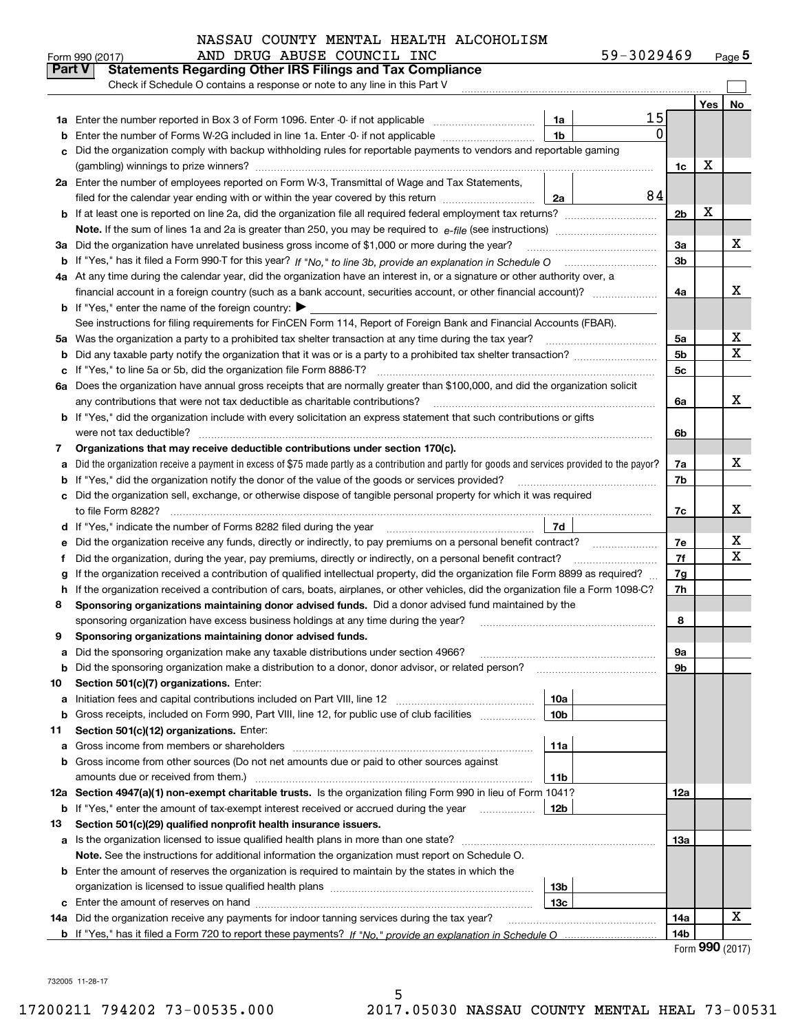| 59-3029469 | Page $5$ |
|------------|----------|
|------------|----------|

|               | 59-3029469<br>AND DRUG ABUSE COUNCIL INC<br>Form 990 (2017)                                                                                                                                                                                |                 |                                | <u>Page</u> 5 |
|---------------|--------------------------------------------------------------------------------------------------------------------------------------------------------------------------------------------------------------------------------------------|-----------------|--------------------------------|---------------|
| <b>Part V</b> | <b>Statements Regarding Other IRS Filings and Tax Compliance</b>                                                                                                                                                                           |                 |                                |               |
|               | Check if Schedule O contains a response or note to any line in this Part V                                                                                                                                                                 |                 |                                |               |
|               |                                                                                                                                                                                                                                            |                 | Yes                            | No            |
|               | 15<br>1a                                                                                                                                                                                                                                   |                 |                                |               |
| b             | 0<br>1 <sub>b</sub><br>Enter the number of Forms W-2G included in line 1a. Enter -0- if not applicable                                                                                                                                     |                 |                                |               |
|               | Did the organization comply with backup withholding rules for reportable payments to vendors and reportable gaming                                                                                                                         |                 |                                |               |
|               |                                                                                                                                                                                                                                            | 1c              | х                              |               |
|               | 2a Enter the number of employees reported on Form W-3, Transmittal of Wage and Tax Statements,                                                                                                                                             |                 |                                |               |
|               | 84<br>filed for the calendar year ending with or within the year covered by this return<br>2a                                                                                                                                              |                 |                                |               |
|               |                                                                                                                                                                                                                                            | 2 <sub>b</sub>  | х                              |               |
|               |                                                                                                                                                                                                                                            |                 |                                |               |
| За            | Did the organization have unrelated business gross income of \$1,000 or more during the year?                                                                                                                                              | 3a              |                                | х             |
|               |                                                                                                                                                                                                                                            | 3 <sub>b</sub>  |                                |               |
|               | 4a At any time during the calendar year, did the organization have an interest in, or a signature or other authority over, a                                                                                                               |                 |                                |               |
|               | financial account in a foreign country (such as a bank account, securities account, or other financial account)?                                                                                                                           | 4a              |                                | x             |
|               | <b>b</b> If "Yes," enter the name of the foreign country: $\blacktriangleright$                                                                                                                                                            |                 |                                |               |
|               | See instructions for filing requirements for FinCEN Form 114, Report of Foreign Bank and Financial Accounts (FBAR).                                                                                                                        |                 |                                |               |
| 5a            | Was the organization a party to a prohibited tax shelter transaction at any time during the tax year?                                                                                                                                      | 5a              |                                | x             |
| b             |                                                                                                                                                                                                                                            | 5 <sub>b</sub>  |                                | X             |
| c             | If "Yes," to line 5a or 5b, did the organization file Form 8886-T?                                                                                                                                                                         | 5c              |                                |               |
| 6а            | Does the organization have annual gross receipts that are normally greater than \$100,000, and did the organization solicit                                                                                                                |                 |                                |               |
|               | any contributions that were not tax deductible as charitable contributions?                                                                                                                                                                | 6a              |                                | X             |
|               | <b>b</b> If "Yes," did the organization include with every solicitation an express statement that such contributions or gifts                                                                                                              |                 |                                |               |
|               | were not tax deductible?                                                                                                                                                                                                                   | 6b              |                                |               |
| 7             | Organizations that may receive deductible contributions under section 170(c).                                                                                                                                                              |                 |                                |               |
| a             | Did the organization receive a payment in excess of \$75 made partly as a contribution and partly for goods and services provided to the payor?                                                                                            | 7a              |                                | x             |
| b             | If "Yes," did the organization notify the donor of the value of the goods or services provided?                                                                                                                                            | 7b              |                                |               |
|               | Did the organization sell, exchange, or otherwise dispose of tangible personal property for which it was required                                                                                                                          |                 |                                | X             |
|               |                                                                                                                                                                                                                                            | 7c              |                                |               |
| d             | 7d                                                                                                                                                                                                                                         |                 |                                | x             |
| е             | Did the organization receive any funds, directly or indirectly, to pay premiums on a personal benefit contract?                                                                                                                            | 7e<br>7f        |                                | X             |
| f             | Did the organization, during the year, pay premiums, directly or indirectly, on a personal benefit contract?                                                                                                                               |                 |                                |               |
| g<br>h.       | If the organization received a contribution of qualified intellectual property, did the organization file Form 8899 as required?                                                                                                           | 7g<br>7h        |                                |               |
| 8             | If the organization received a contribution of cars, boats, airplanes, or other vehicles, did the organization file a Form 1098-C?<br>Sponsoring organizations maintaining donor advised funds. Did a donor advised fund maintained by the |                 |                                |               |
|               | sponsoring organization have excess business holdings at any time during the year?                                                                                                                                                         | 8               |                                |               |
|               | Sponsoring organizations maintaining donor advised funds.                                                                                                                                                                                  |                 |                                |               |
| a             | Did the sponsoring organization make any taxable distributions under section 4966?                                                                                                                                                         | 9а              |                                |               |
| b             | Did the sponsoring organization make a distribution to a donor, donor advisor, or related person?                                                                                                                                          | 9b              |                                |               |
| 10            | Section 501(c)(7) organizations. Enter:                                                                                                                                                                                                    |                 |                                |               |
| а             | 10a<br>Initiation fees and capital contributions included on Part VIII, line 12 <i>manuarrouus</i> manuations of the lates                                                                                                                 |                 |                                |               |
| b             | 10 <sub>b</sub><br>Gross receipts, included on Form 990, Part VIII, line 12, for public use of club facilities                                                                                                                             |                 |                                |               |
| 11            | Section 501(c)(12) organizations. Enter:                                                                                                                                                                                                   |                 |                                |               |
| a             | 11a<br>Gross income from members or shareholders                                                                                                                                                                                           |                 |                                |               |
| b             | Gross income from other sources (Do not net amounts due or paid to other sources against                                                                                                                                                   |                 |                                |               |
|               | amounts due or received from them.)<br>11b                                                                                                                                                                                                 |                 |                                |               |
| 12a           | Section 4947(a)(1) non-exempt charitable trusts. Is the organization filing Form 990 in lieu of Form 1041?                                                                                                                                 | 12a             |                                |               |
|               | 12b<br><b>b</b> If "Yes," enter the amount of tax-exempt interest received or accrued during the year <i>manument</i>                                                                                                                      |                 |                                |               |
| 13            | Section 501(c)(29) qualified nonprofit health insurance issuers.                                                                                                                                                                           |                 |                                |               |
|               | a Is the organization licensed to issue qualified health plans in more than one state?                                                                                                                                                     | 13а             |                                |               |
|               | Note. See the instructions for additional information the organization must report on Schedule O.                                                                                                                                          |                 |                                |               |
|               | <b>b</b> Enter the amount of reserves the organization is required to maintain by the states in which the                                                                                                                                  |                 |                                |               |
|               | 13b                                                                                                                                                                                                                                        |                 |                                |               |
|               | 13с                                                                                                                                                                                                                                        |                 |                                |               |
|               | 14a Did the organization receive any payments for indoor tanning services during the tax year?                                                                                                                                             | 14a             |                                | х             |
|               |                                                                                                                                                                                                                                            | 14 <sub>b</sub> |                                |               |
|               |                                                                                                                                                                                                                                            |                 | $T_{\text{max}}$ QQQ $(0.017)$ |               |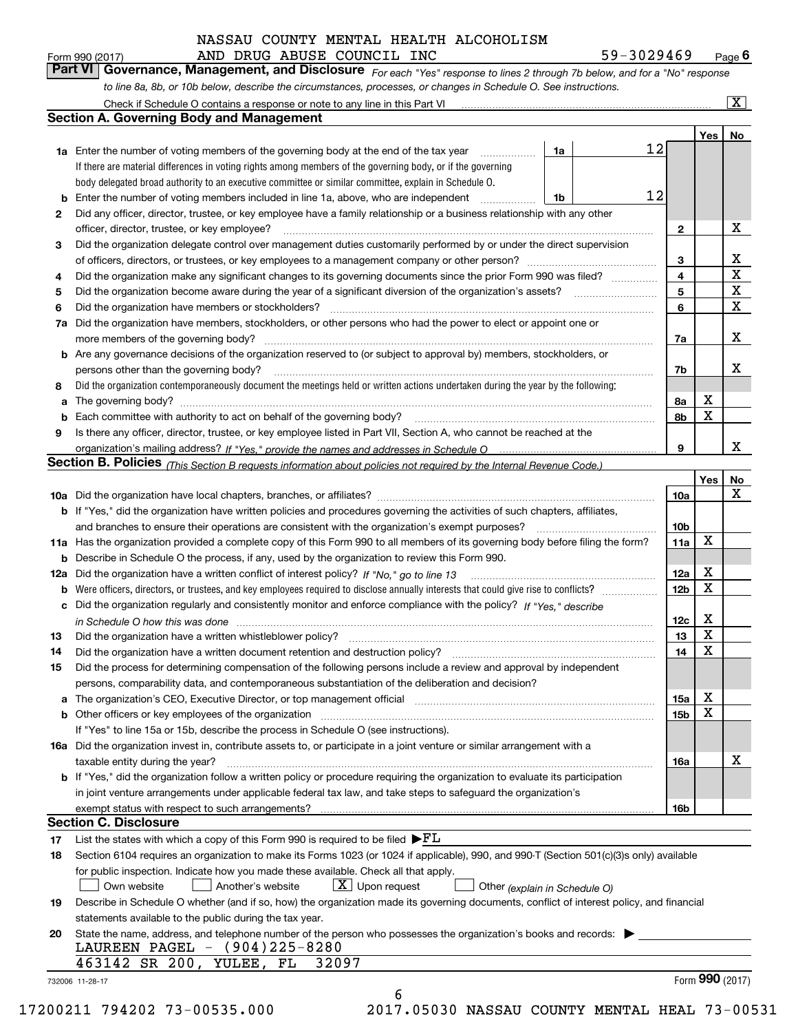AND DRUG ABUSE COUNCIL INC 59-3029469

*For each "Yes" response to lines 2 through 7b below, and for a "No" response to line 8a, 8b, or 10b below, describe the circumstances, processes, or changes in Schedule O. See instructions.* Form 990 (2017) **AND DRUG ABUSE COUNCIL INC** 59-3029469 Page 6<br>**Part VI Governance, Management, and Disclosure** For each "Yes" response to lines 2 through 7b below, and for a "No" response

|     | Check if Schedule O contains a response or note to any line in this Part VI                                                                                           |    |    |                         |     | $\overline{\mathbf{x}}$ |
|-----|-----------------------------------------------------------------------------------------------------------------------------------------------------------------------|----|----|-------------------------|-----|-------------------------|
|     | <b>Section A. Governing Body and Management</b>                                                                                                                       |    |    |                         |     |                         |
|     |                                                                                                                                                                       |    |    |                         | Yes | No                      |
|     | <b>1a</b> Enter the number of voting members of the governing body at the end of the tax year                                                                         | 1a | 12 |                         |     |                         |
|     | If there are material differences in voting rights among members of the governing body, or if the governing                                                           |    |    |                         |     |                         |
|     | body delegated broad authority to an executive committee or similar committee, explain in Schedule O.                                                                 |    |    |                         |     |                         |
| b   | Enter the number of voting members included in line 1a, above, who are independent                                                                                    | 1b | 12 |                         |     |                         |
| 2   | Did any officer, director, trustee, or key employee have a family relationship or a business relationship with any other                                              |    |    |                         |     |                         |
|     | officer, director, trustee, or key employee?                                                                                                                          |    |    | $\mathbf{2}$            |     | X                       |
| 3   | Did the organization delegate control over management duties customarily performed by or under the direct supervision                                                 |    |    |                         |     |                         |
|     |                                                                                                                                                                       |    |    | 3                       |     | х                       |
| 4   | Did the organization make any significant changes to its governing documents since the prior Form 990 was filed?                                                      |    |    | $\overline{\mathbf{4}}$ |     | X                       |
| 5   |                                                                                                                                                                       |    |    | 5                       |     | X                       |
| 6   | Did the organization have members or stockholders?                                                                                                                    |    |    | 6                       |     | X                       |
| 7a  | Did the organization have members, stockholders, or other persons who had the power to elect or appoint one or                                                        |    |    |                         |     |                         |
|     | more members of the governing body?                                                                                                                                   |    |    | 7a                      |     | х                       |
| b   | Are any governance decisions of the organization reserved to (or subject to approval by) members, stockholders, or                                                    |    |    |                         |     |                         |
|     | persons other than the governing body?                                                                                                                                |    |    | 7b                      |     | х                       |
| 8   | Did the organization contemporaneously document the meetings held or written actions undertaken during the year by the following:                                     |    |    |                         |     |                         |
| a   |                                                                                                                                                                       |    |    | 8а                      | X   |                         |
| b   | Each committee with authority to act on behalf of the governing body?                                                                                                 |    |    | 8b                      | x   |                         |
|     |                                                                                                                                                                       |    |    |                         |     |                         |
| 9   | Is there any officer, director, trustee, or key employee listed in Part VII, Section A, who cannot be reached at the                                                  |    |    | 9                       |     | x                       |
|     |                                                                                                                                                                       |    |    |                         |     |                         |
|     | Section B. Policies <sub>(This Section B requests information about policies not required by the Internal Revenue Code.)</sub>                                        |    |    |                         |     |                         |
|     |                                                                                                                                                                       |    |    |                         | Yes | No<br>$\mathbf X$       |
|     |                                                                                                                                                                       |    |    | 10a                     |     |                         |
|     | <b>b</b> If "Yes," did the organization have written policies and procedures governing the activities of such chapters, affiliates,                                   |    |    |                         |     |                         |
|     | and branches to ensure their operations are consistent with the organization's exempt purposes?                                                                       |    |    | 10 <sub>b</sub>         | X   |                         |
| 11a | Has the organization provided a complete copy of this Form 990 to all members of its governing body before filing the form?                                           |    |    | 11a                     |     |                         |
| b   | Describe in Schedule O the process, if any, used by the organization to review this Form 990.                                                                         |    |    |                         |     |                         |
| 12a | Did the organization have a written conflict of interest policy? If "No," go to line 13                                                                               |    |    | 12a                     | X   |                         |
| b   | Were officers, directors, or trustees, and key employees required to disclose annually interests that could give rise to conflicts?                                   |    |    | 12 <sub>b</sub>         | X   |                         |
| с   | Did the organization regularly and consistently monitor and enforce compliance with the policy? If "Yes." describe                                                    |    |    |                         |     |                         |
|     |                                                                                                                                                                       |    |    | 12c                     | X   |                         |
| 13  | Did the organization have a written whistleblower policy?                                                                                                             |    |    | 13                      | X   |                         |
| 14  | Did the organization have a written document retention and destruction policy?                                                                                        |    |    | 14                      | X   |                         |
| 15  | Did the process for determining compensation of the following persons include a review and approval by independent                                                    |    |    |                         |     |                         |
|     | persons, comparability data, and contemporaneous substantiation of the deliberation and decision?                                                                     |    |    |                         |     |                         |
| а   | The organization's CEO, Executive Director, or top management official manufactured content of the organization's CEO, Executive Director, or top management official |    |    | 15a                     | Χ   |                         |
| b   | Other officers or key employees of the organization                                                                                                                   |    |    | 15b                     | Χ   |                         |
|     | If "Yes" to line 15a or 15b, describe the process in Schedule O (see instructions).                                                                                   |    |    |                         |     |                         |
|     | 16a Did the organization invest in, contribute assets to, or participate in a joint venture or similar arrangement with a                                             |    |    |                         |     |                         |
|     | taxable entity during the year?                                                                                                                                       |    |    | 16a                     |     | х                       |
|     | b If "Yes," did the organization follow a written policy or procedure requiring the organization to evaluate its participation                                        |    |    |                         |     |                         |
|     | in joint venture arrangements under applicable federal tax law, and take steps to safeguard the organization's                                                        |    |    |                         |     |                         |
|     | exempt status with respect to such arrangements?                                                                                                                      |    |    | 16b                     |     |                         |
|     | <b>Section C. Disclosure</b>                                                                                                                                          |    |    |                         |     |                         |
| 17  | List the states with which a copy of this Form 990 is required to be filed $\blacktriangleright$ $FL$                                                                 |    |    |                         |     |                         |
| 18  | Section 6104 requires an organization to make its Forms 1023 (or 1024 if applicable), 990, and 990-T (Section 501(c)(3)s only) available                              |    |    |                         |     |                         |
|     | for public inspection. Indicate how you made these available. Check all that apply.                                                                                   |    |    |                         |     |                         |
|     | $X$ Upon request<br>Own website<br>Another's website<br>Other (explain in Schedule O)                                                                                 |    |    |                         |     |                         |
| 19  | Describe in Schedule O whether (and if so, how) the organization made its governing documents, conflict of interest policy, and financial                             |    |    |                         |     |                         |
|     | statements available to the public during the tax year.                                                                                                               |    |    |                         |     |                         |
| 20  | State the name, address, and telephone number of the person who possesses the organization's books and records:                                                       |    |    |                         |     |                         |
|     | LAUREEN PAGEL - (904)225-8280                                                                                                                                         |    |    |                         |     |                         |
|     | 463142 SR 200,<br>32097<br>YULEE, FL                                                                                                                                  |    |    |                         |     |                         |
|     | 732006 11-28-17                                                                                                                                                       |    |    |                         |     | Form 990 (2017)         |
|     | 6                                                                                                                                                                     |    |    |                         |     |                         |
|     | 00011 701000 70 00505 000<br>2017 OEO20 NICCAII COUNTIV MENTRI UEAI                                                                                                   |    |    |                         |     |                         |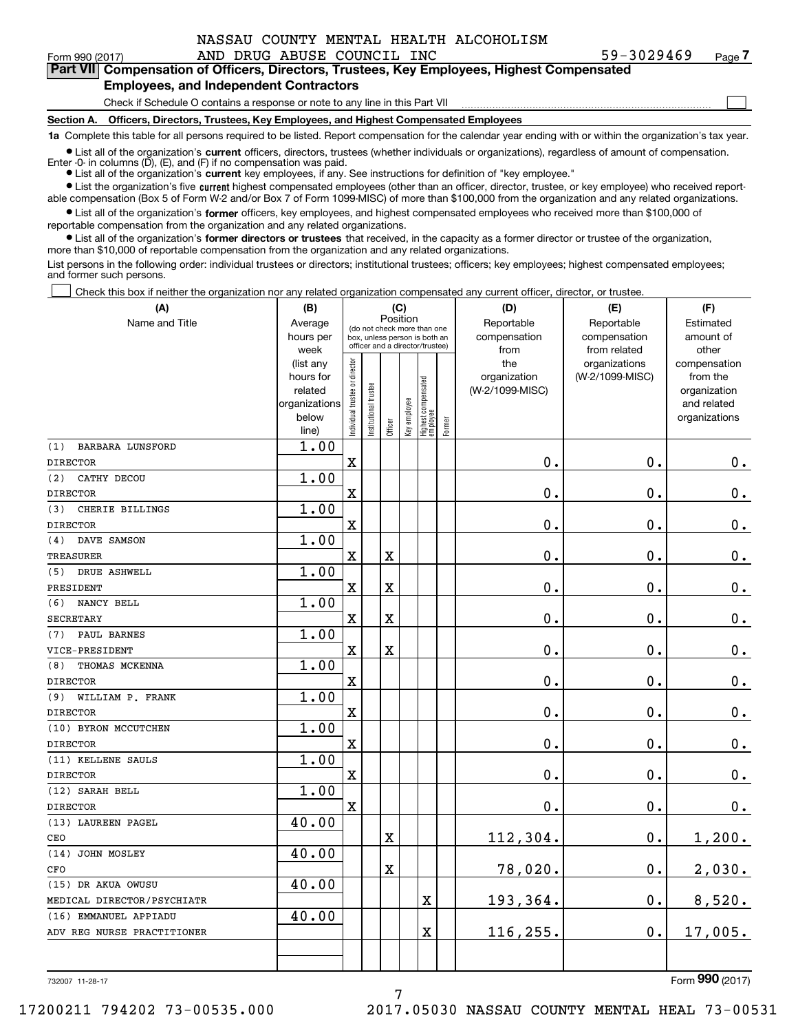| 59-3029469<br>Pa |
|------------------|
|------------------|

 $\mathcal{L}^{\text{max}}$ 

| Form 990 (2017) |                                               | AND DRUG ABUSE COUNCIL INC | 59-3029469                                                                                 | Page 7 |
|-----------------|-----------------------------------------------|----------------------------|--------------------------------------------------------------------------------------------|--------|
|                 |                                               |                            | Part VII Compensation of Officers, Directors, Trustees, Key Employees, Highest Compensated |        |
|                 | <b>Employees, and Independent Contractors</b> |                            |                                                                                            |        |

Check if Schedule O contains a response or note to any line in this Part VII

**Section A. Officers, Directors, Trustees, Key Employees, and Highest Compensated Employees**

**1a**  Complete this table for all persons required to be listed. Report compensation for the calendar year ending with or within the organization's tax year.

**•** List all of the organization's current officers, directors, trustees (whether individuals or organizations), regardless of amount of compensation. Enter -0- in columns  $(D)$ ,  $(E)$ , and  $(F)$  if no compensation was paid.

● List all of the organization's **current** key employees, if any. See instructions for definition of "key employee."

**•** List the organization's five current highest compensated employees (other than an officer, director, trustee, or key employee) who received reportable compensation (Box 5 of Form W-2 and/or Box 7 of Form 1099-MISC) of more than \$100,000 from the organization and any related organizations.

 $\bullet$  List all of the organization's **former** officers, key employees, and highest compensated employees who received more than \$100,000 of reportable compensation from the organization and any related organizations.

**•** List all of the organization's former directors or trustees that received, in the capacity as a former director or trustee of the organization, more than \$10,000 of reportable compensation from the organization and any related organizations.

List persons in the following order: individual trustees or directors; institutional trustees; officers; key employees; highest compensated employees; and former such persons.

Check this box if neither the organization nor any related organization compensated any current officer, director, or trustee.  $\mathcal{L}^{\text{max}}$ 

| (A)                            | (B)                    | (C)                            |                                                                  |                         |              |                                   |        | (D)             | (E)                              | (F)                      |  |  |
|--------------------------------|------------------------|--------------------------------|------------------------------------------------------------------|-------------------------|--------------|-----------------------------------|--------|-----------------|----------------------------------|--------------------------|--|--|
| Name and Title                 | Average                |                                | Position<br>(do not check more than one                          |                         |              |                                   |        | Reportable      | Reportable                       | Estimated                |  |  |
|                                | hours per              |                                | box, unless person is both an<br>officer and a director/trustee) |                         |              |                                   |        | compensation    | compensation                     | amount of                |  |  |
|                                | week                   |                                |                                                                  |                         |              |                                   |        | from<br>the     | from related                     | other                    |  |  |
|                                | (list any<br>hours for |                                |                                                                  |                         |              |                                   |        | organization    | organizations<br>(W-2/1099-MISC) | compensation<br>from the |  |  |
|                                | related                |                                |                                                                  |                         |              |                                   |        | (W-2/1099-MISC) |                                  | organization             |  |  |
|                                | organizations          |                                |                                                                  |                         |              |                                   |        |                 |                                  | and related              |  |  |
|                                | below                  | Individual trustee or director | nstitutional trustee                                             |                         | Key employee |                                   |        |                 |                                  | organizations            |  |  |
|                                | line)                  |                                |                                                                  | Officer                 |              | Highest compensated<br>  employee | Former |                 |                                  |                          |  |  |
| (1)<br><b>BARBARA LUNSFORD</b> | 1.00                   |                                |                                                                  |                         |              |                                   |        |                 |                                  |                          |  |  |
| <b>DIRECTOR</b>                |                        | $\rm X$                        |                                                                  |                         |              |                                   |        | 0.              | 0.                               | $0_{.}$                  |  |  |
| CATHY DECOU<br>(2)             | 1.00                   |                                |                                                                  |                         |              |                                   |        |                 |                                  |                          |  |  |
| <b>DIRECTOR</b>                |                        | X                              |                                                                  |                         |              |                                   |        | 0.              | 0.                               | $\mathbf 0$ .            |  |  |
| CHERIE BILLINGS<br>(3)         | 1.00                   |                                |                                                                  |                         |              |                                   |        |                 |                                  |                          |  |  |
| <b>DIRECTOR</b>                |                        | $\rm X$                        |                                                                  |                         |              |                                   |        | 0.              | $\mathbf 0$ .                    | $\mathbf 0$ .            |  |  |
| DAVE SAMSON<br>(4)             | 1.00                   |                                |                                                                  |                         |              |                                   |        |                 |                                  |                          |  |  |
| <b>TREASURER</b>               |                        | $\overline{\textbf{X}}$        |                                                                  | $\overline{\mathbf{X}}$ |              |                                   |        | 0.              | $\mathbf 0$ .                    | $0_{.}$                  |  |  |
| DRUE ASHWELL<br>(5)            | 1.00                   |                                |                                                                  |                         |              |                                   |        |                 |                                  |                          |  |  |
| PRESIDENT                      |                        | $\mathbf x$                    |                                                                  | $\overline{\text{X}}$   |              |                                   |        | 0.              | $\mathbf 0$ .                    | $\mathbf 0$ .            |  |  |
| NANCY BELL<br>(6)              | 1.00                   |                                |                                                                  |                         |              |                                   |        |                 |                                  |                          |  |  |
| <b>SECRETARY</b>               |                        | $\mathbf X$                    |                                                                  | X                       |              |                                   |        | 0.              | 0.                               | 0.                       |  |  |
| PAUL BARNES<br>(7)             | 1.00                   |                                |                                                                  |                         |              |                                   |        |                 |                                  |                          |  |  |
| VICE-PRESIDENT                 |                        | X                              |                                                                  | $\rm X$                 |              |                                   |        | 0.              | $\mathbf 0$ .                    | $\mathbf 0$ .            |  |  |
| THOMAS MCKENNA<br>(8)          | 1.00                   |                                |                                                                  |                         |              |                                   |        |                 |                                  |                          |  |  |
| <b>DIRECTOR</b>                |                        | $\mathbf X$                    |                                                                  |                         |              |                                   |        | 0.              | $\mathbf 0$ .                    | $\mathbf 0$ .            |  |  |
| WILLIAM P. FRANK<br>(9)        | 1.00                   |                                |                                                                  |                         |              |                                   |        |                 |                                  |                          |  |  |
| <b>DIRECTOR</b>                |                        | $\mathbf X$                    |                                                                  |                         |              |                                   |        | 0.              | $\mathbf 0$ .                    | $\mathbf 0$ .            |  |  |
| (10) BYRON MCCUTCHEN           | 1.00                   |                                |                                                                  |                         |              |                                   |        |                 |                                  |                          |  |  |
| <b>DIRECTOR</b>                |                        | X                              |                                                                  |                         |              |                                   |        | 0.              | 0.                               | 0.                       |  |  |
| (11) KELLENE SAULS             | 1.00                   |                                |                                                                  |                         |              |                                   |        |                 |                                  |                          |  |  |
| <b>DIRECTOR</b>                |                        | $\mathbf X$                    |                                                                  |                         |              |                                   |        | $\mathbf 0$ .   | $\mathbf 0$ .                    | $\mathbf 0$ .            |  |  |
| (12) SARAH BELL                | 1.00                   |                                |                                                                  |                         |              |                                   |        |                 |                                  |                          |  |  |
| <b>DIRECTOR</b>                |                        | $\rm X$                        |                                                                  |                         |              |                                   |        | 0.              | $\mathbf 0$ .                    | 0.                       |  |  |
| (13) LAUREEN PAGEL             | 40.00                  |                                |                                                                  |                         |              |                                   |        |                 |                                  |                          |  |  |
| CEO                            |                        |                                |                                                                  | $\overline{\textbf{X}}$ |              |                                   |        | 112,304.        | 0.                               | 1,200.                   |  |  |
| (14) JOHN MOSLEY               | 40.00                  |                                |                                                                  |                         |              |                                   |        |                 |                                  |                          |  |  |
| CFO                            |                        |                                |                                                                  | $\overline{\textbf{X}}$ |              |                                   |        | 78,020.         | 0.                               | 2,030.                   |  |  |
| (15) DR AKUA OWUSU             | 40.00                  |                                |                                                                  |                         |              |                                   |        |                 |                                  |                          |  |  |
| MEDICAL DIRECTOR/PSYCHIATR     |                        |                                |                                                                  |                         |              | $\mathbf X$                       |        | 193,364.        | $\mathbf 0$ .                    | 8,520.                   |  |  |
| (16) EMMANUEL APPIADU          | 40.00                  |                                |                                                                  |                         |              |                                   |        |                 |                                  |                          |  |  |
| ADV REG NURSE PRACTITIONER     |                        |                                |                                                                  |                         |              | $\overline{\textbf{X}}$           |        | 116,255.        | 0.                               | 17,005.                  |  |  |
|                                |                        |                                |                                                                  |                         |              |                                   |        |                 |                                  |                          |  |  |
|                                |                        |                                |                                                                  |                         |              |                                   |        |                 |                                  |                          |  |  |

732007 11-28-17

Form (2017) **990**

7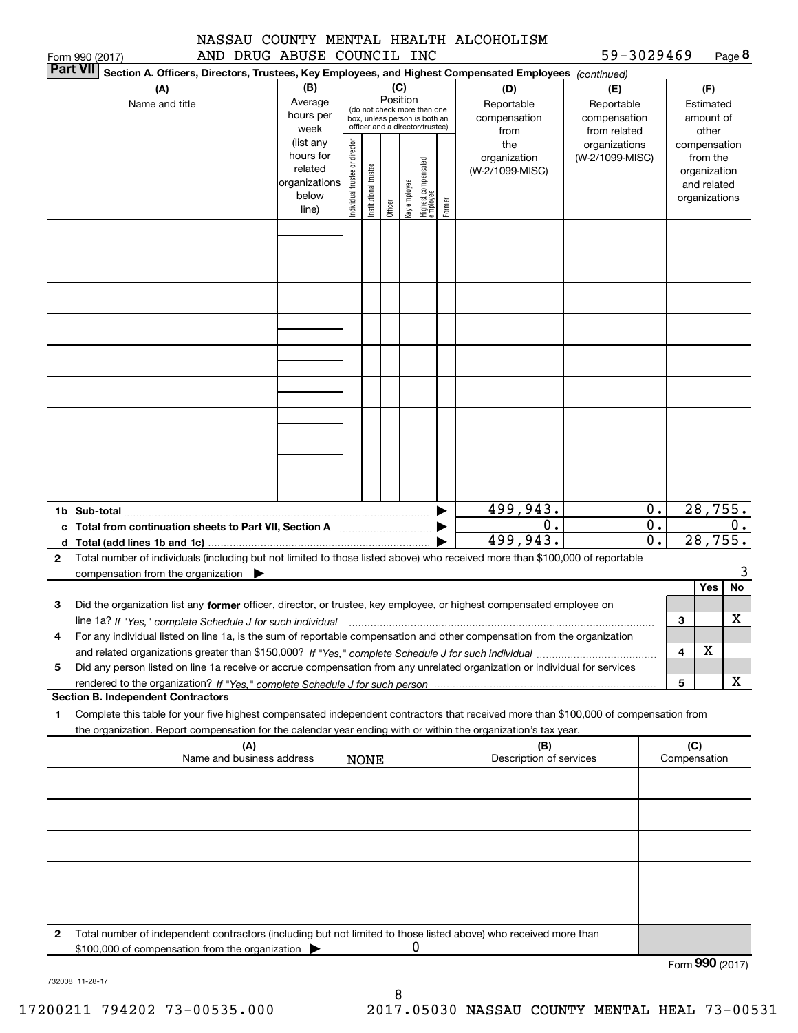|  |  | NASSAU COUNTY MENTAL HEALTH ALCOHOLISM |  |  |  |
|--|--|----------------------------------------|--|--|--|
|  |  | AND DRUG ABUSE COUNCIL INC             |  |  |  |

|              | AND DRUG ABUSE COUNCIL INC<br>Form 990 (2017)                                                                                                                                                                                                                                |                                                                      |                                |                       |                 |              |                                                                                                 |        |                                           | 59-3029469                                        |                        |     |                                                                          | Page 8 |
|--------------|------------------------------------------------------------------------------------------------------------------------------------------------------------------------------------------------------------------------------------------------------------------------------|----------------------------------------------------------------------|--------------------------------|-----------------------|-----------------|--------------|-------------------------------------------------------------------------------------------------|--------|-------------------------------------------|---------------------------------------------------|------------------------|-----|--------------------------------------------------------------------------|--------|
|              | <b>Part VII</b><br>Section A. Officers, Directors, Trustees, Key Employees, and Highest Compensated Employees (continued)                                                                                                                                                    |                                                                      |                                |                       |                 |              |                                                                                                 |        |                                           |                                                   |                        |     |                                                                          |        |
|              | (A)<br>Name and title                                                                                                                                                                                                                                                        | (B)<br>Average<br>hours per<br>week                                  |                                |                       | (C)<br>Position |              | (do not check more than one<br>box, unless person is both an<br>officer and a director/trustee) |        | (D)<br>Reportable<br>compensation<br>from | (E)<br>Reportable<br>compensation<br>from related |                        |     | (F)<br>Estimated<br>amount of<br>other                                   |        |
|              |                                                                                                                                                                                                                                                                              | (list any<br>hours for<br>related<br>organizations<br>below<br>line) | Individual trustee or director | Institutional trustee | Officer         | Key employee | Highest compensated<br> employee                                                                | Former | the<br>organization<br>(W-2/1099-MISC)    | organizations<br>(W-2/1099-MISC)                  |                        |     | compensation<br>from the<br>organization<br>and related<br>organizations |        |
|              |                                                                                                                                                                                                                                                                              |                                                                      |                                |                       |                 |              |                                                                                                 |        |                                           |                                                   |                        |     |                                                                          |        |
|              |                                                                                                                                                                                                                                                                              |                                                                      |                                |                       |                 |              |                                                                                                 |        |                                           |                                                   |                        |     |                                                                          |        |
|              |                                                                                                                                                                                                                                                                              |                                                                      |                                |                       |                 |              |                                                                                                 |        |                                           |                                                   |                        |     |                                                                          |        |
|              |                                                                                                                                                                                                                                                                              |                                                                      |                                |                       |                 |              |                                                                                                 |        |                                           |                                                   |                        |     |                                                                          |        |
|              |                                                                                                                                                                                                                                                                              |                                                                      |                                |                       |                 |              |                                                                                                 |        |                                           |                                                   |                        |     |                                                                          |        |
|              |                                                                                                                                                                                                                                                                              |                                                                      |                                |                       |                 |              |                                                                                                 |        |                                           |                                                   |                        |     |                                                                          |        |
|              |                                                                                                                                                                                                                                                                              |                                                                      |                                |                       |                 |              |                                                                                                 |        |                                           |                                                   |                        |     |                                                                          |        |
|              |                                                                                                                                                                                                                                                                              |                                                                      |                                |                       |                 |              |                                                                                                 |        |                                           |                                                   | $0$ .                  |     |                                                                          |        |
|              | c Total from continuation sheets to Part VII, Section A                                                                                                                                                                                                                      |                                                                      |                                |                       |                 |              |                                                                                                 |        | 499,943.<br>0.<br>499, 943.               |                                                   | $\overline{0}$ .<br>0. |     | 28, 755.<br>28, 755.                                                     | $0$ .  |
| $\mathbf{2}$ | Total number of individuals (including but not limited to those listed above) who received more than \$100,000 of reportable<br>compensation from the organization $\blacktriangleright$                                                                                     |                                                                      |                                |                       |                 |              |                                                                                                 |        |                                           |                                                   |                        |     |                                                                          | 3      |
|              |                                                                                                                                                                                                                                                                              |                                                                      |                                |                       |                 |              |                                                                                                 |        |                                           |                                                   |                        |     | Yes                                                                      | No     |
| 3            | Did the organization list any former officer, director, or trustee, key employee, or highest compensated employee on<br>line 1a? If "Yes," complete Schedule J for such individual manufactured contained and the line 1a? If "Yes," complete Schedule J for such individual |                                                                      |                                |                       |                 |              |                                                                                                 |        |                                           |                                                   |                        | 3   |                                                                          | х      |
|              | For any individual listed on line 1a, is the sum of reportable compensation and other compensation from the organization                                                                                                                                                     |                                                                      |                                |                       |                 |              |                                                                                                 |        |                                           |                                                   |                        | 4   | X                                                                        |        |
| 5            | Did any person listed on line 1a receive or accrue compensation from any unrelated organization or individual for services                                                                                                                                                   |                                                                      |                                |                       |                 |              |                                                                                                 |        |                                           |                                                   |                        | 5   |                                                                          | х      |
|              | <b>Section B. Independent Contractors</b>                                                                                                                                                                                                                                    |                                                                      |                                |                       |                 |              |                                                                                                 |        |                                           |                                                   |                        |     |                                                                          |        |
| 1            | Complete this table for your five highest compensated independent contractors that received more than \$100,000 of compensation from<br>the organization. Report compensation for the calendar year ending with or within the organization's tax year.                       |                                                                      |                                |                       |                 |              |                                                                                                 |        |                                           |                                                   |                        |     |                                                                          |        |
|              | (A)<br>Name and business address                                                                                                                                                                                                                                             |                                                                      |                                | <b>NONE</b>           |                 |              |                                                                                                 |        | (B)<br>Description of services            |                                                   |                        | (C) | Compensation                                                             |        |
|              |                                                                                                                                                                                                                                                                              |                                                                      |                                |                       |                 |              |                                                                                                 |        |                                           |                                                   |                        |     |                                                                          |        |
|              |                                                                                                                                                                                                                                                                              |                                                                      |                                |                       |                 |              |                                                                                                 |        |                                           |                                                   |                        |     |                                                                          |        |
|              |                                                                                                                                                                                                                                                                              |                                                                      |                                |                       |                 |              |                                                                                                 |        |                                           |                                                   |                        |     |                                                                          |        |
|              |                                                                                                                                                                                                                                                                              |                                                                      |                                |                       |                 |              |                                                                                                 |        |                                           |                                                   |                        |     |                                                                          |        |
| 2            | Total number of independent contractors (including but not limited to those listed above) who received more than<br>\$100,000 of compensation from the organization                                                                                                          |                                                                      |                                |                       |                 | 0            |                                                                                                 |        |                                           |                                                   |                        |     |                                                                          |        |

Form (2017) **990**

732008 11-28-17

8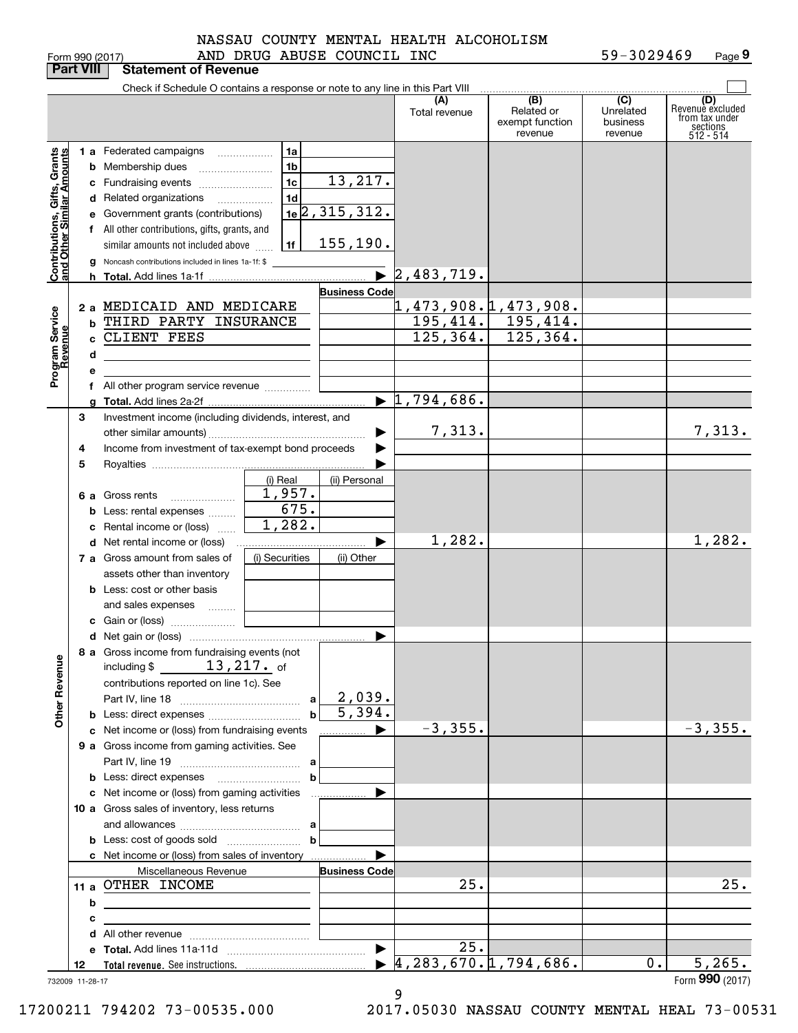Form 990 (2017) Page AND DRUG ABUSE COUNCIL INC 59-3029469 **9**

|                                                           | <b>Part VIII</b> | <b>Statement of Revenue</b>                                                                                            |                                            |                       |                                            |                                          |                                  |                                                             |
|-----------------------------------------------------------|------------------|------------------------------------------------------------------------------------------------------------------------|--------------------------------------------|-----------------------|--------------------------------------------|------------------------------------------|----------------------------------|-------------------------------------------------------------|
|                                                           |                  | Check if Schedule O contains a response or note to any line in this Part VIII                                          |                                            |                       | (A)                                        | (B)                                      | (C)                              | (D)                                                         |
|                                                           |                  |                                                                                                                        |                                            |                       | Total revenue                              | Related or<br>exempt function<br>revenue | Unrelated<br>business<br>revenue | Revenuè excluded<br>from tax under<br>sections<br>512 - 514 |
|                                                           |                  | 1 a Federated campaigns                                                                                                | 1a                                         |                       |                                            |                                          |                                  |                                                             |
|                                                           |                  | <b>b</b> Membership dues                                                                                               | 1 <sub>b</sub>                             |                       |                                            |                                          |                                  |                                                             |
|                                                           |                  | c Fundraising events                                                                                                   | 1 <sub>c</sub>                             | 13, 217.              |                                            |                                          |                                  |                                                             |
|                                                           |                  | d Related organizations                                                                                                | 1 <sub>d</sub><br>$\overline{\phantom{a}}$ |                       |                                            |                                          |                                  |                                                             |
|                                                           |                  | e Government grants (contributions)                                                                                    |                                            | $1e$ 2, 315, 312.     |                                            |                                          |                                  |                                                             |
|                                                           |                  | f All other contributions, gifts, grants, and                                                                          |                                            |                       |                                            |                                          |                                  |                                                             |
|                                                           |                  | similar amounts not included above                                                                                     | 1f                                         | 155, 190.             |                                            |                                          |                                  |                                                             |
| Contributions, Gifts, Grants<br>and Other Similar Amounts |                  | Noncash contributions included in lines 1a-1f: \$                                                                      |                                            | $\blacktriangleright$ |                                            |                                          |                                  |                                                             |
|                                                           |                  |                                                                                                                        |                                            |                       | 2,483,719.                                 |                                          |                                  |                                                             |
|                                                           |                  | 2 a MEDICAID AND MEDICARE                                                                                              |                                            | <b>Business Code</b>  |                                            |                                          |                                  |                                                             |
|                                                           | b                | THIRD PARTY INSURANCE                                                                                                  |                                            |                       | <u>1,473,908.1,473,908.</u>                | $195, 414.$ 195, 414.                    |                                  |                                                             |
|                                                           |                  | c CLIENT FEES                                                                                                          |                                            |                       | 125, 364.                                  | 125,364.                                 |                                  |                                                             |
| Program Service<br>Revenue                                | d                |                                                                                                                        |                                            |                       |                                            |                                          |                                  |                                                             |
|                                                           | е                |                                                                                                                        |                                            |                       |                                            |                                          |                                  |                                                             |
|                                                           |                  | f All other program service revenue                                                                                    |                                            |                       |                                            |                                          |                                  |                                                             |
|                                                           |                  |                                                                                                                        |                                            |                       | $\blacktriangleright$ 1,794,686.           |                                          |                                  |                                                             |
|                                                           | 3                | Investment income (including dividends, interest, and                                                                  |                                            |                       |                                            |                                          |                                  |                                                             |
|                                                           |                  |                                                                                                                        |                                            |                       | 7,313.                                     |                                          |                                  | 7,313.                                                      |
|                                                           | 4                | Income from investment of tax-exempt bond proceeds                                                                     |                                            |                       |                                            |                                          |                                  |                                                             |
|                                                           | 5                |                                                                                                                        |                                            |                       |                                            |                                          |                                  |                                                             |
|                                                           |                  |                                                                                                                        | (i) Real                                   | (ii) Personal         |                                            |                                          |                                  |                                                             |
|                                                           |                  | 6 a Gross rents                                                                                                        | 1,957.                                     |                       |                                            |                                          |                                  |                                                             |
|                                                           |                  | <b>b</b> Less: rental expenses                                                                                         | 675.<br>1,282.                             |                       |                                            |                                          |                                  |                                                             |
|                                                           |                  | c Rental income or (loss)                                                                                              |                                            |                       | 1,282.                                     |                                          |                                  | 1,282.                                                      |
|                                                           |                  | 7 a Gross amount from sales of                                                                                         | (i) Securities                             | ▶<br>(ii) Other       |                                            |                                          |                                  |                                                             |
|                                                           |                  | assets other than inventory                                                                                            |                                            |                       |                                            |                                          |                                  |                                                             |
|                                                           |                  | <b>b</b> Less: cost or other basis                                                                                     |                                            |                       |                                            |                                          |                                  |                                                             |
|                                                           |                  | and sales expenses                                                                                                     |                                            |                       |                                            |                                          |                                  |                                                             |
|                                                           |                  |                                                                                                                        |                                            |                       |                                            |                                          |                                  |                                                             |
|                                                           |                  |                                                                                                                        |                                            | ▶                     |                                            |                                          |                                  |                                                             |
|                                                           |                  | 8 a Gross income from fundraising events (not<br>including $$13,217.$ of                                               |                                            |                       |                                            |                                          |                                  |                                                             |
| <b>Other Revenue</b>                                      |                  |                                                                                                                        |                                            |                       |                                            |                                          |                                  |                                                             |
|                                                           |                  | contributions reported on line 1c). See                                                                                |                                            | 2,039.                |                                            |                                          |                                  |                                                             |
|                                                           |                  |                                                                                                                        | $\mathbf b$                                | 5,394.                |                                            |                                          |                                  |                                                             |
|                                                           |                  | c Net income or (loss) from fundraising events                                                                         |                                            |                       | $-3, 355.$                                 |                                          |                                  | $-3,355.$                                                   |
|                                                           |                  | 9 a Gross income from gaming activities. See                                                                           |                                            |                       |                                            |                                          |                                  |                                                             |
|                                                           |                  |                                                                                                                        |                                            |                       |                                            |                                          |                                  |                                                             |
|                                                           |                  |                                                                                                                        | b                                          |                       |                                            |                                          |                                  |                                                             |
|                                                           |                  | c Net income or (loss) from gaming activities                                                                          |                                            | .                     |                                            |                                          |                                  |                                                             |
|                                                           |                  | 10 a Gross sales of inventory, less returns                                                                            |                                            |                       |                                            |                                          |                                  |                                                             |
|                                                           |                  |                                                                                                                        |                                            |                       |                                            |                                          |                                  |                                                             |
|                                                           |                  |                                                                                                                        | b                                          |                       |                                            |                                          |                                  |                                                             |
|                                                           |                  | c Net income or (loss) from sales of inventory                                                                         |                                            | ▶                     |                                            |                                          |                                  |                                                             |
|                                                           |                  | Miscellaneous Revenue                                                                                                  |                                            | <b>Business Code</b>  |                                            |                                          |                                  |                                                             |
|                                                           |                  | 11 a OTHER INCOME                                                                                                      |                                            |                       | 25.                                        |                                          |                                  | 25.                                                         |
|                                                           | b                | <u> 1989 - Johann Stoff, deutscher Stoffen und der Stoffen und der Stoffen und der Stoffen und der Stoffen und der</u> |                                            |                       |                                            |                                          |                                  |                                                             |
|                                                           | с                |                                                                                                                        |                                            |                       |                                            |                                          |                                  |                                                             |
|                                                           |                  |                                                                                                                        |                                            | $\blacktriangleright$ | 25.                                        |                                          |                                  |                                                             |
|                                                           | 12               |                                                                                                                        |                                            |                       | $\blacktriangleright$ 4,283,670.1,794,686. |                                          | 0.                               | 5,265.                                                      |
|                                                           | 732009 11-28-17  |                                                                                                                        |                                            |                       |                                            |                                          |                                  | Form 990 (2017)                                             |

9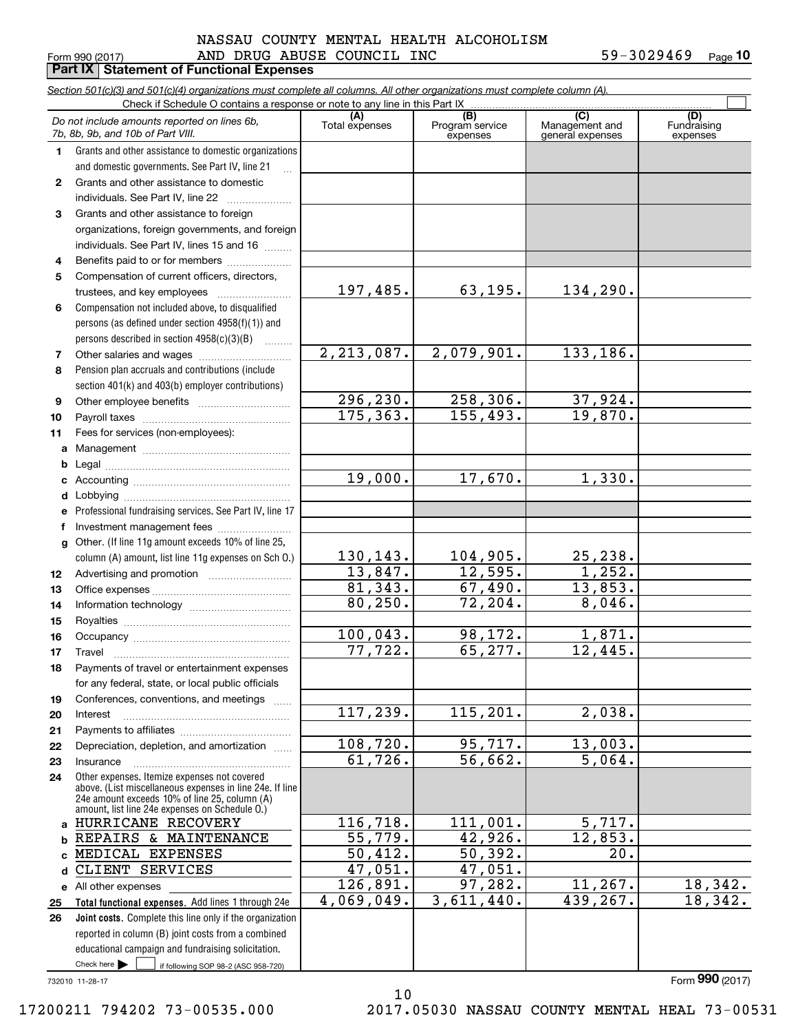# $_{\rm Form}$   $_{990}$  (2017) AND DRUG ABUSE COUNCIL INC 59-3029469  $_{\rm Page}$ **Part IX | Statement of Functional Expenses** NASSAU COUNTY MENTAL HEALTH ALCOHOLISM

|                  | Section 501(c)(3) and 501(c)(4) organizations must complete all columns. All other organizations must complete column (A).    |                |                             |                                    |                         |
|------------------|-------------------------------------------------------------------------------------------------------------------------------|----------------|-----------------------------|------------------------------------|-------------------------|
|                  | Check if Schedule O contains a response or note to any line in this Part IX                                                   | (A)            | (B)                         | (C)                                | (D)                     |
|                  | Do not include amounts reported on lines 6b,<br>7b, 8b, 9b, and 10b of Part VIII.                                             | Total expenses | Program service<br>expenses | Management and<br>general expenses | Fundraising<br>expenses |
| $\mathbf{1}$     | Grants and other assistance to domestic organizations                                                                         |                |                             |                                    |                         |
|                  | and domestic governments. See Part IV, line 21<br>$\mathbf{r}$                                                                |                |                             |                                    |                         |
| $\mathbf{2}$     | Grants and other assistance to domestic                                                                                       |                |                             |                                    |                         |
|                  | individuals. See Part IV, line 22                                                                                             |                |                             |                                    |                         |
| 3                | Grants and other assistance to foreign                                                                                        |                |                             |                                    |                         |
|                  | organizations, foreign governments, and foreign                                                                               |                |                             |                                    |                         |
|                  | individuals. See Part IV, lines 15 and 16                                                                                     |                |                             |                                    |                         |
| 4                |                                                                                                                               |                |                             |                                    |                         |
| 5                | Compensation of current officers, directors,                                                                                  | 197,485.       | 63, 195.                    | 134,290.                           |                         |
|                  |                                                                                                                               |                |                             |                                    |                         |
| 6                | Compensation not included above, to disqualified                                                                              |                |                             |                                    |                         |
|                  | persons (as defined under section 4958(f)(1)) and                                                                             |                |                             |                                    |                         |
|                  | persons described in section 4958(c)(3)(B)<br>1.1.1.1.1.1.1                                                                   | 2, 213, 087.   | 2,079,901.                  | 133, 186.                          |                         |
| 7<br>8           | Pension plan accruals and contributions (include                                                                              |                |                             |                                    |                         |
|                  | section 401(k) and 403(b) employer contributions)                                                                             |                |                             |                                    |                         |
| 9                |                                                                                                                               | 296, 230.      | 258, 306.                   | 37,924.                            |                         |
| 10               |                                                                                                                               | 175, 363.      | 155,493.                    | 19,870.                            |                         |
| 11               | Fees for services (non-employees):                                                                                            |                |                             |                                    |                         |
|                  |                                                                                                                               |                |                             |                                    |                         |
| b                |                                                                                                                               |                |                             |                                    |                         |
| c                |                                                                                                                               | 19,000.        | 17,670.                     | 1,330.                             |                         |
| d                |                                                                                                                               |                |                             |                                    |                         |
| е                | Professional fundraising services. See Part IV, line 17                                                                       |                |                             |                                    |                         |
| f                | Investment management fees                                                                                                    |                |                             |                                    |                         |
|                  | g Other. (If line 11g amount exceeds 10% of line 25,                                                                          |                |                             |                                    |                         |
|                  | column (A) amount, list line 11g expenses on Sch O.)                                                                          | 130,143.       | 104,905.                    | 25,238.                            |                         |
| 12 <sup>12</sup> |                                                                                                                               | 13,847.        | 12,595.                     | 1,252.                             |                         |
| 13               |                                                                                                                               | 81,343.        | 67,490.                     | 13,853.                            |                         |
| 14               |                                                                                                                               | 80, 250.       | 72,204.                     | 8,046.                             |                         |
| 15               |                                                                                                                               |                |                             |                                    |                         |
| 16               |                                                                                                                               | 100,043.       | 98,172.                     | 1,871.                             |                         |
| 17               |                                                                                                                               | 77,722.        | 65,277.                     | 12,445.                            |                         |
| 18               | Payments of travel or entertainment expenses                                                                                  |                |                             |                                    |                         |
|                  | for any federal, state, or local public officials                                                                             |                |                             |                                    |                         |
| 19               | Conferences, conventions, and meetings                                                                                        |                |                             |                                    |                         |
| 20               | Interest                                                                                                                      | 117,239.       | 115,201.                    | 2,038.                             |                         |
| 21               |                                                                                                                               | 108, 720.      | 95,717.                     | 13,003.                            |                         |
| 22               | Depreciation, depletion, and amortization<br>Insurance                                                                        | 61,726.        | 56,662.                     | 5,064.                             |                         |
| 23<br>24         | Other expenses. Itemize expenses not covered                                                                                  |                |                             |                                    |                         |
|                  | above. (List miscellaneous expenses in line 24e. If line<br>24e amount exceeds 10% of line 25, column (A)                     |                |                             |                                    |                         |
|                  | amount, list line 24e expenses on Schedule O.)                                                                                |                |                             |                                    |                         |
| a                | HURRICANE RECOVERY                                                                                                            | 116,718.       | 111,001.                    | 5,717.                             |                         |
| b                | REPAIRS & MAINTENANCE                                                                                                         | 55,779.        | 42,926.                     | 12,853.                            |                         |
| C                | MEDICAL EXPENSES                                                                                                              | 50,412.        | 50, 392.                    | $\overline{20}$ .                  |                         |
| d                | CLIENT SERVICES                                                                                                               | 47,051.        | 47,051.                     |                                    |                         |
|                  | e All other expenses                                                                                                          | 126,891.       | 97, 282.                    | 11, 267.                           | 18,342.                 |
| 25               | Total functional expenses. Add lines 1 through 24e                                                                            | 4,069,049.     | 3,611,440.                  | 439,267.                           | 18,342.                 |
| 26               | Joint costs. Complete this line only if the organization                                                                      |                |                             |                                    |                         |
|                  | reported in column (B) joint costs from a combined                                                                            |                |                             |                                    |                         |
|                  | educational campaign and fundraising solicitation.<br>Check here $\blacktriangleright$<br>if following SOP 98-2 (ASC 958-720) |                |                             |                                    |                         |
|                  |                                                                                                                               |                |                             |                                    |                         |

10

732010 11-28-17

Form (2017) **990**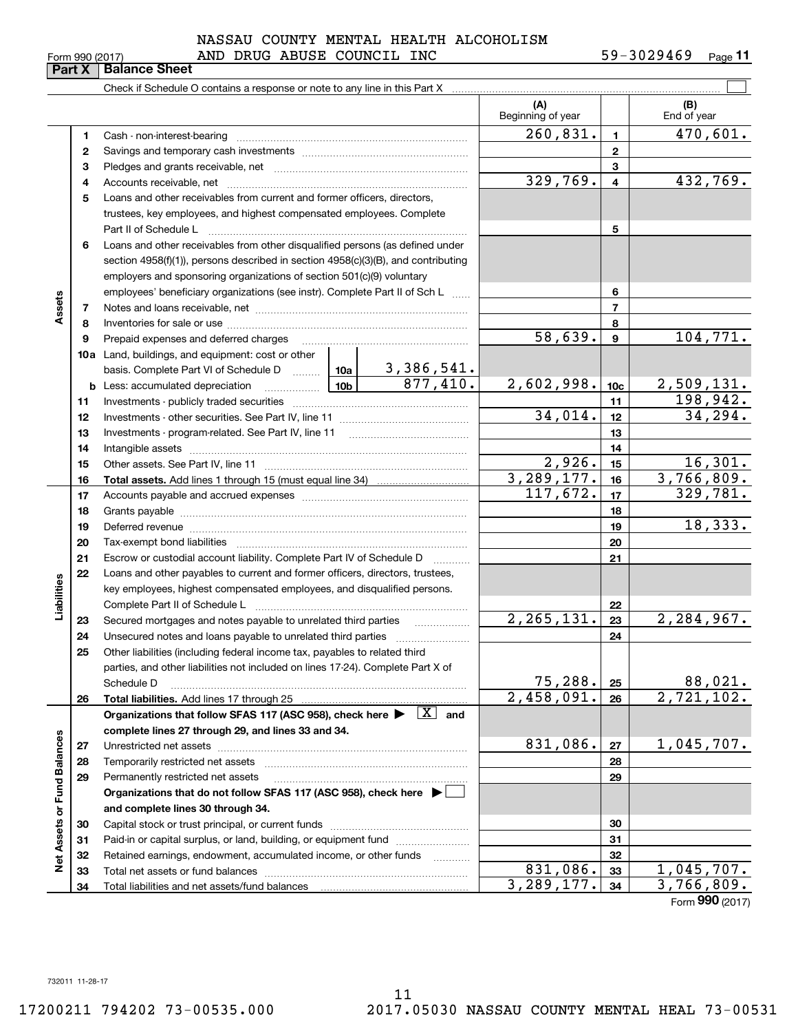| Form 990 (2017) |  |  |
|-----------------|--|--|
|                 |  |  |

# $_{\rm Form}$   $_{990}$  (2017) AND DRUG ABUSE COUNCIL INC 59-3029469  $_{\rm Page}$ NASSAU COUNTY MENTAL HEALTH ALCOHOLISM

**11**

|                             | Part X | <b>Balance Sheet</b>                                                                                                                                                                                                           |  |            |                          |                 |                          |
|-----------------------------|--------|--------------------------------------------------------------------------------------------------------------------------------------------------------------------------------------------------------------------------------|--|------------|--------------------------|-----------------|--------------------------|
|                             |        |                                                                                                                                                                                                                                |  |            |                          |                 |                          |
|                             |        |                                                                                                                                                                                                                                |  |            | (A)<br>Beginning of year |                 | (B)<br>End of year       |
|                             | 1      |                                                                                                                                                                                                                                |  |            | 260,831.                 | $\mathbf{1}$    | 470,601.                 |
|                             | 2      |                                                                                                                                                                                                                                |  |            |                          | $\mathbf{2}$    |                          |
|                             | з      |                                                                                                                                                                                                                                |  |            |                          | 3               |                          |
|                             | 4      |                                                                                                                                                                                                                                |  |            | 329,769.                 | $\overline{4}$  | 432,769.                 |
|                             | 5      | Loans and other receivables from current and former officers, directors,                                                                                                                                                       |  |            |                          |                 |                          |
|                             |        | trustees, key employees, and highest compensated employees. Complete                                                                                                                                                           |  |            |                          |                 |                          |
|                             |        | Part II of Schedule L                                                                                                                                                                                                          |  |            |                          | 5               |                          |
|                             | 6      | Loans and other receivables from other disqualified persons (as defined under                                                                                                                                                  |  |            |                          |                 |                          |
|                             |        | section 4958(f)(1)), persons described in section 4958(c)(3)(B), and contributing                                                                                                                                              |  |            |                          |                 |                          |
|                             |        | employers and sponsoring organizations of section 501(c)(9) voluntary                                                                                                                                                          |  |            |                          |                 |                          |
|                             |        | employees' beneficiary organizations (see instr). Complete Part II of Sch L                                                                                                                                                    |  |            | 6                        |                 |                          |
| Assets                      | 7      |                                                                                                                                                                                                                                |  |            | $\overline{7}$           |                 |                          |
|                             | 8      |                                                                                                                                                                                                                                |  |            |                          | 8               |                          |
|                             | 9      | Prepaid expenses and deferred charges                                                                                                                                                                                          |  |            | 58,639.                  | $\mathbf{9}$    | 104, 771.                |
|                             |        | <b>10a</b> Land, buildings, and equipment: cost or other                                                                                                                                                                       |  |            |                          |                 |                          |
|                             |        |                                                                                                                                                                                                                                |  |            |                          |                 |                          |
|                             |        |                                                                                                                                                                                                                                |  |            | 2,602,998.               | 10 <sub>c</sub> | <u>2,509,131.</u>        |
|                             | 11     |                                                                                                                                                                                                                                |  |            |                          | 11              | 198,942.                 |
|                             | 12     |                                                                                                                                                                                                                                |  |            | 34,014.                  | 12              | 34, 294.                 |
|                             | 13     |                                                                                                                                                                                                                                |  |            | 13                       |                 |                          |
|                             | 14     |                                                                                                                                                                                                                                |  |            |                          | 14              |                          |
|                             | 15     |                                                                                                                                                                                                                                |  | 2,926.     | 15                       | 16,301.         |                          |
|                             | 16     |                                                                                                                                                                                                                                |  | 3,289,177. | 16                       | 3,766,809.      |                          |
|                             | 17     |                                                                                                                                                                                                                                |  | 117,672.   | 17                       | 329,781.        |                          |
|                             | 18     |                                                                                                                                                                                                                                |  |            |                          | 18              | 18,333.                  |
|                             | 19     | Deferred revenue material contracts and a contract of the contract of the contract of the contract of the contract of the contract of the contract of the contract of the contract of the contract of the contract of the cont |  |            |                          | 19              |                          |
|                             | 20     |                                                                                                                                                                                                                                |  |            |                          | 20              |                          |
|                             | 21     | Escrow or custodial account liability. Complete Part IV of Schedule D                                                                                                                                                          |  |            |                          | 21              |                          |
| Liabilities                 | 22     | Loans and other payables to current and former officers, directors, trustees,<br>key employees, highest compensated employees, and disqualified persons.                                                                       |  |            |                          |                 |                          |
|                             |        | Complete Part II of Schedule L                                                                                                                                                                                                 |  |            |                          | 22              |                          |
|                             | 23     | Secured mortgages and notes payable to unrelated third parties                                                                                                                                                                 |  |            | 2, 265, 131.             | 23              | 2,284,967.               |
|                             | 24     |                                                                                                                                                                                                                                |  |            |                          | 24              |                          |
|                             | 25     | Other liabilities (including federal income tax, payables to related third                                                                                                                                                     |  |            |                          |                 |                          |
|                             |        | parties, and other liabilities not included on lines 17-24). Complete Part X of                                                                                                                                                |  |            |                          |                 |                          |
|                             |        | Schedule D                                                                                                                                                                                                                     |  |            | 75,288.                  | 25              | 88,021.                  |
|                             | 26     | Total liabilities. Add lines 17 through 25                                                                                                                                                                                     |  |            | $\overline{2,458,091}$ . | 26              | $\overline{2,721,102}$ . |
|                             |        | Organizations that follow SFAS 117 (ASC 958), check here $\blacktriangleright \begin{array}{ c } \hline X & \text{and} \end{array}$                                                                                            |  |            |                          |                 |                          |
|                             |        | complete lines 27 through 29, and lines 33 and 34.                                                                                                                                                                             |  |            |                          |                 |                          |
|                             | 27     |                                                                                                                                                                                                                                |  |            | 831,086.                 | 27              | 1,045,707.               |
|                             | 28     |                                                                                                                                                                                                                                |  |            |                          | 28              |                          |
|                             | 29     | Permanently restricted net assets                                                                                                                                                                                              |  |            |                          | 29              |                          |
|                             |        | Organizations that do not follow SFAS 117 (ASC 958), check here ▶                                                                                                                                                              |  |            |                          |                 |                          |
|                             |        | and complete lines 30 through 34.                                                                                                                                                                                              |  |            |                          |                 |                          |
|                             | 30     |                                                                                                                                                                                                                                |  |            |                          | 30              |                          |
|                             | 31     | Paid-in or capital surplus, or land, building, or equipment fund                                                                                                                                                               |  |            |                          | 31              |                          |
| Net Assets or Fund Balances | 32     | Retained earnings, endowment, accumulated income, or other funds                                                                                                                                                               |  |            |                          | 32              |                          |
|                             | 33     | Total net assets or fund balances                                                                                                                                                                                              |  |            | 831,086.                 | 33              | 1,045,707.               |
|                             | 34     | Total liabilities and net assets/fund balances                                                                                                                                                                                 |  |            | $\overline{3,289},177.$  | 34              | $\overline{3,766},809.$  |
|                             |        |                                                                                                                                                                                                                                |  |            |                          |                 | Form 990 (2017)          |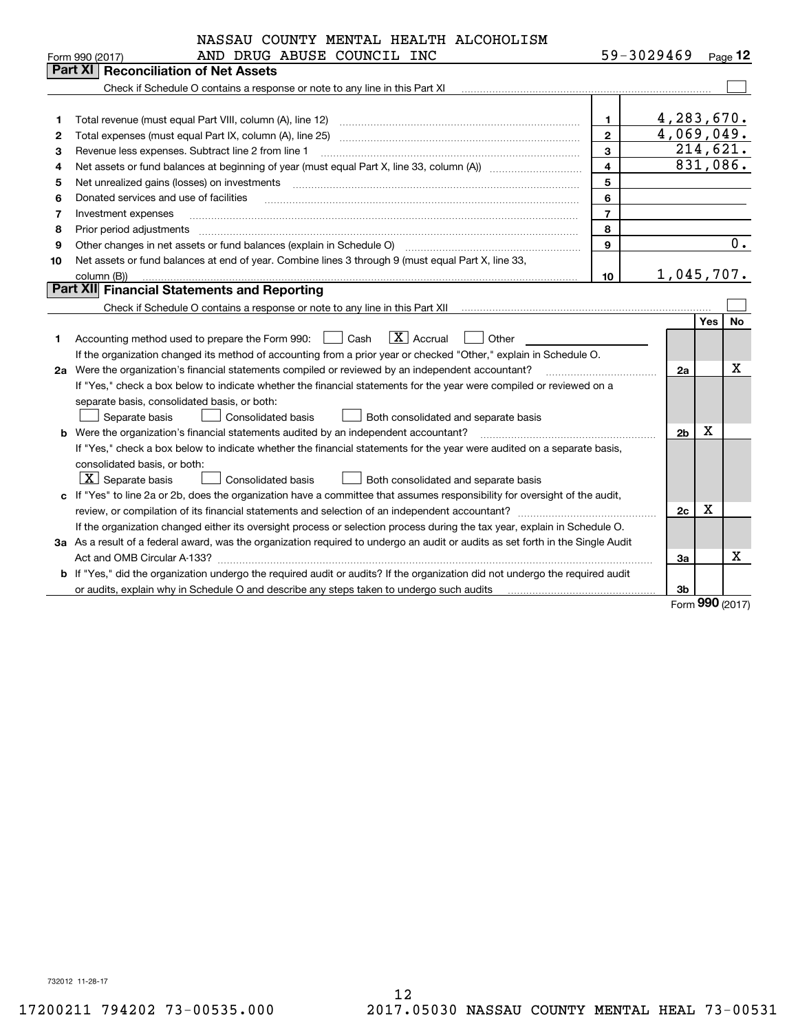|         | NASSAU COUNTY MENTAL HEALTH ALCOHOLISM                                                                                                                         |                |                |     |          |
|---------|----------------------------------------------------------------------------------------------------------------------------------------------------------------|----------------|----------------|-----|----------|
|         | AND DRUG ABUSE COUNCIL INC<br>Form 990 (2017)                                                                                                                  |                | 59-3029469     |     | Page 12  |
| Part XI | <b>Reconciliation of Net Assets</b>                                                                                                                            |                |                |     |          |
|         | Check if Schedule O contains a response or note to any line in this Part XI manufactured in successive contains a response or note to any line in this Part XI |                |                |     |          |
|         |                                                                                                                                                                |                |                |     |          |
| 1       |                                                                                                                                                                | $\mathbf{1}$   | 4,283,670.     |     |          |
| 2       | Total expenses (must equal Part IX, column (A), line 25)                                                                                                       | $\overline{2}$ | 4,069,049.     |     |          |
| 3       | Revenue less expenses. Subtract line 2 from line 1                                                                                                             | 3              | 214,621.       |     |          |
| 4       |                                                                                                                                                                | 4              | 831,086.       |     |          |
| 5       | Net unrealized gains (losses) on investments                                                                                                                   | 5              |                |     |          |
| 6       | Donated services and use of facilities                                                                                                                         | 6              |                |     |          |
| 7       | Investment expenses                                                                                                                                            | $\overline{7}$ |                |     |          |
| 8       | Prior period adjustments                                                                                                                                       | 8              |                |     |          |
| 9       | Other changes in net assets or fund balances (explain in Schedule O)                                                                                           | $\mathbf{Q}$   |                |     | 0.       |
| 10      | Net assets or fund balances at end of year. Combine lines 3 through 9 (must equal Part X, line 33,                                                             |                |                |     |          |
|         | column (B))                                                                                                                                                    | 10             | 1,045,707.     |     |          |
|         | Part XII Financial Statements and Reporting                                                                                                                    |                |                |     |          |
|         |                                                                                                                                                                |                |                |     |          |
|         |                                                                                                                                                                |                |                | Yes | No       |
| 1       | $\boxed{\mathbf{X}}$ Accrual<br>Accounting method used to prepare the Form 990: <u>I</u> Cash<br>Other                                                         |                |                |     |          |
|         | If the organization changed its method of accounting from a prior year or checked "Other," explain in Schedule O.                                              |                |                |     |          |
|         | 2a Were the organization's financial statements compiled or reviewed by an independent accountant?                                                             |                | 2a             |     | x        |
|         | If "Yes," check a box below to indicate whether the financial statements for the year were compiled or reviewed on a                                           |                |                |     |          |
|         | separate basis, consolidated basis, or both:                                                                                                                   |                |                |     |          |
|         | Separate basis<br><b>Consolidated basis</b><br>Both consolidated and separate basis                                                                            |                |                |     |          |
|         | <b>b</b> Were the organization's financial statements audited by an independent accountant?                                                                    |                | 2 <sub>b</sub> | х   |          |
|         | If "Yes," check a box below to indicate whether the financial statements for the year were audited on a separate basis,                                        |                |                |     |          |
|         | consolidated basis, or both:                                                                                                                                   |                |                |     |          |
|         | $\lfloor x \rfloor$ Separate basis<br>Consolidated basis<br>Both consolidated and separate basis                                                               |                |                |     |          |
|         | c If "Yes" to line 2a or 2b, does the organization have a committee that assumes responsibility for oversight of the audit,                                    |                |                |     |          |
|         | review, or compilation of its financial statements and selection of an independent accountant?                                                                 |                | 2c             | X   |          |
|         | If the organization changed either its oversight process or selection process during the tax year, explain in Schedule O.                                      |                |                |     |          |
|         | 3a As a result of a federal award, was the organization required to undergo an audit or audits as set forth in the Single Audit                                |                |                |     |          |
|         |                                                                                                                                                                |                | За             |     | Χ        |
|         | b If "Yes," did the organization undergo the required audit or audits? If the organization did not undergo the required audit                                  |                |                |     |          |
|         |                                                                                                                                                                |                | 3b             |     | $\Omega$ |

Form (2017) **990**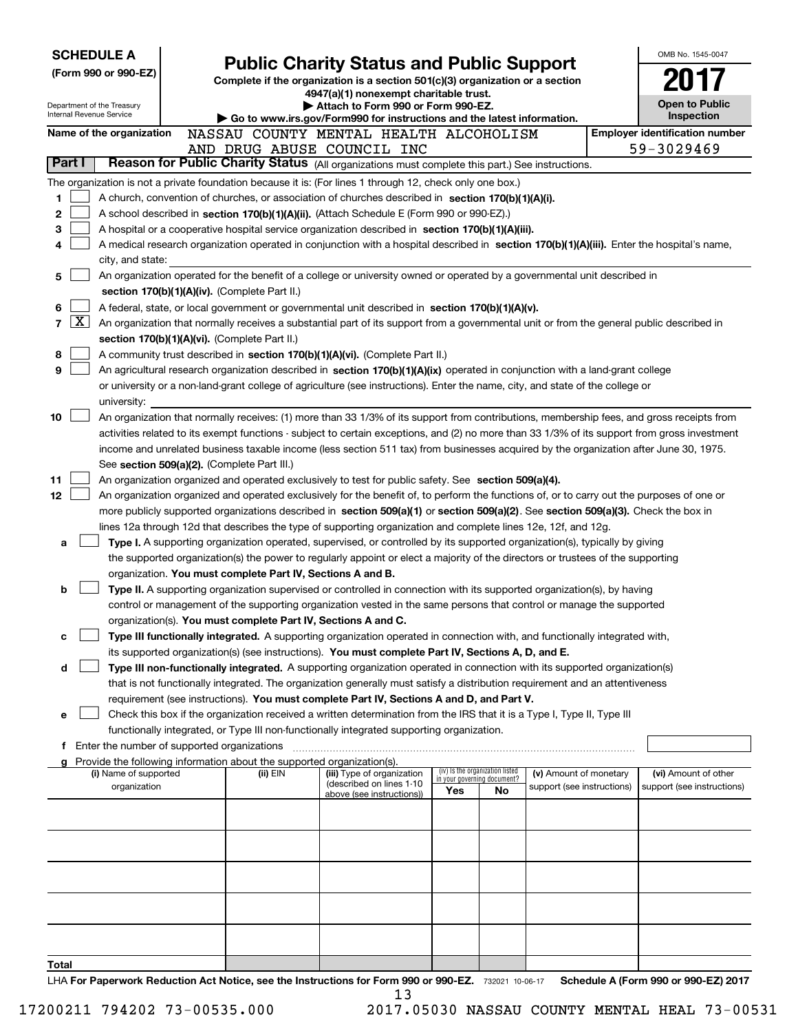|                               |                                                                                                                                               | <b>SCHEDULE A</b>                                             |  |                                                                        |                                                                                                                                                                                                                                                      |                             |                                 |                            |  | OMB No. 1545-0047                     |
|-------------------------------|-----------------------------------------------------------------------------------------------------------------------------------------------|---------------------------------------------------------------|--|------------------------------------------------------------------------|------------------------------------------------------------------------------------------------------------------------------------------------------------------------------------------------------------------------------------------------------|-----------------------------|---------------------------------|----------------------------|--|---------------------------------------|
|                               |                                                                                                                                               | (Form 990 or 990-EZ)                                          |  |                                                                        | <b>Public Charity Status and Public Support</b><br>Complete if the organization is a section 501(c)(3) organization or a section                                                                                                                     |                             |                                 |                            |  |                                       |
|                               |                                                                                                                                               |                                                               |  |                                                                        | 4947(a)(1) nonexempt charitable trust.                                                                                                                                                                                                               |                             |                                 |                            |  |                                       |
|                               |                                                                                                                                               | Department of the Treasury<br><b>Internal Revenue Service</b> |  |                                                                        | Attach to Form 990 or Form 990-EZ.                                                                                                                                                                                                                   |                             |                                 |                            |  | <b>Open to Public</b><br>Inspection   |
|                               |                                                                                                                                               | Name of the organization                                      |  |                                                                        | Go to www.irs.gov/Form990 for instructions and the latest information.<br>NASSAU COUNTY MENTAL HEALTH ALCOHOLISM                                                                                                                                     |                             |                                 |                            |  | <b>Employer identification number</b> |
|                               |                                                                                                                                               |                                                               |  |                                                                        | AND DRUG ABUSE COUNCIL INC                                                                                                                                                                                                                           |                             |                                 |                            |  | 59-3029469                            |
|                               | Part I                                                                                                                                        |                                                               |  |                                                                        | Reason for Public Charity Status (All organizations must complete this part.) See instructions.                                                                                                                                                      |                             |                                 |                            |  |                                       |
|                               |                                                                                                                                               |                                                               |  |                                                                        | The organization is not a private foundation because it is: (For lines 1 through 12, check only one box.)                                                                                                                                            |                             |                                 |                            |  |                                       |
| 1                             |                                                                                                                                               |                                                               |  |                                                                        | A church, convention of churches, or association of churches described in section 170(b)(1)(A)(i).                                                                                                                                                   |                             |                                 |                            |  |                                       |
| 2                             |                                                                                                                                               |                                                               |  |                                                                        | A school described in section 170(b)(1)(A)(ii). (Attach Schedule E (Form 990 or 990-EZ).)                                                                                                                                                            |                             |                                 |                            |  |                                       |
| 3                             |                                                                                                                                               |                                                               |  |                                                                        | A hospital or a cooperative hospital service organization described in section $170(b)(1)(A)(iii)$ .                                                                                                                                                 |                             |                                 |                            |  |                                       |
| 4                             |                                                                                                                                               |                                                               |  |                                                                        | A medical research organization operated in conjunction with a hospital described in section 170(b)(1)(A)(iii). Enter the hospital's name,                                                                                                           |                             |                                 |                            |  |                                       |
|                               |                                                                                                                                               | city, and state:                                              |  |                                                                        |                                                                                                                                                                                                                                                      |                             |                                 |                            |  |                                       |
| 5                             | An organization operated for the benefit of a college or university owned or operated by a governmental unit described in                     |                                                               |  |                                                                        |                                                                                                                                                                                                                                                      |                             |                                 |                            |  |                                       |
|                               |                                                                                                                                               |                                                               |  | section 170(b)(1)(A)(iv). (Complete Part II.)                          |                                                                                                                                                                                                                                                      |                             |                                 |                            |  |                                       |
| 6<br>$\overline{\phantom{a}}$ | $\mathbf{X}$                                                                                                                                  |                                                               |  |                                                                        | A federal, state, or local government or governmental unit described in section 170(b)(1)(A)(v).                                                                                                                                                     |                             |                                 |                            |  |                                       |
|                               |                                                                                                                                               |                                                               |  | section 170(b)(1)(A)(vi). (Complete Part II.)                          | An organization that normally receives a substantial part of its support from a governmental unit or from the general public described in                                                                                                            |                             |                                 |                            |  |                                       |
| 8                             |                                                                                                                                               |                                                               |  |                                                                        | A community trust described in section 170(b)(1)(A)(vi). (Complete Part II.)                                                                                                                                                                         |                             |                                 |                            |  |                                       |
| 9                             |                                                                                                                                               |                                                               |  |                                                                        | An agricultural research organization described in section 170(b)(1)(A)(ix) operated in conjunction with a land-grant college                                                                                                                        |                             |                                 |                            |  |                                       |
|                               |                                                                                                                                               |                                                               |  |                                                                        | or university or a non-land-grant college of agriculture (see instructions). Enter the name, city, and state of the college or                                                                                                                       |                             |                                 |                            |  |                                       |
|                               |                                                                                                                                               | university:                                                   |  |                                                                        |                                                                                                                                                                                                                                                      |                             |                                 |                            |  |                                       |
| 10                            |                                                                                                                                               |                                                               |  |                                                                        | An organization that normally receives: (1) more than 33 1/3% of its support from contributions, membership fees, and gross receipts from                                                                                                            |                             |                                 |                            |  |                                       |
|                               | activities related to its exempt functions - subject to certain exceptions, and (2) no more than 33 1/3% of its support from gross investment |                                                               |  |                                                                        |                                                                                                                                                                                                                                                      |                             |                                 |                            |  |                                       |
|                               | income and unrelated business taxable income (less section 511 tax) from businesses acquired by the organization after June 30, 1975.         |                                                               |  |                                                                        |                                                                                                                                                                                                                                                      |                             |                                 |                            |  |                                       |
|                               |                                                                                                                                               |                                                               |  | See section 509(a)(2). (Complete Part III.)                            |                                                                                                                                                                                                                                                      |                             |                                 |                            |  |                                       |
| 11                            |                                                                                                                                               |                                                               |  |                                                                        | An organization organized and operated exclusively to test for public safety. See section 509(a)(4).                                                                                                                                                 |                             |                                 |                            |  |                                       |
| 12                            |                                                                                                                                               |                                                               |  |                                                                        | An organization organized and operated exclusively for the benefit of, to perform the functions of, or to carry out the purposes of one or                                                                                                           |                             |                                 |                            |  |                                       |
|                               |                                                                                                                                               |                                                               |  |                                                                        | more publicly supported organizations described in section 509(a)(1) or section 509(a)(2). See section 509(a)(3). Check the box in<br>lines 12a through 12d that describes the type of supporting organization and complete lines 12e, 12f, and 12g. |                             |                                 |                            |  |                                       |
| a                             |                                                                                                                                               |                                                               |  |                                                                        | Type I. A supporting organization operated, supervised, or controlled by its supported organization(s), typically by giving                                                                                                                          |                             |                                 |                            |  |                                       |
|                               |                                                                                                                                               |                                                               |  |                                                                        | the supported organization(s) the power to regularly appoint or elect a majority of the directors or trustees of the supporting                                                                                                                      |                             |                                 |                            |  |                                       |
|                               |                                                                                                                                               |                                                               |  | organization. You must complete Part IV, Sections A and B.             |                                                                                                                                                                                                                                                      |                             |                                 |                            |  |                                       |
| b                             |                                                                                                                                               |                                                               |  |                                                                        | Type II. A supporting organization supervised or controlled in connection with its supported organization(s), by having                                                                                                                              |                             |                                 |                            |  |                                       |
|                               |                                                                                                                                               |                                                               |  |                                                                        | control or management of the supporting organization vested in the same persons that control or manage the supported                                                                                                                                 |                             |                                 |                            |  |                                       |
|                               |                                                                                                                                               |                                                               |  | organization(s). You must complete Part IV, Sections A and C.          |                                                                                                                                                                                                                                                      |                             |                                 |                            |  |                                       |
| с                             |                                                                                                                                               |                                                               |  |                                                                        | Type III functionally integrated. A supporting organization operated in connection with, and functionally integrated with,                                                                                                                           |                             |                                 |                            |  |                                       |
|                               |                                                                                                                                               |                                                               |  |                                                                        | its supported organization(s) (see instructions). You must complete Part IV, Sections A, D, and E.                                                                                                                                                   |                             |                                 |                            |  |                                       |
|                               |                                                                                                                                               |                                                               |  |                                                                        | Type III non-functionally integrated. A supporting organization operated in connection with its supported organization(s)                                                                                                                            |                             |                                 |                            |  |                                       |
|                               |                                                                                                                                               |                                                               |  |                                                                        | that is not functionally integrated. The organization generally must satisfy a distribution requirement and an attentiveness<br>requirement (see instructions). You must complete Part IV, Sections A and D, and Part V.                             |                             |                                 |                            |  |                                       |
| е                             |                                                                                                                                               |                                                               |  |                                                                        | Check this box if the organization received a written determination from the IRS that it is a Type I, Type II, Type III                                                                                                                              |                             |                                 |                            |  |                                       |
|                               |                                                                                                                                               |                                                               |  |                                                                        | functionally integrated, or Type III non-functionally integrated supporting organization.                                                                                                                                                            |                             |                                 |                            |  |                                       |
| f                             |                                                                                                                                               | Enter the number of supported organizations                   |  |                                                                        |                                                                                                                                                                                                                                                      |                             |                                 |                            |  |                                       |
|                               |                                                                                                                                               |                                                               |  | Provide the following information about the supported organization(s). |                                                                                                                                                                                                                                                      |                             |                                 |                            |  |                                       |
|                               |                                                                                                                                               | (i) Name of supported                                         |  | (ii) EIN                                                               | (iii) Type of organization<br>(described on lines 1-10                                                                                                                                                                                               | in your governing document? | (iv) Is the organization listed | (v) Amount of monetary     |  | (vi) Amount of other                  |
|                               |                                                                                                                                               | organization                                                  |  |                                                                        | above (see instructions))                                                                                                                                                                                                                            | Yes                         | No                              | support (see instructions) |  | support (see instructions)            |
|                               |                                                                                                                                               |                                                               |  |                                                                        |                                                                                                                                                                                                                                                      |                             |                                 |                            |  |                                       |
|                               |                                                                                                                                               |                                                               |  |                                                                        |                                                                                                                                                                                                                                                      |                             |                                 |                            |  |                                       |
|                               |                                                                                                                                               |                                                               |  |                                                                        |                                                                                                                                                                                                                                                      |                             |                                 |                            |  |                                       |
|                               |                                                                                                                                               |                                                               |  |                                                                        |                                                                                                                                                                                                                                                      |                             |                                 |                            |  |                                       |
|                               |                                                                                                                                               |                                                               |  |                                                                        |                                                                                                                                                                                                                                                      |                             |                                 |                            |  |                                       |
|                               |                                                                                                                                               |                                                               |  |                                                                        |                                                                                                                                                                                                                                                      |                             |                                 |                            |  |                                       |
|                               |                                                                                                                                               |                                                               |  |                                                                        |                                                                                                                                                                                                                                                      |                             |                                 |                            |  |                                       |
|                               |                                                                                                                                               |                                                               |  |                                                                        |                                                                                                                                                                                                                                                      |                             |                                 |                            |  |                                       |
|                               |                                                                                                                                               |                                                               |  |                                                                        |                                                                                                                                                                                                                                                      |                             |                                 |                            |  |                                       |
| Total                         |                                                                                                                                               |                                                               |  |                                                                        |                                                                                                                                                                                                                                                      |                             |                                 |                            |  |                                       |
|                               |                                                                                                                                               |                                                               |  |                                                                        |                                                                                                                                                                                                                                                      |                             |                                 |                            |  | .000E20017                            |

LHA For Paperwork Reduction Act Notice, see the Instructions for Form 990 or 990-EZ. 732021 10-06-17 Schedule A (Form 990 or 990-EZ) 2017 13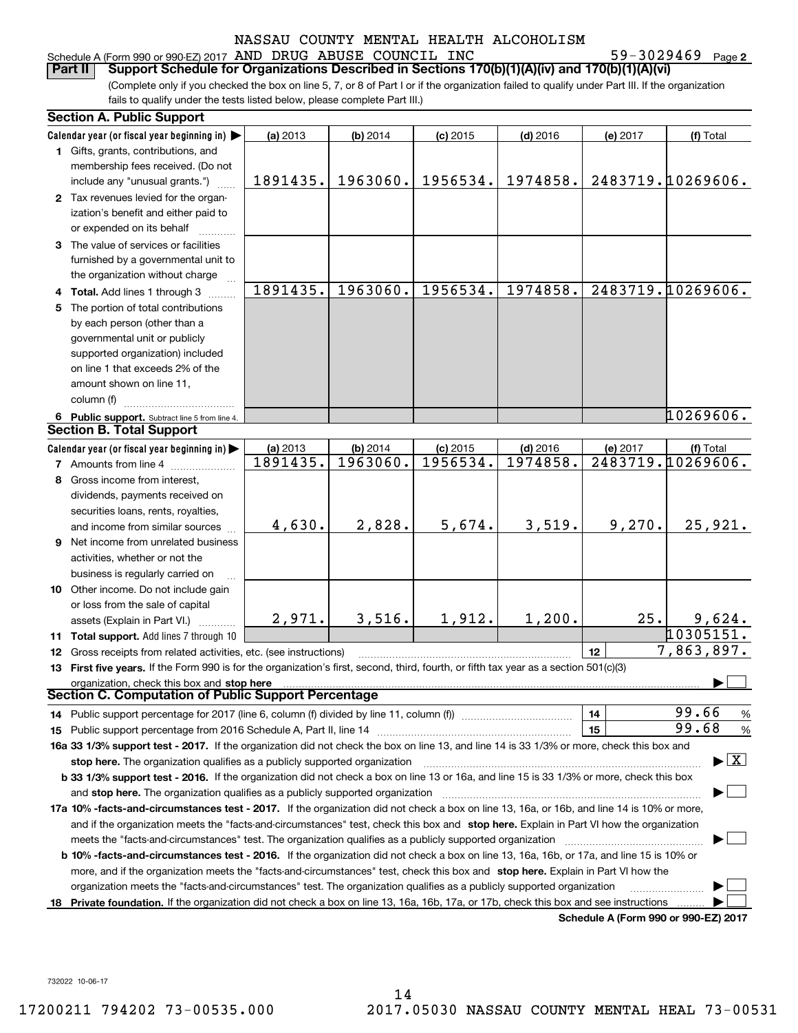# Schedule A (Form 990 or 990-EZ) 2017 Page AND DRUG ABUSE COUNCIL INC 59-3029469

59-3029469 Page 2

(Complete only if you checked the box on line 5, 7, or 8 of Part I or if the organization failed to qualify under Part III. If the organization fails to qualify under the tests listed below, please complete Part III.) **Part II Support Schedule for Organizations Described in Sections 170(b)(1)(A)(iv) and 170(b)(1)(A)(vi)**

|    | <b>Section A. Public Support</b>                                                                                                               |                      |                      |                        |                        |          |                                         |
|----|------------------------------------------------------------------------------------------------------------------------------------------------|----------------------|----------------------|------------------------|------------------------|----------|-----------------------------------------|
|    | Calendar year (or fiscal year beginning in)                                                                                                    | (a) 2013             | (b) 2014             | $(c)$ 2015             | $(d)$ 2016             | (e) 2017 | (f) Total                               |
|    | 1 Gifts, grants, contributions, and                                                                                                            |                      |                      |                        |                        |          |                                         |
|    | membership fees received. (Do not                                                                                                              |                      |                      |                        |                        |          |                                         |
|    | include any "unusual grants.")                                                                                                                 | 1891435.             | 1963060.             | 1956534.               | 1974858.               |          | 2483719.10269606.                       |
|    | 2 Tax revenues levied for the organ-                                                                                                           |                      |                      |                        |                        |          |                                         |
|    | ization's benefit and either paid to                                                                                                           |                      |                      |                        |                        |          |                                         |
|    | or expended on its behalf                                                                                                                      |                      |                      |                        |                        |          |                                         |
|    | 3 The value of services or facilities                                                                                                          |                      |                      |                        |                        |          |                                         |
|    | furnished by a governmental unit to                                                                                                            |                      |                      |                        |                        |          |                                         |
|    | the organization without charge                                                                                                                |                      |                      |                        |                        |          |                                         |
|    | 4 Total. Add lines 1 through 3                                                                                                                 | 1891435.             | 1963060.             | 1956534.               | 1974858.               |          | 2483719.10269606.                       |
|    | 5 The portion of total contributions                                                                                                           |                      |                      |                        |                        |          |                                         |
|    | by each person (other than a                                                                                                                   |                      |                      |                        |                        |          |                                         |
|    | governmental unit or publicly                                                                                                                  |                      |                      |                        |                        |          |                                         |
|    | supported organization) included                                                                                                               |                      |                      |                        |                        |          |                                         |
|    | on line 1 that exceeds 2% of the                                                                                                               |                      |                      |                        |                        |          |                                         |
|    | amount shown on line 11,                                                                                                                       |                      |                      |                        |                        |          |                                         |
|    | column (f)                                                                                                                                     |                      |                      |                        |                        |          |                                         |
|    |                                                                                                                                                |                      |                      |                        |                        |          | 10269606.                               |
|    | 6 Public support. Subtract line 5 from line 4.<br><b>Section B. Total Support</b>                                                              |                      |                      |                        |                        |          |                                         |
|    |                                                                                                                                                |                      |                      |                        |                        |          |                                         |
|    | Calendar year (or fiscal year beginning in)                                                                                                    | (a) 2013<br>1891435. | (b) 2014<br>1963060. | $(c)$ 2015<br>1956534. | $(d)$ 2016<br>1974858. | (e) 2017 | (f) Total<br>2483719.10269606.          |
|    | 7 Amounts from line 4                                                                                                                          |                      |                      |                        |                        |          |                                         |
|    | 8 Gross income from interest,                                                                                                                  |                      |                      |                        |                        |          |                                         |
|    | dividends, payments received on                                                                                                                |                      |                      |                        |                        |          |                                         |
|    | securities loans, rents, royalties,                                                                                                            |                      |                      |                        |                        |          |                                         |
|    | and income from similar sources                                                                                                                | 4,630.               | 2,828.               | 5,674.                 | 3,519.                 | 9,270.   | 25,921.                                 |
|    | <b>9</b> Net income from unrelated business                                                                                                    |                      |                      |                        |                        |          |                                         |
|    | activities, whether or not the                                                                                                                 |                      |                      |                        |                        |          |                                         |
|    | business is regularly carried on                                                                                                               |                      |                      |                        |                        |          |                                         |
|    | 10 Other income. Do not include gain                                                                                                           |                      |                      |                        |                        |          |                                         |
|    | or loss from the sale of capital                                                                                                               |                      |                      |                        |                        |          |                                         |
|    | assets (Explain in Part VI.)                                                                                                                   | 2,971.               | 3,516.               | 1,912.                 | 1,200.                 | 25.      | 9,624.                                  |
|    | 11 Total support. Add lines 7 through 10                                                                                                       |                      |                      |                        |                        |          | 10305151.                               |
|    | 12 Gross receipts from related activities, etc. (see instructions)                                                                             |                      |                      |                        |                        | 12       | 7,863,897.                              |
|    | 13 First five years. If the Form 990 is for the organization's first, second, third, fourth, or fifth tax year as a section 501(c)(3)          |                      |                      |                        |                        |          |                                         |
|    | organization, check this box and stop here                                                                                                     |                      |                      |                        |                        |          |                                         |
|    | Section C. Computation of Public Support Percentage                                                                                            |                      |                      |                        |                        |          |                                         |
|    | 14 Public support percentage for 2017 (line 6, column (f) divided by line 11, column (f) <i>manumanomeron</i> entertain-                       |                      |                      |                        |                        | 14       | 99.66<br>%                              |
|    |                                                                                                                                                |                      |                      |                        |                        | 15       | 99.68<br>$\frac{9}{6}$                  |
|    | 16a 33 1/3% support test - 2017. If the organization did not check the box on line 13, and line 14 is 33 1/3% or more, check this box and      |                      |                      |                        |                        |          |                                         |
|    | stop here. The organization qualifies as a publicly supported organization                                                                     |                      |                      |                        |                        |          | $\blacktriangleright$ $\vert$ X $\vert$ |
|    | b 33 1/3% support test - 2016. If the organization did not check a box on line 13 or 16a, and line 15 is 33 1/3% or more, check this box       |                      |                      |                        |                        |          |                                         |
|    | and stop here. The organization qualifies as a publicly supported organization                                                                 |                      |                      |                        |                        |          |                                         |
|    | 17a 10% -facts-and-circumstances test - 2017. If the organization did not check a box on line 13, 16a, or 16b, and line 14 is 10% or more,     |                      |                      |                        |                        |          |                                         |
|    | and if the organization meets the "facts-and-circumstances" test, check this box and stop here. Explain in Part VI how the organization        |                      |                      |                        |                        |          |                                         |
|    | meets the "facts-and-circumstances" test. The organization qualifies as a publicly supported organization                                      |                      |                      |                        |                        |          |                                         |
|    | <b>b 10% -facts-and-circumstances test - 2016.</b> If the organization did not check a box on line 13, 16a, 16b, or 17a, and line 15 is 10% or |                      |                      |                        |                        |          |                                         |
|    | more, and if the organization meets the "facts-and-circumstances" test, check this box and stop here. Explain in Part VI how the               |                      |                      |                        |                        |          |                                         |
|    | organization meets the "facts-and-circumstances" test. The organization qualifies as a publicly supported organization                         |                      |                      |                        |                        |          |                                         |
| 18 | Private foundation. If the organization did not check a box on line 13, 16a, 16b, 17a, or 17b, check this box and see instructions             |                      |                      |                        |                        |          |                                         |
|    |                                                                                                                                                |                      |                      |                        |                        |          | Schedule A (Form 990 or 990-F7) 2017    |

**Schedule A (Form 990 or 990-EZ) 2017**

732022 10-06-17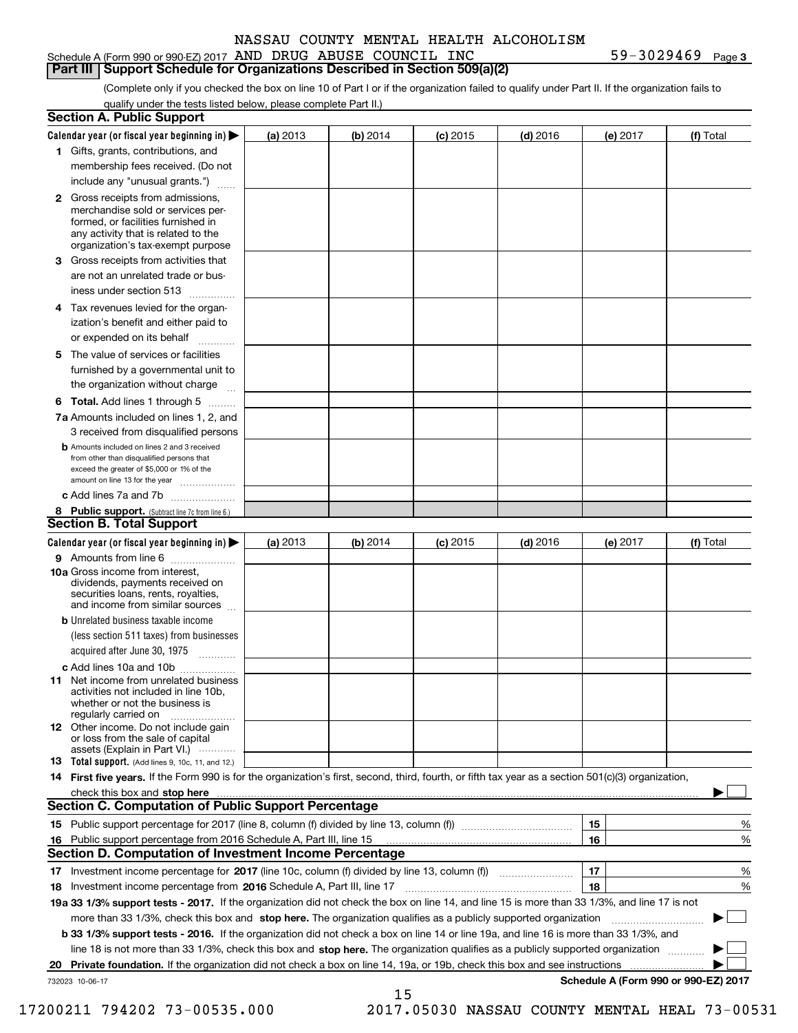#### Schedule A (Form 990 or 990-EZ) 2017 Page AND DRUG ABUSE COUNCIL INC 59-3029469 **Part III Support Schedule for Organizations Described in Section 509(a)(2)**

**3**

(Complete only if you checked the box on line 10 of Part I or if the organization failed to qualify under Part II. If the organization fails to qualify under the tests listed below, please complete Part II.)

|    | <b>Section A. Public Support</b>                                                                                                                                                                                                          |          |          |            |            |          |                                      |
|----|-------------------------------------------------------------------------------------------------------------------------------------------------------------------------------------------------------------------------------------------|----------|----------|------------|------------|----------|--------------------------------------|
|    | Calendar year (or fiscal year beginning in) $\blacktriangleright$                                                                                                                                                                         | (a) 2013 | (b) 2014 | $(c)$ 2015 | $(d)$ 2016 | (e) 2017 | (f) Total                            |
|    | 1 Gifts, grants, contributions, and                                                                                                                                                                                                       |          |          |            |            |          |                                      |
|    | membership fees received. (Do not                                                                                                                                                                                                         |          |          |            |            |          |                                      |
|    | include any "unusual grants.")                                                                                                                                                                                                            |          |          |            |            |          |                                      |
|    | 2 Gross receipts from admissions,<br>merchandise sold or services per-<br>formed, or facilities furnished in<br>any activity that is related to the<br>organization's tax-exempt purpose                                                  |          |          |            |            |          |                                      |
|    | 3 Gross receipts from activities that                                                                                                                                                                                                     |          |          |            |            |          |                                      |
|    | are not an unrelated trade or bus-                                                                                                                                                                                                        |          |          |            |            |          |                                      |
|    | iness under section 513                                                                                                                                                                                                                   |          |          |            |            |          |                                      |
|    | 4 Tax revenues levied for the organ-                                                                                                                                                                                                      |          |          |            |            |          |                                      |
|    | ization's benefit and either paid to                                                                                                                                                                                                      |          |          |            |            |          |                                      |
|    | or expended on its behalf<br>.                                                                                                                                                                                                            |          |          |            |            |          |                                      |
|    | 5 The value of services or facilities                                                                                                                                                                                                     |          |          |            |            |          |                                      |
|    | furnished by a governmental unit to                                                                                                                                                                                                       |          |          |            |            |          |                                      |
|    | the organization without charge                                                                                                                                                                                                           |          |          |            |            |          |                                      |
|    | <b>6 Total.</b> Add lines 1 through 5                                                                                                                                                                                                     |          |          |            |            |          |                                      |
|    | 7a Amounts included on lines 1, 2, and                                                                                                                                                                                                    |          |          |            |            |          |                                      |
|    | 3 received from disqualified persons<br><b>b</b> Amounts included on lines 2 and 3 received                                                                                                                                               |          |          |            |            |          |                                      |
|    | from other than disqualified persons that<br>exceed the greater of \$5,000 or 1% of the<br>amount on line 13 for the year                                                                                                                 |          |          |            |            |          |                                      |
|    | c Add lines 7a and 7b                                                                                                                                                                                                                     |          |          |            |            |          |                                      |
|    | 8 Public support. (Subtract line 7c from line 6.)                                                                                                                                                                                         |          |          |            |            |          |                                      |
|    | <b>Section B. Total Support</b>                                                                                                                                                                                                           |          |          |            |            |          |                                      |
|    | Calendar year (or fiscal year beginning in) $\blacktriangleright$                                                                                                                                                                         | (a) 2013 | (b) 2014 | $(c)$ 2015 | $(d)$ 2016 | (e) 2017 | (f) Total                            |
|    | 9 Amounts from line 6                                                                                                                                                                                                                     |          |          |            |            |          |                                      |
|    | 10a Gross income from interest,<br>dividends, payments received on<br>securities loans, rents, royalties,<br>and income from similar sources                                                                                              |          |          |            |            |          |                                      |
|    | <b>b</b> Unrelated business taxable income                                                                                                                                                                                                |          |          |            |            |          |                                      |
|    | (less section 511 taxes) from businesses                                                                                                                                                                                                  |          |          |            |            |          |                                      |
|    | acquired after June 30, 1975                                                                                                                                                                                                              |          |          |            |            |          |                                      |
|    | c Add lines 10a and 10b                                                                                                                                                                                                                   |          |          |            |            |          |                                      |
|    | 11 Net income from unrelated business<br>activities not included in line 10b,<br>whether or not the business is<br>regularly carried on                                                                                                   |          |          |            |            |          |                                      |
|    | <b>12</b> Other income. Do not include gain<br>or loss from the sale of capital<br>assets (Explain in Part VI.)                                                                                                                           |          |          |            |            |          |                                      |
|    | <b>13</b> Total support. (Add lines 9, 10c, 11, and 12.)                                                                                                                                                                                  |          |          |            |            |          |                                      |
|    | 14 First five years. If the Form 990 is for the organization's first, second, third, fourth, or fifth tax year as a section 501(c)(3) organization,                                                                                       |          |          |            |            |          |                                      |
|    | check this box and <b>stop here</b> measurement contracts and <b>structure the state of the state of the state of the state of the state of the state of the state of the state of the state of the state of the state of the state o</b> |          |          |            |            |          |                                      |
|    | <b>Section C. Computation of Public Support Percentage</b>                                                                                                                                                                                |          |          |            |            |          |                                      |
|    |                                                                                                                                                                                                                                           |          |          |            |            | 15       | %                                    |
|    | 16 Public support percentage from 2016 Schedule A, Part III, line 15                                                                                                                                                                      |          |          |            |            | 16       | %                                    |
|    | <b>Section D. Computation of Investment Income Percentage</b>                                                                                                                                                                             |          |          |            |            |          |                                      |
|    | 17 Investment income percentage for 2017 (line 10c, column (f) divided by line 13, column (f))                                                                                                                                            |          |          |            |            | 17       | %                                    |
|    | <b>18</b> Investment income percentage from <b>2016</b> Schedule A, Part III, line 17                                                                                                                                                     |          |          |            |            | 18       | %                                    |
|    | 19a 33 1/3% support tests - 2017. If the organization did not check the box on line 14, and line 15 is more than 33 1/3%, and line 17 is not                                                                                              |          |          |            |            |          |                                      |
|    | more than 33 1/3%, check this box and stop here. The organization qualifies as a publicly supported organization                                                                                                                          |          |          |            |            |          | ▶                                    |
|    | b 33 1/3% support tests - 2016. If the organization did not check a box on line 14 or line 19a, and line 16 is more than 33 1/3%, and                                                                                                     |          |          |            |            |          |                                      |
|    | line 18 is not more than 33 1/3%, check this box and stop here. The organization qualifies as a publicly supported organization                                                                                                           |          |          |            |            |          |                                      |
| 20 | <b>Private foundation.</b> If the organization did not check a box on line 14, 19a, or 19b, check this box and see instructions                                                                                                           |          |          |            |            |          |                                      |
|    | 732023 10-06-17                                                                                                                                                                                                                           |          | 15       |            |            |          | Schedule A (Form 990 or 990-EZ) 2017 |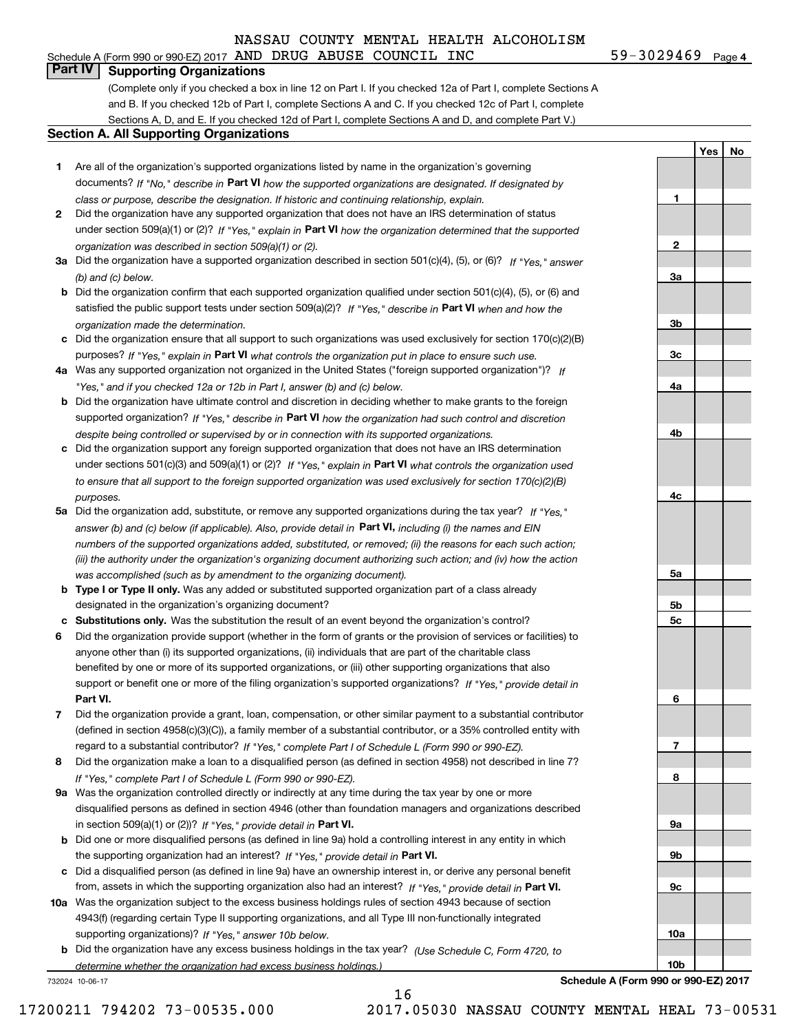(Complete only if you checked a box in line 12 on Part I. If you checked 12a of Part I, complete Sections A and B. If you checked 12b of Part I, complete Sections A and C. If you checked 12c of Part I, complete Sections A, D, and E. If you checked 12d of Part I, complete Sections A and D, and complete Part V.)

# **Section A. All Supporting Organizations**

- **1** Are all of the organization's supported organizations listed by name in the organization's governing documents? If "No," describe in **Part VI** how the supported organizations are designated. If designated by *class or purpose, describe the designation. If historic and continuing relationship, explain.*
- **2** Did the organization have any supported organization that does not have an IRS determination of status under section 509(a)(1) or (2)? If "Yes," explain in Part VI how the organization determined that the supported *organization was described in section 509(a)(1) or (2).*
- **3a** Did the organization have a supported organization described in section 501(c)(4), (5), or (6)? If "Yes," answer *(b) and (c) below.*
- **b** Did the organization confirm that each supported organization qualified under section 501(c)(4), (5), or (6) and satisfied the public support tests under section 509(a)(2)? If "Yes," describe in **Part VI** when and how the *organization made the determination.*
- **c**Did the organization ensure that all support to such organizations was used exclusively for section 170(c)(2)(B) purposes? If "Yes," explain in **Part VI** what controls the organization put in place to ensure such use.
- **4a***If* Was any supported organization not organized in the United States ("foreign supported organization")? *"Yes," and if you checked 12a or 12b in Part I, answer (b) and (c) below.*
- **b** Did the organization have ultimate control and discretion in deciding whether to make grants to the foreign supported organization? If "Yes," describe in **Part VI** how the organization had such control and discretion *despite being controlled or supervised by or in connection with its supported organizations.*
- **c** Did the organization support any foreign supported organization that does not have an IRS determination under sections 501(c)(3) and 509(a)(1) or (2)? If "Yes," explain in **Part VI** what controls the organization used *to ensure that all support to the foreign supported organization was used exclusively for section 170(c)(2)(B) purposes.*
- **5a** Did the organization add, substitute, or remove any supported organizations during the tax year? If "Yes," answer (b) and (c) below (if applicable). Also, provide detail in **Part VI,** including (i) the names and EIN *numbers of the supported organizations added, substituted, or removed; (ii) the reasons for each such action; (iii) the authority under the organization's organizing document authorizing such action; and (iv) how the action was accomplished (such as by amendment to the organizing document).*
- **b** Type I or Type II only. Was any added or substituted supported organization part of a class already designated in the organization's organizing document?
- **cSubstitutions only.**  Was the substitution the result of an event beyond the organization's control?
- **6** Did the organization provide support (whether in the form of grants or the provision of services or facilities) to **Part VI.** *If "Yes," provide detail in* support or benefit one or more of the filing organization's supported organizations? anyone other than (i) its supported organizations, (ii) individuals that are part of the charitable class benefited by one or more of its supported organizations, or (iii) other supporting organizations that also
- **7**Did the organization provide a grant, loan, compensation, or other similar payment to a substantial contributor *If "Yes," complete Part I of Schedule L (Form 990 or 990-EZ).* regard to a substantial contributor? (defined in section 4958(c)(3)(C)), a family member of a substantial contributor, or a 35% controlled entity with
- **8** Did the organization make a loan to a disqualified person (as defined in section 4958) not described in line 7? *If "Yes," complete Part I of Schedule L (Form 990 or 990-EZ).*
- **9a** Was the organization controlled directly or indirectly at any time during the tax year by one or more in section 509(a)(1) or (2))? If "Yes," *provide detail in* <code>Part VI.</code> disqualified persons as defined in section 4946 (other than foundation managers and organizations described
- **b** Did one or more disqualified persons (as defined in line 9a) hold a controlling interest in any entity in which the supporting organization had an interest? If "Yes," provide detail in P**art VI**.
- **c**Did a disqualified person (as defined in line 9a) have an ownership interest in, or derive any personal benefit from, assets in which the supporting organization also had an interest? If "Yes," provide detail in P**art VI.**
- **10a** Was the organization subject to the excess business holdings rules of section 4943 because of section supporting organizations)? If "Yes," answer 10b below. 4943(f) (regarding certain Type II supporting organizations, and all Type III non-functionally integrated
- **b** Did the organization have any excess business holdings in the tax year? (Use Schedule C, Form 4720, to *determine whether the organization had excess business holdings.)*

16

732024 10-06-17

**Schedule A (Form 990 or 990-EZ) 2017**

17200211 794202 73-00535.000 2017.05030 NASSAU COUNTY MENTAL HEAL 73-00531

**1**

**2**

**3a**

**3b**

**3c**

**4a**

**4b**

**4c**

**5a**

**5b5c**

**6**

**7**

**8**

**9a**

**9b**

**9c**

**10a**

**10b**

**YesNo**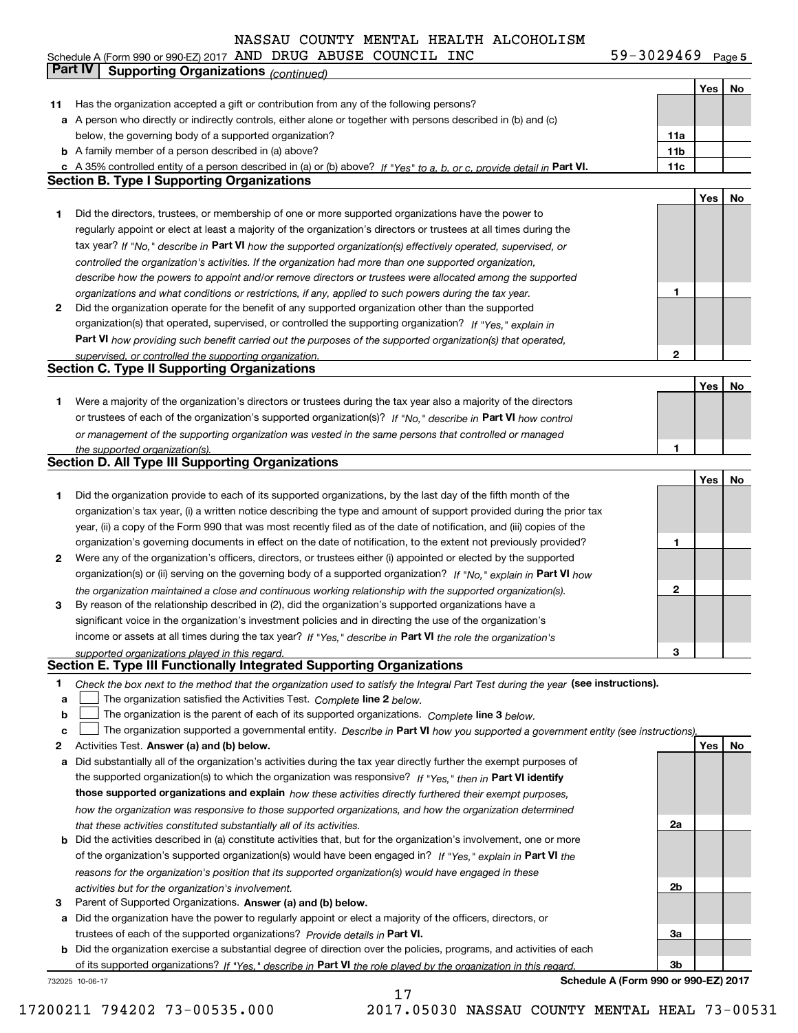**5** Schedule A (Form 990 or 990-EZ) 2017 AND DRUG ABUSE COUNC LL INC 5 9 = 3 0 Z 9 4 b 9 Page AND DRUG ABUSE COUNCIL INC 59-3029469

|    | Part IV<br><b>Supporting Organizations (continued)</b>                                                                                                                                                                           |                 |     |    |
|----|----------------------------------------------------------------------------------------------------------------------------------------------------------------------------------------------------------------------------------|-----------------|-----|----|
|    |                                                                                                                                                                                                                                  |                 | Yes | No |
| 11 | Has the organization accepted a gift or contribution from any of the following persons?                                                                                                                                          |                 |     |    |
|    | a A person who directly or indirectly controls, either alone or together with persons described in (b) and (c)                                                                                                                   |                 |     |    |
|    | below, the governing body of a supported organization?                                                                                                                                                                           | 11a             |     |    |
|    | <b>b</b> A family member of a person described in (a) above?                                                                                                                                                                     | 11 <sub>b</sub> |     |    |
|    | c A 35% controlled entity of a person described in (a) or (b) above? If "Yes" to a, b, or c, provide detail in Part VI.                                                                                                          | 11c             |     |    |
|    | <b>Section B. Type I Supporting Organizations</b>                                                                                                                                                                                |                 |     |    |
|    |                                                                                                                                                                                                                                  |                 | Yes | No |
| 1. | Did the directors, trustees, or membership of one or more supported organizations have the power to                                                                                                                              |                 |     |    |
|    | regularly appoint or elect at least a majority of the organization's directors or trustees at all times during the                                                                                                               |                 |     |    |
|    | tax year? If "No," describe in Part VI how the supported organization(s) effectively operated, supervised, or                                                                                                                    |                 |     |    |
|    | controlled the organization's activities. If the organization had more than one supported organization,                                                                                                                          |                 |     |    |
|    | describe how the powers to appoint and/or remove directors or trustees were allocated among the supported                                                                                                                        |                 |     |    |
|    | organizations and what conditions or restrictions, if any, applied to such powers during the tax year.                                                                                                                           | 1               |     |    |
| 2  | Did the organization operate for the benefit of any supported organization other than the supported                                                                                                                              |                 |     |    |
|    | organization(s) that operated, supervised, or controlled the supporting organization? If "Yes," explain in                                                                                                                       |                 |     |    |
|    | Part VI how providing such benefit carried out the purposes of the supported organization(s) that operated,                                                                                                                      |                 |     |    |
|    | supervised, or controlled the supporting organization.<br><b>Section C. Type II Supporting Organizations</b>                                                                                                                     | 2               |     |    |
|    |                                                                                                                                                                                                                                  |                 |     |    |
| 1  | Were a majority of the organization's directors or trustees during the tax year also a majority of the directors                                                                                                                 |                 | Yes | No |
|    | or trustees of each of the organization's supported organization(s)? If "No," describe in Part VI how control                                                                                                                    |                 |     |    |
|    | or management of the supporting organization was vested in the same persons that controlled or managed                                                                                                                           |                 |     |    |
|    | the supported organization(s).                                                                                                                                                                                                   | 1               |     |    |
|    | <b>Section D. All Type III Supporting Organizations</b>                                                                                                                                                                          |                 |     |    |
|    |                                                                                                                                                                                                                                  |                 | Yes | No |
| 1  | Did the organization provide to each of its supported organizations, by the last day of the fifth month of the                                                                                                                   |                 |     |    |
|    | organization's tax year, (i) a written notice describing the type and amount of support provided during the prior tax                                                                                                            |                 |     |    |
|    | year, (ii) a copy of the Form 990 that was most recently filed as of the date of notification, and (iii) copies of the                                                                                                           |                 |     |    |
|    | organization's governing documents in effect on the date of notification, to the extent not previously provided?                                                                                                                 | 1               |     |    |
| 2  | Were any of the organization's officers, directors, or trustees either (i) appointed or elected by the supported                                                                                                                 |                 |     |    |
|    | organization(s) or (ii) serving on the governing body of a supported organization? If "No," explain in Part VI how                                                                                                               |                 |     |    |
|    | the organization maintained a close and continuous working relationship with the supported organization(s).                                                                                                                      | 2               |     |    |
| 3  | By reason of the relationship described in (2), did the organization's supported organizations have a                                                                                                                            |                 |     |    |
|    | significant voice in the organization's investment policies and in directing the use of the organization's                                                                                                                       |                 |     |    |
|    | income or assets at all times during the tax year? If "Yes," describe in Part VI the role the organization's                                                                                                                     |                 |     |    |
|    | supported organizations played in this regard.                                                                                                                                                                                   | 3               |     |    |
|    | Section E. Type III Functionally Integrated Supporting Organizations                                                                                                                                                             |                 |     |    |
| 1  | Check the box next to the method that the organization used to satisfy the Integral Part Test during the year (see instructions).                                                                                                |                 |     |    |
| a  | The organization satisfied the Activities Test. Complete line 2 below.                                                                                                                                                           |                 |     |    |
| b  | The organization is the parent of each of its supported organizations. Complete line 3 below.                                                                                                                                    |                 |     |    |
| C  | The organization supported a governmental entity. Describe in Part VI how you supported a government entity (see instructions),                                                                                                  |                 |     |    |
| 2  | Activities Test. Answer (a) and (b) below.                                                                                                                                                                                       |                 | Yes | No |
| а  | Did substantially all of the organization's activities during the tax year directly further the exempt purposes of<br>the supported organization(s) to which the organization was responsive? If "Yes," then in Part VI identify |                 |     |    |
|    | those supported organizations and explain how these activities directly furthered their exempt purposes,                                                                                                                         |                 |     |    |
|    | how the organization was responsive to those supported organizations, and how the organization determined                                                                                                                        |                 |     |    |
|    | that these activities constituted substantially all of its activities.                                                                                                                                                           | 2a              |     |    |
|    | <b>b</b> Did the activities described in (a) constitute activities that, but for the organization's involvement, one or more                                                                                                     |                 |     |    |
|    | of the organization's supported organization(s) would have been engaged in? If "Yes," explain in Part VI the                                                                                                                     |                 |     |    |
|    | reasons for the organization's position that its supported organization(s) would have engaged in these                                                                                                                           |                 |     |    |
|    | activities but for the organization's involvement.                                                                                                                                                                               | 2b              |     |    |
| 3  | Parent of Supported Organizations. Answer (a) and (b) below.                                                                                                                                                                     |                 |     |    |
|    | a Did the organization have the power to regularly appoint or elect a majority of the officers, directors, or                                                                                                                    |                 |     |    |
|    | trustees of each of the supported organizations? Provide details in Part VI.                                                                                                                                                     | За              |     |    |
|    | <b>b</b> Did the organization exercise a substantial degree of direction over the policies, programs, and activities of each                                                                                                     |                 |     |    |
|    | of its supported organizations? If "Yes." describe in Part VI the role played by the organization in this regard                                                                                                                 | Зb              |     |    |
|    | Schedule A (Form 990 or 990-EZ) 2017<br>732025 10-06-17                                                                                                                                                                          |                 |     |    |
|    | 17                                                                                                                                                                                                                               |                 |     |    |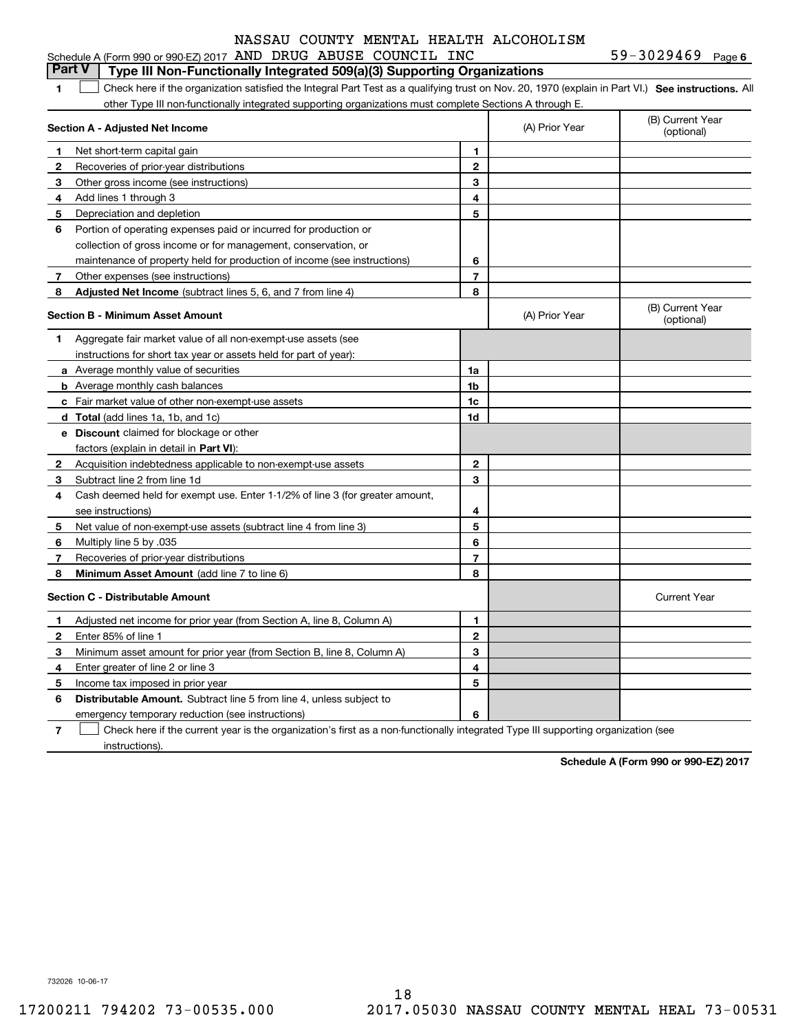| 59-3029469 |  | Page 6 |
|------------|--|--------|
|            |  |        |

#### **1SEP 10. See instructions.** All antegral Part Test as a qualifying trust on Nov. 20, 1970 (explain in Part VI.) See instructions. All **Section A - Adjusted Net Income 123** Other gross income (see instructions) **456** Portion of operating expenses paid or incurred for production or **7** Other expenses (see instructions) **8** Adjusted Net Income (subtract lines 5, 6, and 7 from line 4) **8 8 1234567Section B - Minimum Asset Amount 1**Aggregate fair market value of all non-exempt-use assets (see **2**Acquisition indebtedness applicable to non-exempt-use assets **3** Subtract line 2 from line 1d **4**Cash deemed held for exempt use. Enter 1-1/2% of line 3 (for greater amount, **5** Net value of non-exempt-use assets (subtract line 4 from line 3) **678a** Average monthly value of securities **b** Average monthly cash balances **c**Fair market value of other non-exempt-use assets **dTotal**  (add lines 1a, 1b, and 1c) **eDiscount** claimed for blockage or other **1a1b1c1d2345678**factors (explain in detail in **Part VI**): **Minimum Asset Amount**  (add line 7 to line 6) **Section C - Distributable Amount 123456123456Distributable Amount.** Subtract line 5 from line 4, unless subject to Schedule A (Form 990 or 990-EZ) 2017 Page AND DRUG ABUSE COUNCIL INC 59-3029469 other Type III non-functionally integrated supporting organizations must complete Sections A through E. (B) Current Year (optional)(A) Prior Year Net short-term capital gain Recoveries of prior-year distributions Add lines 1 through 3 Depreciation and depletion collection of gross income or for management, conservation, or maintenance of property held for production of income (see instructions) (B) Current Year (optional)(A) Prior Year instructions for short tax year or assets held for part of year): see instructions) Multiply line 5 by .035 Recoveries of prior-year distributions Current Year Adjusted net income for prior year (from Section A, line 8, Column A) Enter 85% of line 1 Minimum asset amount for prior year (from Section B, line 8, Column A) Enter greater of line 2 or line 3 Income tax imposed in prior year emergency temporary reduction (see instructions) **Part V Type III Non-Functionally Integrated 509(a)(3) Supporting Organizations**   $\mathcal{L}^{\text{max}}$

**7**Check here if the current year is the organization's first as a non-functionally integrated Type III supporting organization (see instructions). $\mathcal{L}^{\text{max}}$ 

**Schedule A (Form 990 or 990-EZ) 2017**

732026 10-06-17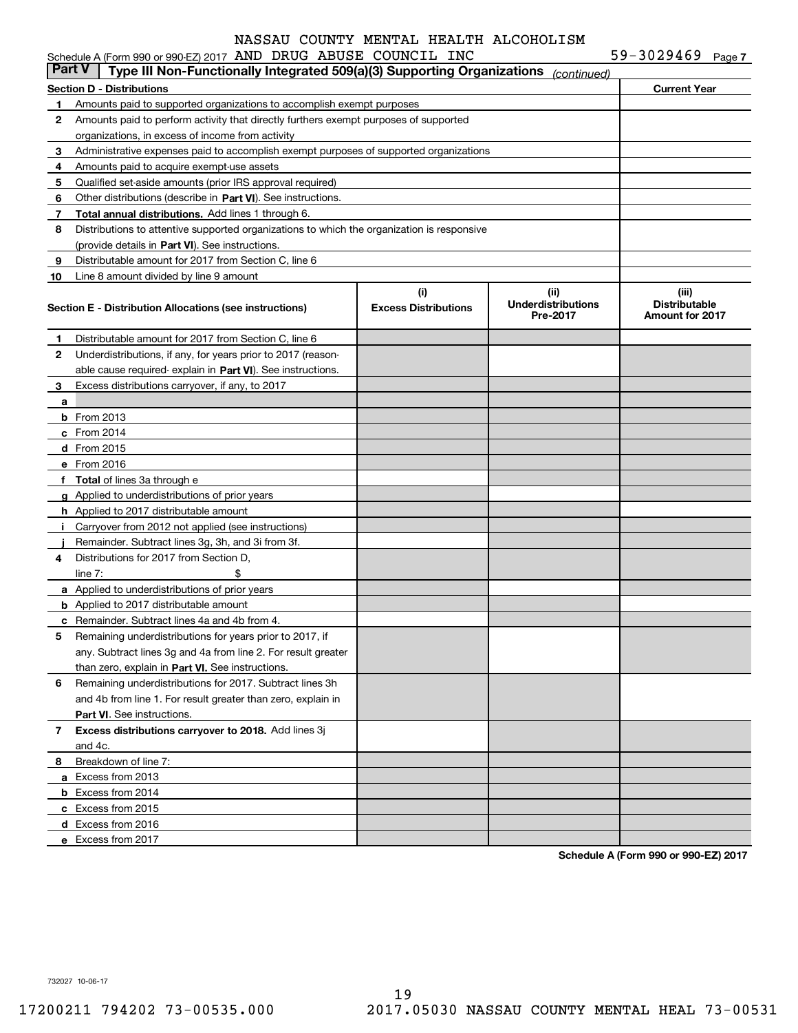|              | <b>Part V</b><br>Type III Non-Functionally Integrated 509(a)(3) Supporting Organizations                     |                                    | (continued)                                   |                                                         |
|--------------|--------------------------------------------------------------------------------------------------------------|------------------------------------|-----------------------------------------------|---------------------------------------------------------|
|              | <b>Section D - Distributions</b>                                                                             |                                    |                                               | <b>Current Year</b>                                     |
| 1            | Amounts paid to supported organizations to accomplish exempt purposes                                        |                                    |                                               |                                                         |
| 2            | Amounts paid to perform activity that directly furthers exempt purposes of supported                         |                                    |                                               |                                                         |
|              | organizations, in excess of income from activity                                                             |                                    |                                               |                                                         |
| 3            | Administrative expenses paid to accomplish exempt purposes of supported organizations                        |                                    |                                               |                                                         |
| 4            | Amounts paid to acquire exempt-use assets                                                                    |                                    |                                               |                                                         |
| 5            | Qualified set-aside amounts (prior IRS approval required)                                                    |                                    |                                               |                                                         |
| 6            | Other distributions (describe in Part VI). See instructions.                                                 |                                    |                                               |                                                         |
| 7            | Total annual distributions. Add lines 1 through 6.                                                           |                                    |                                               |                                                         |
| 8            | Distributions to attentive supported organizations to which the organization is responsive                   |                                    |                                               |                                                         |
|              | (provide details in Part VI). See instructions.                                                              |                                    |                                               |                                                         |
| 9            | Distributable amount for 2017 from Section C, line 6                                                         |                                    |                                               |                                                         |
| 10           | Line 8 amount divided by line 9 amount                                                                       |                                    |                                               |                                                         |
|              | Section E - Distribution Allocations (see instructions)                                                      | (i)<br><b>Excess Distributions</b> | (ii)<br><b>Underdistributions</b><br>Pre-2017 | (iii)<br><b>Distributable</b><br><b>Amount for 2017</b> |
| 1            | Distributable amount for 2017 from Section C, line 6                                                         |                                    |                                               |                                                         |
| 2            | Underdistributions, if any, for years prior to 2017 (reason-                                                 |                                    |                                               |                                                         |
|              | able cause required- explain in Part VI). See instructions.                                                  |                                    |                                               |                                                         |
| 3            | Excess distributions carryover, if any, to 2017                                                              |                                    |                                               |                                                         |
| a            |                                                                                                              |                                    |                                               |                                                         |
|              | <b>b</b> From 2013                                                                                           |                                    |                                               |                                                         |
|              | $c$ From 2014                                                                                                |                                    |                                               |                                                         |
|              | d From 2015                                                                                                  |                                    |                                               |                                                         |
|              | e From 2016                                                                                                  |                                    |                                               |                                                         |
|              | f Total of lines 3a through e                                                                                |                                    |                                               |                                                         |
|              | g Applied to underdistributions of prior years                                                               |                                    |                                               |                                                         |
|              | <b>h</b> Applied to 2017 distributable amount                                                                |                                    |                                               |                                                         |
|              | i Carryover from 2012 not applied (see instructions)                                                         |                                    |                                               |                                                         |
|              | Remainder. Subtract lines 3g, 3h, and 3i from 3f.                                                            |                                    |                                               |                                                         |
| 4            | Distributions for 2017 from Section D,                                                                       |                                    |                                               |                                                         |
|              | \$<br>line $7:$                                                                                              |                                    |                                               |                                                         |
|              | a Applied to underdistributions of prior years                                                               |                                    |                                               |                                                         |
|              | <b>b</b> Applied to 2017 distributable amount                                                                |                                    |                                               |                                                         |
|              | <b>c</b> Remainder. Subtract lines 4a and 4b from 4.                                                         |                                    |                                               |                                                         |
| 5            | Remaining underdistributions for years prior to 2017, if                                                     |                                    |                                               |                                                         |
|              | any. Subtract lines 3g and 4a from line 2. For result greater                                                |                                    |                                               |                                                         |
| 6            | than zero, explain in Part VI. See instructions.<br>Remaining underdistributions for 2017. Subtract lines 3h |                                    |                                               |                                                         |
|              | and 4b from line 1. For result greater than zero, explain in                                                 |                                    |                                               |                                                         |
|              | <b>Part VI.</b> See instructions.                                                                            |                                    |                                               |                                                         |
| $\mathbf{7}$ | Excess distributions carryover to 2018. Add lines 3j                                                         |                                    |                                               |                                                         |
|              | and 4c.                                                                                                      |                                    |                                               |                                                         |
| 8            | Breakdown of line 7:                                                                                         |                                    |                                               |                                                         |
|              | a Excess from 2013                                                                                           |                                    |                                               |                                                         |
|              | <b>b</b> Excess from 2014                                                                                    |                                    |                                               |                                                         |
|              | c Excess from 2015                                                                                           |                                    |                                               |                                                         |
|              | d Excess from 2016                                                                                           |                                    |                                               |                                                         |
|              | e Excess from 2017                                                                                           |                                    |                                               |                                                         |

**Schedule A (Form 990 or 990-EZ) 2017**

732027 10-06-17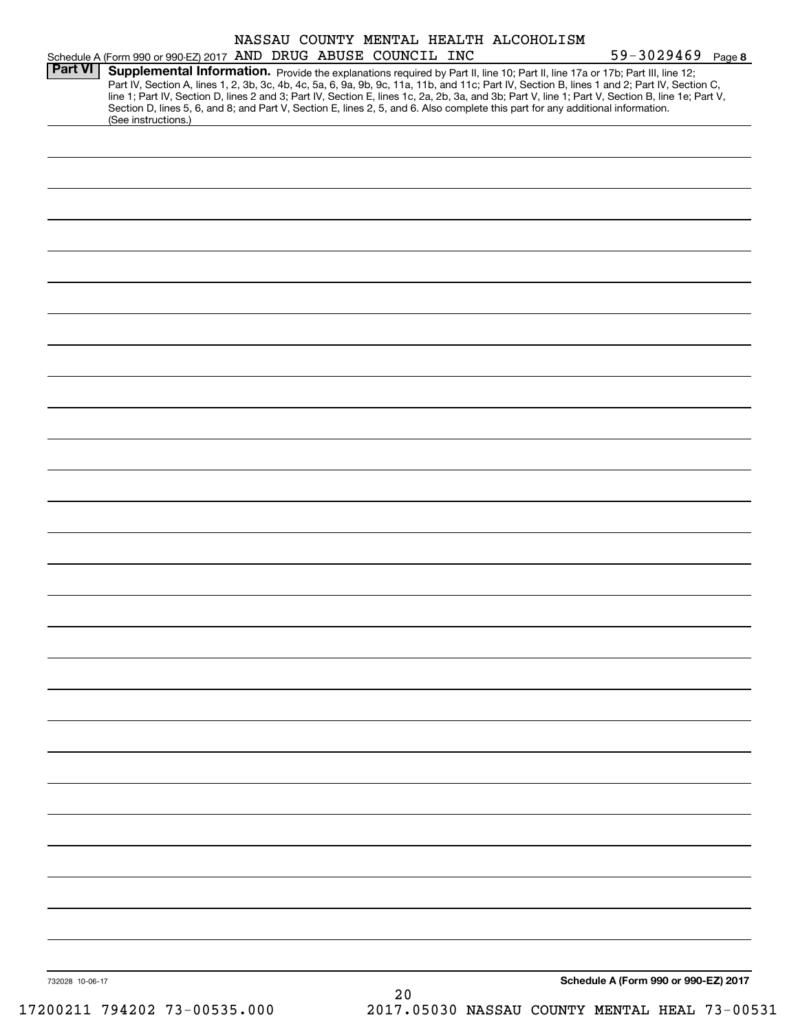|                 | Schedule A (Form 990 or 990-EZ) 2017 AND DRUG ABUSE COUNCIL INC                                                                                                                                                                                                                                                                                                                                                                                                                                                                                                                             |  |  |    |  | NASSAU COUNTY MENTAL HEALTH ALCOHOLISM |  | $59 - 3029469$ Page 8                |  |
|-----------------|---------------------------------------------------------------------------------------------------------------------------------------------------------------------------------------------------------------------------------------------------------------------------------------------------------------------------------------------------------------------------------------------------------------------------------------------------------------------------------------------------------------------------------------------------------------------------------------------|--|--|----|--|----------------------------------------|--|--------------------------------------|--|
| <b>Part VI</b>  | Supplemental Information. Provide the explanations required by Part II, line 10; Part II, line 17a or 17b; Part III, line 12;<br>Part IV, Section A, lines 1, 2, 3b, 3c, 4b, 4c, 5a, 6, 9a, 9b, 9c, 11a, 11b, and 11c; Part IV, Section B, lines 1 and 2; Part IV, Section C,<br>line 1; Part IV, Section D, lines 2 and 3; Part IV, Section E, lines 1c, 2a, 2b, 3a, and 3b; Part V, line 1; Part V, Section B, line 1e; Part V,<br>Section D, lines 5, 6, and 8; and Part V, Section E, lines 2, 5, and 6. Also complete this part for any additional information.<br>(See instructions.) |  |  |    |  |                                        |  |                                      |  |
|                 |                                                                                                                                                                                                                                                                                                                                                                                                                                                                                                                                                                                             |  |  |    |  |                                        |  |                                      |  |
|                 |                                                                                                                                                                                                                                                                                                                                                                                                                                                                                                                                                                                             |  |  |    |  |                                        |  |                                      |  |
|                 |                                                                                                                                                                                                                                                                                                                                                                                                                                                                                                                                                                                             |  |  |    |  |                                        |  |                                      |  |
|                 |                                                                                                                                                                                                                                                                                                                                                                                                                                                                                                                                                                                             |  |  |    |  |                                        |  |                                      |  |
|                 |                                                                                                                                                                                                                                                                                                                                                                                                                                                                                                                                                                                             |  |  |    |  |                                        |  |                                      |  |
|                 |                                                                                                                                                                                                                                                                                                                                                                                                                                                                                                                                                                                             |  |  |    |  |                                        |  |                                      |  |
|                 |                                                                                                                                                                                                                                                                                                                                                                                                                                                                                                                                                                                             |  |  |    |  |                                        |  |                                      |  |
|                 |                                                                                                                                                                                                                                                                                                                                                                                                                                                                                                                                                                                             |  |  |    |  |                                        |  |                                      |  |
|                 |                                                                                                                                                                                                                                                                                                                                                                                                                                                                                                                                                                                             |  |  |    |  |                                        |  |                                      |  |
|                 |                                                                                                                                                                                                                                                                                                                                                                                                                                                                                                                                                                                             |  |  |    |  |                                        |  |                                      |  |
|                 |                                                                                                                                                                                                                                                                                                                                                                                                                                                                                                                                                                                             |  |  |    |  |                                        |  |                                      |  |
|                 |                                                                                                                                                                                                                                                                                                                                                                                                                                                                                                                                                                                             |  |  |    |  |                                        |  |                                      |  |
|                 |                                                                                                                                                                                                                                                                                                                                                                                                                                                                                                                                                                                             |  |  |    |  |                                        |  |                                      |  |
|                 |                                                                                                                                                                                                                                                                                                                                                                                                                                                                                                                                                                                             |  |  |    |  |                                        |  |                                      |  |
|                 |                                                                                                                                                                                                                                                                                                                                                                                                                                                                                                                                                                                             |  |  |    |  |                                        |  |                                      |  |
|                 |                                                                                                                                                                                                                                                                                                                                                                                                                                                                                                                                                                                             |  |  |    |  |                                        |  |                                      |  |
|                 |                                                                                                                                                                                                                                                                                                                                                                                                                                                                                                                                                                                             |  |  |    |  |                                        |  |                                      |  |
|                 |                                                                                                                                                                                                                                                                                                                                                                                                                                                                                                                                                                                             |  |  |    |  |                                        |  |                                      |  |
|                 |                                                                                                                                                                                                                                                                                                                                                                                                                                                                                                                                                                                             |  |  |    |  |                                        |  |                                      |  |
|                 |                                                                                                                                                                                                                                                                                                                                                                                                                                                                                                                                                                                             |  |  |    |  |                                        |  |                                      |  |
|                 |                                                                                                                                                                                                                                                                                                                                                                                                                                                                                                                                                                                             |  |  |    |  |                                        |  |                                      |  |
|                 |                                                                                                                                                                                                                                                                                                                                                                                                                                                                                                                                                                                             |  |  |    |  |                                        |  |                                      |  |
|                 |                                                                                                                                                                                                                                                                                                                                                                                                                                                                                                                                                                                             |  |  |    |  |                                        |  |                                      |  |
|                 |                                                                                                                                                                                                                                                                                                                                                                                                                                                                                                                                                                                             |  |  |    |  |                                        |  |                                      |  |
|                 |                                                                                                                                                                                                                                                                                                                                                                                                                                                                                                                                                                                             |  |  |    |  |                                        |  |                                      |  |
|                 |                                                                                                                                                                                                                                                                                                                                                                                                                                                                                                                                                                                             |  |  |    |  |                                        |  |                                      |  |
| 732028 10-06-17 |                                                                                                                                                                                                                                                                                                                                                                                                                                                                                                                                                                                             |  |  | 20 |  |                                        |  | Schedule A (Form 990 or 990-EZ) 2017 |  |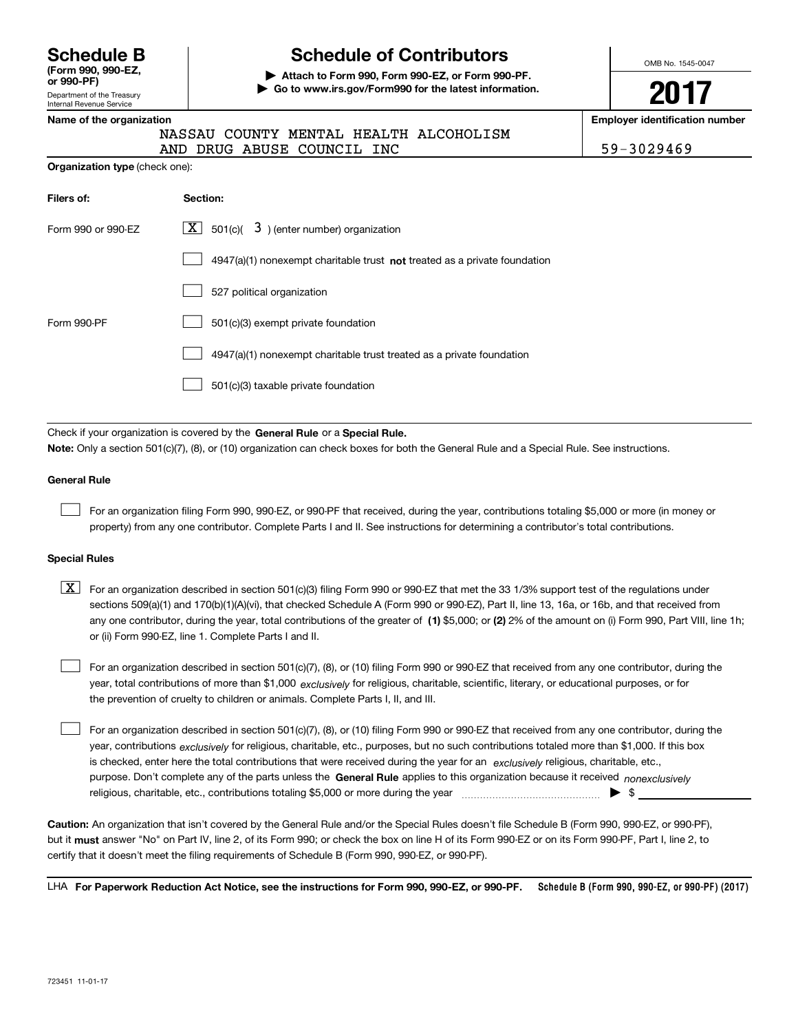| <b>Schedule B</b>                |  |
|----------------------------------|--|
| (Form 990, 990-EZ,<br>or 990-PF) |  |

Department of the Treasury Internal Revenue Service

# **Schedule of Contributors**

**| Attach to Form 990, Form 990-EZ, or Form 990-PF. | Go to www.irs.gov/Form990 for the latest information.** OMB No. 1545-0047

**2017**

**Name of the organization Employer identification number**

|  | Name of the organization |  |
|--|--------------------------|--|
|  | --- --                   |  |

**Organization type** (check one):

|  |  |  | NASSAU COUNTY MENTAL HEALTH ALCOHOLISM |
|--|--|--|----------------------------------------|
|--|--|--|----------------------------------------|

AND DRUG ABUSE COUNCIL INC | 59-3029469

| Filers of:         | Section:                                                                    |
|--------------------|-----------------------------------------------------------------------------|
| Form 990 or 990-EZ | X  <br>$3$ ) (enter number) organization<br>501(c)(                         |
|                    | $4947(a)(1)$ nonexempt charitable trust not treated as a private foundation |
|                    | 527 political organization                                                  |
| Form 990-PF        | 501(c)(3) exempt private foundation                                         |
|                    | 4947(a)(1) nonexempt charitable trust treated as a private foundation       |
|                    | 501(c)(3) taxable private foundation                                        |

Check if your organization is covered by the **General Rule** or a **Special Rule. Note:**  Only a section 501(c)(7), (8), or (10) organization can check boxes for both the General Rule and a Special Rule. See instructions.

## **General Rule**

 $\mathcal{L}^{\text{max}}$ 

For an organization filing Form 990, 990-EZ, or 990-PF that received, during the year, contributions totaling \$5,000 or more (in money or property) from any one contributor. Complete Parts I and II. See instructions for determining a contributor's total contributions.

#### **Special Rules**

 $\mathcal{L}^{\text{max}}$ 

any one contributor, during the year, total contributions of the greater of  $\,$  (1) \$5,000; or **(2)** 2% of the amount on (i) Form 990, Part VIII, line 1h;  $\boxed{\textbf{X}}$  For an organization described in section 501(c)(3) filing Form 990 or 990-EZ that met the 33 1/3% support test of the regulations under sections 509(a)(1) and 170(b)(1)(A)(vi), that checked Schedule A (Form 990 or 990-EZ), Part II, line 13, 16a, or 16b, and that received from or (ii) Form 990-EZ, line 1. Complete Parts I and II.

year, total contributions of more than \$1,000 *exclusively* for religious, charitable, scientific, literary, or educational purposes, or for For an organization described in section 501(c)(7), (8), or (10) filing Form 990 or 990-EZ that received from any one contributor, during the the prevention of cruelty to children or animals. Complete Parts I, II, and III.  $\mathcal{L}^{\text{max}}$ 

purpose. Don't complete any of the parts unless the **General Rule** applies to this organization because it received *nonexclusively* year, contributions <sub>exclusively</sub> for religious, charitable, etc., purposes, but no such contributions totaled more than \$1,000. If this box is checked, enter here the total contributions that were received during the year for an  $\;$ exclusively religious, charitable, etc., For an organization described in section 501(c)(7), (8), or (10) filing Form 990 or 990-EZ that received from any one contributor, during the religious, charitable, etc., contributions totaling \$5,000 or more during the year  $\Box$ — $\Box$   $\Box$ 

**Caution:**  An organization that isn't covered by the General Rule and/or the Special Rules doesn't file Schedule B (Form 990, 990-EZ, or 990-PF),  **must** but it answer "No" on Part IV, line 2, of its Form 990; or check the box on line H of its Form 990-EZ or on its Form 990-PF, Part I, line 2, to certify that it doesn't meet the filing requirements of Schedule B (Form 990, 990-EZ, or 990-PF).

**Schedule B (Form 990, 990-EZ, or 990-PF) (2017) For Paperwork Reduction Act Notice, see the instructions for Form 990, 990-EZ, or 990-PF.** LHA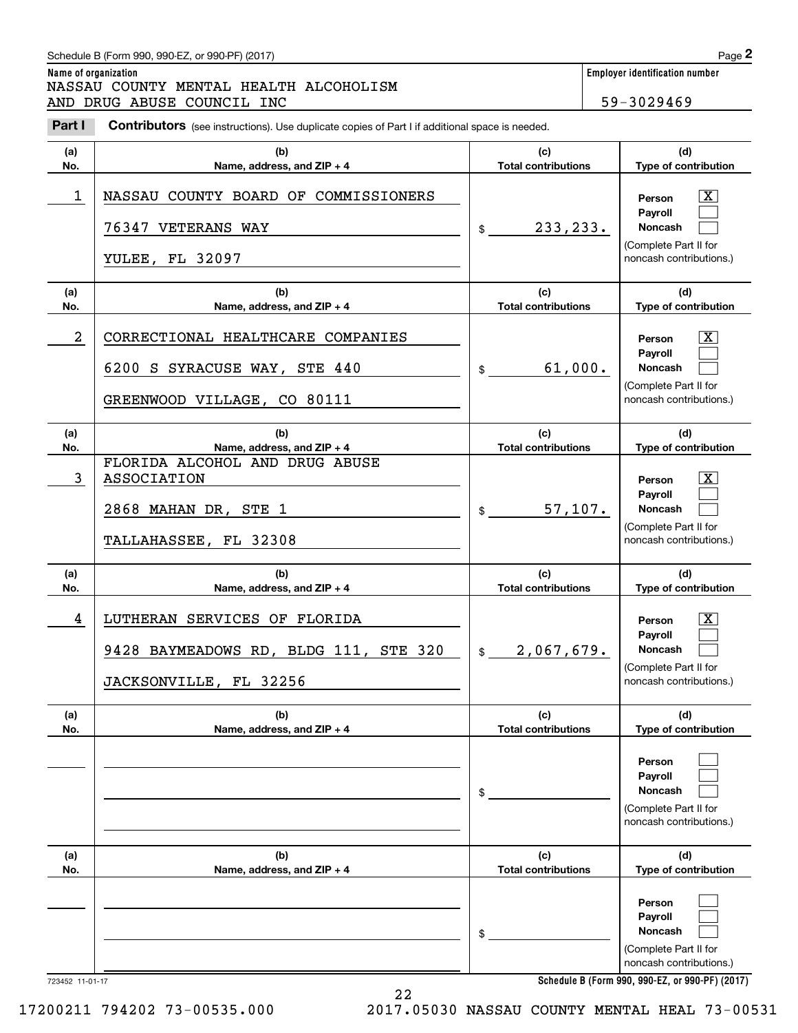# Schedule B (Form 990, 990-EZ, or 990-PF) (2017) **Page 2**

**(a) No.**

# **Name of organization Employer identification number** Chedule B (Form 990, 990-EZ, or 990-PF) (2017)<br> **2Part I 2Part I COUNTY MENTAL HEALTH ALCOHOLISM**<br> **2Part I COUNTY MENTAL HEALTH ALCOHOLISM**<br> **Part I Contributors** (see instructions). Use duplicate copies of Part I NASSAU COUNTY MENTAL HEALTH ALCOHOLISM AND DRUG ABUSE COUNCIL INC 59-3029469

**(b)** Contributors (see instructions). Use duplicate copies of Part I if additional space is needed.

**Name, address, and ZIP + 4**

| 1               | NASSAU COUNTY BOARD OF COMMISSIONERS<br>76347 VETERANS WAY<br>YULEE, FL 32097                              | 233, 233.<br>\$                   | $\mathbf{X}$<br>Person<br>Payroll<br>Noncash<br>(Complete Part II for<br>noncash contributions.)                                    |
|-----------------|------------------------------------------------------------------------------------------------------------|-----------------------------------|-------------------------------------------------------------------------------------------------------------------------------------|
| (a)<br>No.      | (b)<br>Name, address, and ZIP + 4                                                                          | (c)<br><b>Total contributions</b> | (d)<br>Type of contribution                                                                                                         |
| $\overline{a}$  | CORRECTIONAL HEALTHCARE COMPANIES<br>6200 S SYRACUSE WAY,<br><b>STE 440</b><br>GREENWOOD VILLAGE, CO 80111 | 61,000.<br>\$                     | $\boxed{\text{X}}$<br>Person<br>Payroll<br><b>Noncash</b><br>(Complete Part II for<br>noncash contributions.)                       |
| (a)<br>No.      | (b)<br>Name, address, and ZIP + 4                                                                          | (c)<br><b>Total contributions</b> | (d)<br>Type of contribution                                                                                                         |
| $\mathbf{3}$    | FLORIDA ALCOHOL AND DRUG ABUSE<br>ASSOCIATION<br>2868 MAHAN DR, STE 1<br>TALLAHASSEE, FL 32308             | 57,107.<br>\$                     | $\overline{\mathbf{X}}$<br>Person<br>Payroll<br><b>Noncash</b><br>(Complete Part II for<br>noncash contributions.)                  |
| (a)<br>No.      | (b)<br>Name, address, and ZIP + 4                                                                          | (c)<br><b>Total contributions</b> | (d)<br>Type of contribution                                                                                                         |
| 4               | LUTHERAN SERVICES OF FLORIDA<br>9428 BAYMEADOWS RD, BLDG 111, STE 320<br>JACKSONVILLE, FL 32256            | 2,067,679.<br>$\frac{1}{2}$       | $\mathbf{X}$<br>Person<br>Payroll<br>Noncash<br>(Complete Part II for<br>noncash contributions.)                                    |
| (a)<br>No.      | (b)<br>Name, address, and ZIP + 4                                                                          | (c)<br><b>Total contributions</b> | (d)<br>Type of contribution                                                                                                         |
|                 |                                                                                                            | \$                                | Person<br>Payroll<br>Noncash<br>(Complete Part II for<br>noncash contributions.)                                                    |
| (a)<br>No.      | (b)<br>Name, address, and ZIP + 4                                                                          | (c)<br><b>Total contributions</b> | (d)<br>Type of contribution                                                                                                         |
|                 |                                                                                                            | \$                                | Person<br>Payroll<br>Noncash<br>(Complete Part II for<br>noncash contributions.)<br>Schedule B (Form 990, 990-EZ, or 990-PF) (2017) |
| 723452 11-01-17 | 22                                                                                                         |                                   |                                                                                                                                     |

**(d) Type of contribution**

**(c) Total contributions**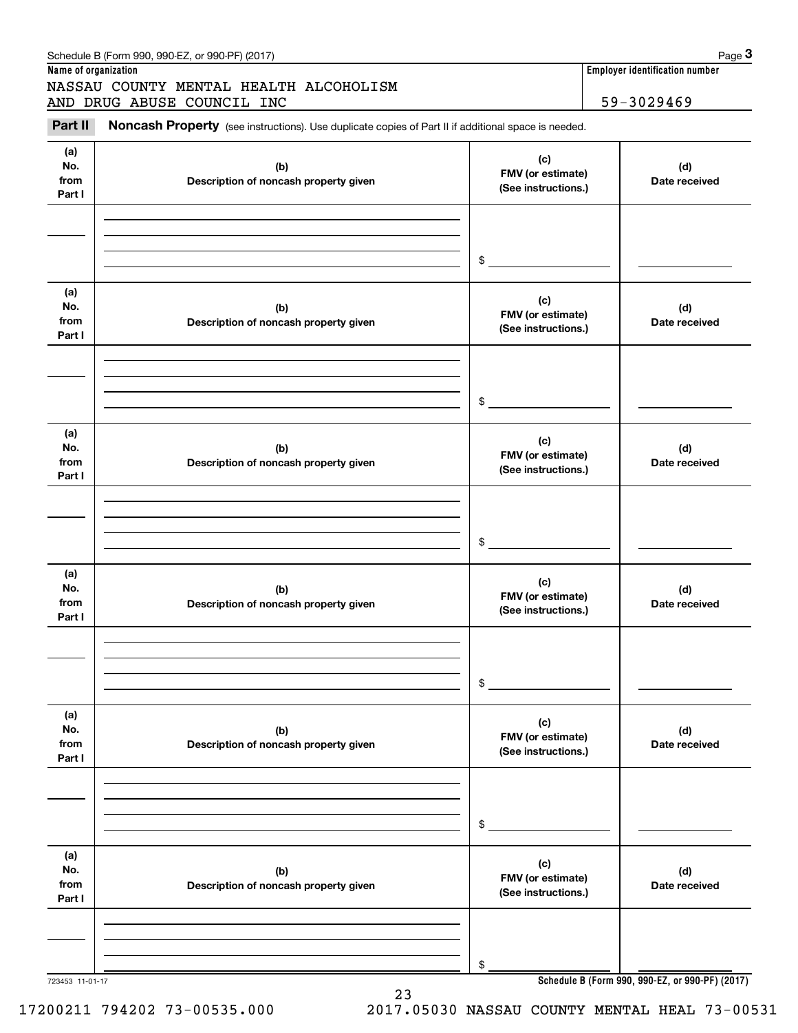|                              | NASSAU COUNTY MENTAL HEALTH ALCOHOLISM<br>AND DRUG ABUSE COUNCIL INC                                |                                                 | 59-3029469           |
|------------------------------|-----------------------------------------------------------------------------------------------------|-------------------------------------------------|----------------------|
| Part II                      | Noncash Property (see instructions). Use duplicate copies of Part II if additional space is needed. |                                                 |                      |
| (a)<br>No.<br>from<br>Part I | (b)<br>Description of noncash property given                                                        | (c)<br>FMV (or estimate)<br>(See instructions.) | (d)<br>Date received |
|                              |                                                                                                     | \$                                              |                      |
| (a)<br>No.<br>from<br>Part I | (b)<br>Description of noncash property given                                                        | (c)<br>FMV (or estimate)<br>(See instructions.) | (d)<br>Date received |
|                              |                                                                                                     | \$                                              |                      |
| (a)<br>No.<br>from<br>Part I | (b)<br>Description of noncash property given                                                        | (c)<br>FMV (or estimate)<br>(See instructions.) | (d)<br>Date received |
|                              |                                                                                                     | \$                                              |                      |
| (a)<br>No.<br>from<br>Part I | (b)<br>Description of noncash property given                                                        | (c)<br>FMV (or estimate)<br>(See instructions.) | (d)<br>Date received |
|                              |                                                                                                     | \$                                              |                      |
| (a)<br>No.<br>from<br>Part I | (b)<br>Description of noncash property given                                                        | (c)<br>FMV (or estimate)<br>(See instructions.) | (d)<br>Date received |
|                              |                                                                                                     | \$                                              |                      |
| (a)<br>No.<br>from<br>Part I | (b)<br>Description of noncash property given                                                        | (c)<br>FMV (or estimate)<br>(See instructions.) | (d)<br>Date received |
|                              |                                                                                                     |                                                 |                      |

723453 11-01-17

**Schedule B (Form 990, 990-EZ, or 990-PF) (2017)**

17200211 794202 73-00535.000 2017.05030 NASSAU COUNTY MENTAL HEAL 73-00531

23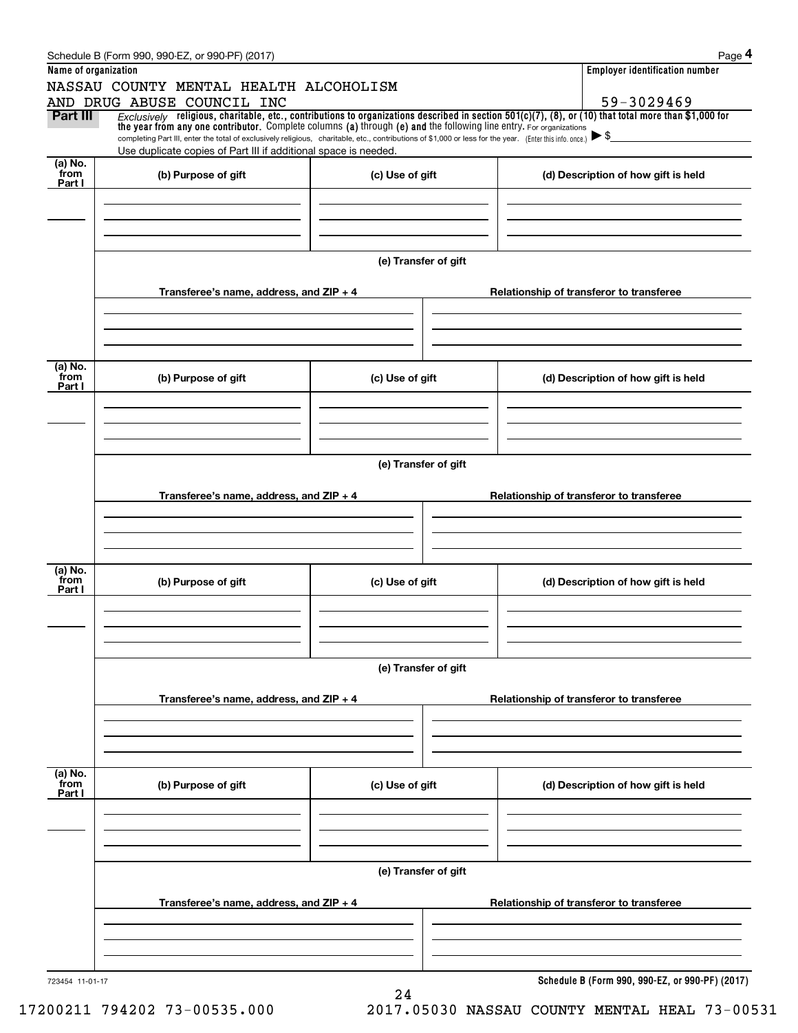|                      | Schedule B (Form 990, 990-EZ, or 990-PF) (2017)                                                                                                                                                                                                                              |                      | Page 4                                          |
|----------------------|------------------------------------------------------------------------------------------------------------------------------------------------------------------------------------------------------------------------------------------------------------------------------|----------------------|-------------------------------------------------|
| Name of organization |                                                                                                                                                                                                                                                                              |                      | <b>Employer identification number</b>           |
|                      | NASSAU COUNTY MENTAL HEALTH ALCOHOLISM                                                                                                                                                                                                                                       |                      |                                                 |
|                      | AND DRUG ABUSE COUNCIL INC                                                                                                                                                                                                                                                   |                      | 59-3029469                                      |
| Part III             | Exclusively religious, charitable, etc., contributions to organizations described in section 501(c)(7), (8), or (10) that total more than \$1,000 for<br>the year from any one contributor. Complete columns (a) through (e) and the following line entry. For organizations |                      |                                                 |
|                      | completing Part III, enter the total of exclusively religious, charitable, etc., contributions of \$1,000 or less for the year. (Enter this info. once.)                                                                                                                     |                      | $\blacktriangleright$ \$                        |
| (a) No.              | Use duplicate copies of Part III if additional space is needed.                                                                                                                                                                                                              |                      |                                                 |
| from                 | (b) Purpose of gift                                                                                                                                                                                                                                                          | (c) Use of gift      | (d) Description of how gift is held             |
| Part I               |                                                                                                                                                                                                                                                                              |                      |                                                 |
|                      |                                                                                                                                                                                                                                                                              |                      |                                                 |
|                      |                                                                                                                                                                                                                                                                              |                      |                                                 |
|                      |                                                                                                                                                                                                                                                                              |                      |                                                 |
|                      |                                                                                                                                                                                                                                                                              | (e) Transfer of gift |                                                 |
|                      |                                                                                                                                                                                                                                                                              |                      |                                                 |
|                      | Transferee's name, address, and $ZIP + 4$                                                                                                                                                                                                                                    |                      | Relationship of transferor to transferee        |
|                      |                                                                                                                                                                                                                                                                              |                      |                                                 |
|                      |                                                                                                                                                                                                                                                                              |                      |                                                 |
|                      |                                                                                                                                                                                                                                                                              |                      |                                                 |
|                      |                                                                                                                                                                                                                                                                              |                      |                                                 |
| (a) No.<br>from      | (b) Purpose of gift                                                                                                                                                                                                                                                          | (c) Use of gift      | (d) Description of how gift is held             |
| Part I               |                                                                                                                                                                                                                                                                              |                      |                                                 |
|                      |                                                                                                                                                                                                                                                                              |                      |                                                 |
|                      |                                                                                                                                                                                                                                                                              |                      |                                                 |
|                      |                                                                                                                                                                                                                                                                              |                      |                                                 |
|                      |                                                                                                                                                                                                                                                                              | (e) Transfer of gift |                                                 |
|                      |                                                                                                                                                                                                                                                                              |                      |                                                 |
|                      | Transferee's name, address, and $ZIP + 4$                                                                                                                                                                                                                                    |                      | Relationship of transferor to transferee        |
|                      |                                                                                                                                                                                                                                                                              |                      |                                                 |
|                      |                                                                                                                                                                                                                                                                              |                      |                                                 |
|                      |                                                                                                                                                                                                                                                                              |                      |                                                 |
|                      |                                                                                                                                                                                                                                                                              |                      |                                                 |
| (a) No.<br>from      | (b) Purpose of gift                                                                                                                                                                                                                                                          | (c) Use of gift      | (d) Description of how gift is held             |
| Part I               |                                                                                                                                                                                                                                                                              |                      |                                                 |
|                      |                                                                                                                                                                                                                                                                              |                      |                                                 |
|                      |                                                                                                                                                                                                                                                                              |                      |                                                 |
|                      |                                                                                                                                                                                                                                                                              |                      |                                                 |
|                      |                                                                                                                                                                                                                                                                              | (e) Transfer of gift |                                                 |
|                      |                                                                                                                                                                                                                                                                              |                      |                                                 |
|                      | Transferee's name, address, and $ZIP + 4$                                                                                                                                                                                                                                    |                      | Relationship of transferor to transferee        |
|                      |                                                                                                                                                                                                                                                                              |                      |                                                 |
|                      |                                                                                                                                                                                                                                                                              |                      |                                                 |
|                      |                                                                                                                                                                                                                                                                              |                      |                                                 |
|                      |                                                                                                                                                                                                                                                                              |                      |                                                 |
| (a) No.<br>from      | (b) Purpose of gift                                                                                                                                                                                                                                                          | (c) Use of gift      | (d) Description of how gift is held             |
| Part I               |                                                                                                                                                                                                                                                                              |                      |                                                 |
|                      |                                                                                                                                                                                                                                                                              |                      |                                                 |
|                      |                                                                                                                                                                                                                                                                              |                      |                                                 |
|                      |                                                                                                                                                                                                                                                                              |                      |                                                 |
|                      |                                                                                                                                                                                                                                                                              |                      |                                                 |
|                      |                                                                                                                                                                                                                                                                              | (e) Transfer of gift |                                                 |
|                      |                                                                                                                                                                                                                                                                              |                      |                                                 |
|                      | Transferee's name, address, and $ZIP + 4$                                                                                                                                                                                                                                    |                      | Relationship of transferor to transferee        |
|                      |                                                                                                                                                                                                                                                                              |                      |                                                 |
|                      |                                                                                                                                                                                                                                                                              |                      |                                                 |
|                      |                                                                                                                                                                                                                                                                              |                      |                                                 |
| 723454 11-01-17      |                                                                                                                                                                                                                                                                              |                      | Schedule B (Form 990, 990-EZ, or 990-PF) (2017) |
|                      |                                                                                                                                                                                                                                                                              | 24                   |                                                 |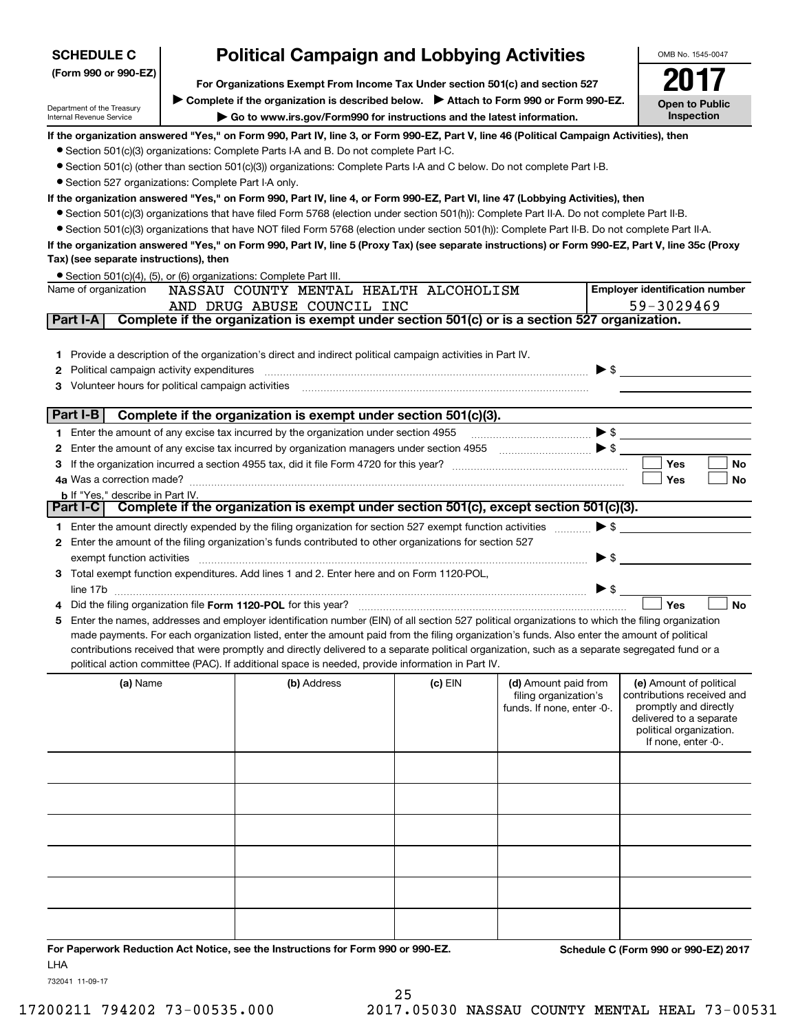| <b>SCHEDULE C</b>                                                                                     | <b>Political Campaign and Lobbying Activities</b> |                                                                                                                                                  |           |                                                                             | OMB No. 1545-0047        |                                                                                                                                                             |
|-------------------------------------------------------------------------------------------------------|---------------------------------------------------|--------------------------------------------------------------------------------------------------------------------------------------------------|-----------|-----------------------------------------------------------------------------|--------------------------|-------------------------------------------------------------------------------------------------------------------------------------------------------------|
| (Form 990 or 990-EZ)<br>For Organizations Exempt From Income Tax Under section 501(c) and section 527 |                                                   |                                                                                                                                                  |           |                                                                             |                          | 2017                                                                                                                                                        |
|                                                                                                       |                                                   | Complete if the organization is described below. > Attach to Form 990 or Form 990-EZ.                                                            |           |                                                                             |                          | <b>Open to Public</b>                                                                                                                                       |
| Department of the Treasury<br>Internal Revenue Service                                                |                                                   | Go to www.irs.gov/Form990 for instructions and the latest information.                                                                           |           |                                                                             |                          | <b>Inspection</b>                                                                                                                                           |
|                                                                                                       |                                                   | If the organization answered "Yes," on Form 990, Part IV, line 3, or Form 990-EZ, Part V, line 46 (Political Campaign Activities), then          |           |                                                                             |                          |                                                                                                                                                             |
|                                                                                                       |                                                   | • Section 501(c)(3) organizations: Complete Parts I-A and B. Do not complete Part I-C.                                                           |           |                                                                             |                          |                                                                                                                                                             |
|                                                                                                       |                                                   | • Section 501(c) (other than section 501(c)(3)) organizations: Complete Parts I-A and C below. Do not complete Part I-B.                         |           |                                                                             |                          |                                                                                                                                                             |
| • Section 527 organizations: Complete Part I-A only.                                                  |                                                   |                                                                                                                                                  |           |                                                                             |                          |                                                                                                                                                             |
|                                                                                                       |                                                   | If the organization answered "Yes," on Form 990, Part IV, line 4, or Form 990-EZ, Part VI, line 47 (Lobbying Activities), then                   |           |                                                                             |                          |                                                                                                                                                             |
|                                                                                                       |                                                   | • Section 501(c)(3) organizations that have filed Form 5768 (election under section 501(h)): Complete Part II-A. Do not complete Part II-B.      |           |                                                                             |                          |                                                                                                                                                             |
|                                                                                                       |                                                   | • Section 501(c)(3) organizations that have NOT filed Form 5768 (election under section 501(h)): Complete Part II-B. Do not complete Part II-A.  |           |                                                                             |                          |                                                                                                                                                             |
|                                                                                                       |                                                   | If the organization answered "Yes," on Form 990, Part IV, line 5 (Proxy Tax) (see separate instructions) or Form 990-EZ, Part V, line 35c (Proxy |           |                                                                             |                          |                                                                                                                                                             |
| Tax) (see separate instructions), then                                                                |                                                   |                                                                                                                                                  |           |                                                                             |                          |                                                                                                                                                             |
|                                                                                                       |                                                   | • Section 501(c)(4), (5), or (6) organizations: Complete Part III.                                                                               |           |                                                                             |                          |                                                                                                                                                             |
| Name of organization                                                                                  |                                                   | NASSAU COUNTY MENTAL HEALTH ALCOHOLISM                                                                                                           |           |                                                                             |                          | <b>Employer identification number</b><br>59-3029469                                                                                                         |
| Part I-A                                                                                              |                                                   | AND DRUG ABUSE COUNCIL INC<br>Complete if the organization is exempt under section 501(c) or is a section 527 organization.                      |           |                                                                             |                          |                                                                                                                                                             |
|                                                                                                       |                                                   |                                                                                                                                                  |           |                                                                             |                          |                                                                                                                                                             |
|                                                                                                       |                                                   |                                                                                                                                                  |           |                                                                             |                          |                                                                                                                                                             |
|                                                                                                       |                                                   | 1 Provide a description of the organization's direct and indirect political campaign activities in Part IV.                                      |           |                                                                             |                          | $\blacktriangleright$ \$                                                                                                                                    |
| 2                                                                                                     |                                                   |                                                                                                                                                  |           |                                                                             |                          |                                                                                                                                                             |
|                                                                                                       |                                                   |                                                                                                                                                  |           |                                                                             |                          |                                                                                                                                                             |
| Part I-B                                                                                              |                                                   | Complete if the organization is exempt under section 501(c)(3).                                                                                  |           |                                                                             |                          |                                                                                                                                                             |
|                                                                                                       |                                                   | Enter the amount of any excise tax incurred by the organization under section 4955 $\ldots$ $\ldots$ $\ldots$ $\ldots$ $\blacktriangleright$ \$  |           |                                                                             |                          |                                                                                                                                                             |
|                                                                                                       |                                                   |                                                                                                                                                  |           |                                                                             |                          |                                                                                                                                                             |
|                                                                                                       |                                                   |                                                                                                                                                  |           |                                                                             |                          | Yes<br>No                                                                                                                                                   |
|                                                                                                       |                                                   |                                                                                                                                                  |           |                                                                             |                          | Yes<br>No                                                                                                                                                   |
| <b>b</b> If "Yes," describe in Part IV.                                                               |                                                   |                                                                                                                                                  |           |                                                                             |                          |                                                                                                                                                             |
|                                                                                                       |                                                   | Part I-C   Complete if the organization is exempt under section 501(c), except section 501(c)(3).                                                |           |                                                                             |                          |                                                                                                                                                             |
| 1.                                                                                                    |                                                   | Enter the amount directly expended by the filing organization for section 527 exempt function activities                                         |           |                                                                             |                          | $\blacktriangleright$ \$                                                                                                                                    |
|                                                                                                       |                                                   | 2 Enter the amount of the filing organization's funds contributed to other organizations for section 527                                         |           |                                                                             |                          |                                                                                                                                                             |
| exempt function activities                                                                            |                                                   |                                                                                                                                                  |           |                                                                             | $\blacktriangleright$ \$ |                                                                                                                                                             |
|                                                                                                       |                                                   | 3 Total exempt function expenditures. Add lines 1 and 2. Enter here and on Form 1120-POL,                                                        |           |                                                                             |                          |                                                                                                                                                             |
|                                                                                                       |                                                   |                                                                                                                                                  |           |                                                                             | >                        |                                                                                                                                                             |
|                                                                                                       |                                                   | Enter the names, addresses and employer identification number (EIN) of all section 527 political organizations to which the filing organization  |           |                                                                             |                          | Yes<br><b>No</b>                                                                                                                                            |
|                                                                                                       |                                                   | made payments. For each organization listed, enter the amount paid from the filing organization's funds. Also enter the amount of political      |           |                                                                             |                          |                                                                                                                                                             |
|                                                                                                       |                                                   | contributions received that were promptly and directly delivered to a separate political organization, such as a separate segregated fund or a   |           |                                                                             |                          |                                                                                                                                                             |
|                                                                                                       |                                                   | political action committee (PAC). If additional space is needed, provide information in Part IV.                                                 |           |                                                                             |                          |                                                                                                                                                             |
| (a) Name                                                                                              |                                                   | (b) Address                                                                                                                                      | $(c)$ EIN | (d) Amount paid from<br>filing organization's<br>funds. If none, enter -0-. |                          | (e) Amount of political<br>contributions received and<br>promptly and directly<br>delivered to a separate<br>political organization.<br>If none, enter -0-. |
|                                                                                                       |                                                   |                                                                                                                                                  |           |                                                                             |                          |                                                                                                                                                             |
|                                                                                                       |                                                   |                                                                                                                                                  |           |                                                                             |                          |                                                                                                                                                             |
|                                                                                                       |                                                   |                                                                                                                                                  |           |                                                                             |                          |                                                                                                                                                             |
|                                                                                                       |                                                   |                                                                                                                                                  |           |                                                                             |                          |                                                                                                                                                             |
|                                                                                                       |                                                   |                                                                                                                                                  |           |                                                                             |                          |                                                                                                                                                             |
|                                                                                                       |                                                   |                                                                                                                                                  |           |                                                                             |                          |                                                                                                                                                             |

**For Paperwork Reduction Act Notice, see the Instructions for Form 990 or 990-EZ. Schedule C (Form 990 or 990-EZ) 2017** LHA

732041 11-09-17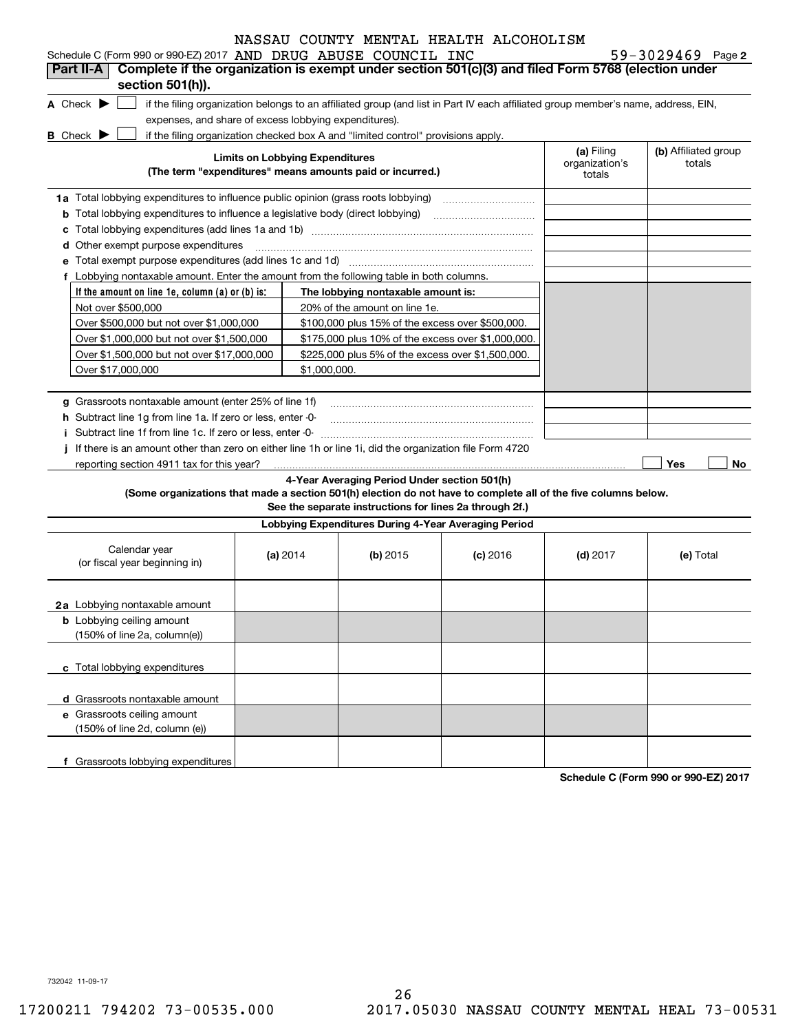| NASSAU COUNTY MENTAL HEALTH ALCOHOLISM |  |
|----------------------------------------|--|
|----------------------------------------|--|

 $59 - 3029469$  Page 2

| Part II-A                                                                                                                                                                                                                                                                                                                             |                                        |                                                                                  | Schedule C (Form 990 or 990-EZ) 2017 AND DRUG ABUSE COUNCIL INC<br>Complete if the organization is exempt under section 501(c)(3) and filed Form 5768 (election under |                                        | $59 - 3029469$ Page 2          |
|---------------------------------------------------------------------------------------------------------------------------------------------------------------------------------------------------------------------------------------------------------------------------------------------------------------------------------------|----------------------------------------|----------------------------------------------------------------------------------|-----------------------------------------------------------------------------------------------------------------------------------------------------------------------|----------------------------------------|--------------------------------|
| section 501(h)).                                                                                                                                                                                                                                                                                                                      |                                        |                                                                                  |                                                                                                                                                                       |                                        |                                |
| A Check $\blacktriangleright$                                                                                                                                                                                                                                                                                                         |                                        |                                                                                  | if the filing organization belongs to an affiliated group (and list in Part IV each affiliated group member's name, address, EIN,                                     |                                        |                                |
| expenses, and share of excess lobbying expenditures).                                                                                                                                                                                                                                                                                 |                                        |                                                                                  |                                                                                                                                                                       |                                        |                                |
| <b>B</b> Check $\blacktriangleright$                                                                                                                                                                                                                                                                                                  |                                        | if the filing organization checked box A and "limited control" provisions apply. |                                                                                                                                                                       |                                        |                                |
|                                                                                                                                                                                                                                                                                                                                       | <b>Limits on Lobbying Expenditures</b> | (The term "expenditures" means amounts paid or incurred.)                        |                                                                                                                                                                       | (a) Filing<br>organization's<br>totals | (b) Affiliated group<br>totals |
| 1a Total lobbying expenditures to influence public opinion (grass roots lobbying)                                                                                                                                                                                                                                                     |                                        |                                                                                  |                                                                                                                                                                       |                                        |                                |
| <b>b</b> Total lobbying expenditures to influence a legislative body (direct lobbying)                                                                                                                                                                                                                                                |                                        |                                                                                  |                                                                                                                                                                       |                                        |                                |
|                                                                                                                                                                                                                                                                                                                                       |                                        |                                                                                  |                                                                                                                                                                       |                                        |                                |
| d Other exempt purpose expenditures                                                                                                                                                                                                                                                                                                   |                                        |                                                                                  |                                                                                                                                                                       |                                        |                                |
|                                                                                                                                                                                                                                                                                                                                       |                                        |                                                                                  |                                                                                                                                                                       |                                        |                                |
| f Lobbying nontaxable amount. Enter the amount from the following table in both columns.                                                                                                                                                                                                                                              |                                        |                                                                                  |                                                                                                                                                                       |                                        |                                |
| If the amount on line 1e, column (a) or (b) is:                                                                                                                                                                                                                                                                                       |                                        | The lobbying nontaxable amount is:                                               |                                                                                                                                                                       |                                        |                                |
| Not over \$500,000                                                                                                                                                                                                                                                                                                                    |                                        | 20% of the amount on line 1e.                                                    |                                                                                                                                                                       |                                        |                                |
| Over \$500,000 but not over \$1,000,000                                                                                                                                                                                                                                                                                               |                                        | \$100,000 plus 15% of the excess over \$500,000.                                 |                                                                                                                                                                       |                                        |                                |
| Over \$1,000,000 but not over \$1,500,000                                                                                                                                                                                                                                                                                             |                                        | \$175,000 plus 10% of the excess over \$1,000,000.                               |                                                                                                                                                                       |                                        |                                |
| Over \$1,500,000 but not over \$17,000,000                                                                                                                                                                                                                                                                                            |                                        | \$225,000 plus 5% of the excess over \$1,500,000.                                |                                                                                                                                                                       |                                        |                                |
| Over \$17,000,000                                                                                                                                                                                                                                                                                                                     | \$1,000,000.                           |                                                                                  |                                                                                                                                                                       |                                        |                                |
| <b>h</b> Subtract line 1g from line 1a. If zero or less, enter -0-                                                                                                                                                                                                                                                                    |                                        |                                                                                  |                                                                                                                                                                       |                                        |                                |
| Subtract line 1f from line 1c. If zero or less, enter -0-<br>j If there is an amount other than zero on either line 1h or line 1i, did the organization file Form 4720<br>reporting section 4911 tax for this year?<br>(Some organizations that made a section 501(h) election do not have to complete all of the five columns below. |                                        | 4-Year Averaging Period Under section 501(h)                                     |                                                                                                                                                                       |                                        | Yes<br>No                      |
|                                                                                                                                                                                                                                                                                                                                       |                                        | See the separate instructions for lines 2a through 2f.)                          |                                                                                                                                                                       |                                        |                                |
|                                                                                                                                                                                                                                                                                                                                       |                                        | Lobbying Expenditures During 4-Year Averaging Period                             |                                                                                                                                                                       |                                        |                                |
| Calendar year<br>(or fiscal year beginning in)                                                                                                                                                                                                                                                                                        | (a) $2014$                             | (b) $2015$                                                                       | $(c)$ 2016                                                                                                                                                            | $(d)$ 2017                             | (e) Total                      |
|                                                                                                                                                                                                                                                                                                                                       |                                        |                                                                                  |                                                                                                                                                                       |                                        |                                |
| 2a Lobbying nontaxable amount                                                                                                                                                                                                                                                                                                         |                                        |                                                                                  |                                                                                                                                                                       |                                        |                                |
| <b>b</b> Lobbying ceiling amount                                                                                                                                                                                                                                                                                                      |                                        |                                                                                  |                                                                                                                                                                       |                                        |                                |
| (150% of line 2a, column(e))                                                                                                                                                                                                                                                                                                          |                                        |                                                                                  |                                                                                                                                                                       |                                        |                                |
|                                                                                                                                                                                                                                                                                                                                       |                                        |                                                                                  |                                                                                                                                                                       |                                        |                                |
| c Total lobbying expenditures                                                                                                                                                                                                                                                                                                         |                                        |                                                                                  |                                                                                                                                                                       |                                        |                                |
|                                                                                                                                                                                                                                                                                                                                       |                                        |                                                                                  |                                                                                                                                                                       |                                        |                                |
| d Grassroots nontaxable amount                                                                                                                                                                                                                                                                                                        |                                        |                                                                                  |                                                                                                                                                                       |                                        |                                |
| e Grassroots ceiling amount<br>(150% of line 2d, column (e))                                                                                                                                                                                                                                                                          |                                        |                                                                                  |                                                                                                                                                                       |                                        |                                |
|                                                                                                                                                                                                                                                                                                                                       |                                        |                                                                                  |                                                                                                                                                                       |                                        |                                |

**Schedule C (Form 990 or 990-EZ) 2017**

732042 11-09-17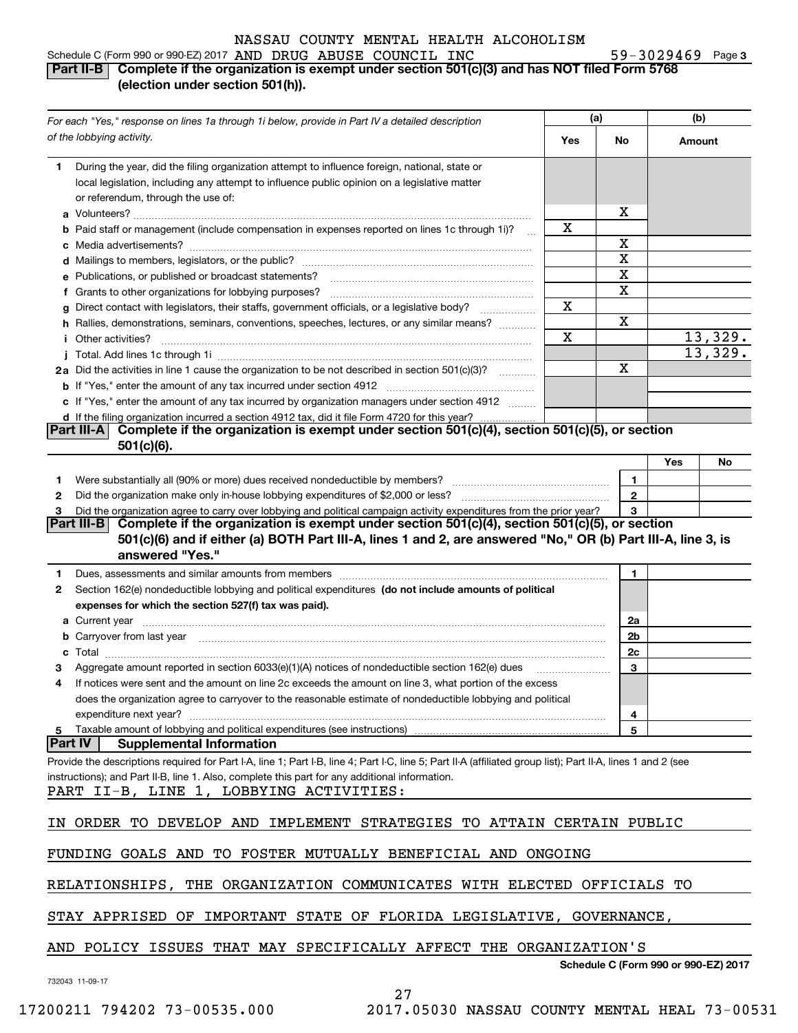**3** Schedule C (Form 990 or 990-EZ) 2017 AND DRUG ABUSE COUNCIL INC  $59-3029469$  Page

# **Part II-B Complete if the organization is exempt under section 501(c)(3) and has NOT filed Form 5768 (election under section 501(h)).**

|                | For each "Yes," response on lines 1a through 1i below, provide in Part IV a detailed description                                                                                                                                                                                                                                                                                                                                                                                            |     | (a)          |        | (b)     |  |
|----------------|---------------------------------------------------------------------------------------------------------------------------------------------------------------------------------------------------------------------------------------------------------------------------------------------------------------------------------------------------------------------------------------------------------------------------------------------------------------------------------------------|-----|--------------|--------|---------|--|
|                | of the lobbying activity.                                                                                                                                                                                                                                                                                                                                                                                                                                                                   | Yes | No           | Amount |         |  |
| 1.             | During the year, did the filing organization attempt to influence foreign, national, state or<br>local legislation, including any attempt to influence public opinion on a legislative matter<br>or referendum, through the use of:                                                                                                                                                                                                                                                         |     | х            |        |         |  |
|                | <b>b</b> Paid staff or management (include compensation in expenses reported on lines 1c through 1i)?<br>$\sim$                                                                                                                                                                                                                                                                                                                                                                             | х   |              |        |         |  |
|                |                                                                                                                                                                                                                                                                                                                                                                                                                                                                                             |     | х            |        |         |  |
|                |                                                                                                                                                                                                                                                                                                                                                                                                                                                                                             |     | X            |        |         |  |
|                | e Publications, or published or broadcast statements?                                                                                                                                                                                                                                                                                                                                                                                                                                       |     | X            |        |         |  |
|                | f Grants to other organizations for lobbying purposes?                                                                                                                                                                                                                                                                                                                                                                                                                                      |     | X            |        |         |  |
|                | g Direct contact with legislators, their staffs, government officials, or a legislative body?                                                                                                                                                                                                                                                                                                                                                                                               | Χ   |              |        |         |  |
|                | h Rallies, demonstrations, seminars, conventions, speeches, lectures, or any similar means?                                                                                                                                                                                                                                                                                                                                                                                                 |     | х            |        |         |  |
|                | <i>i</i> Other activities?                                                                                                                                                                                                                                                                                                                                                                                                                                                                  | X   |              |        | 13,329. |  |
|                |                                                                                                                                                                                                                                                                                                                                                                                                                                                                                             |     |              |        | 13,329. |  |
|                | 2a Did the activities in line 1 cause the organization to be not described in section 501(c)(3)?                                                                                                                                                                                                                                                                                                                                                                                            |     | X            |        |         |  |
|                |                                                                                                                                                                                                                                                                                                                                                                                                                                                                                             |     |              |        |         |  |
|                | c If "Yes," enter the amount of any tax incurred by organization managers under section 4912                                                                                                                                                                                                                                                                                                                                                                                                |     |              |        |         |  |
|                | d If the filing organization incurred a section 4912 tax, did it file Form 4720 for this year?                                                                                                                                                                                                                                                                                                                                                                                              |     |              |        |         |  |
|                | Complete if the organization is exempt under section 501(c)(4), section 501(c)(5), or section<br> Part III-A <br>$501(c)(6)$ .                                                                                                                                                                                                                                                                                                                                                              |     |              |        |         |  |
|                |                                                                                                                                                                                                                                                                                                                                                                                                                                                                                             |     |              | Yes    | No      |  |
| 1              |                                                                                                                                                                                                                                                                                                                                                                                                                                                                                             |     | 1.           |        |         |  |
| 2              |                                                                                                                                                                                                                                                                                                                                                                                                                                                                                             |     | $\mathbf{2}$ |        |         |  |
| 3              | Did the organization agree to carry over lobbying and political campaign activity expenditures from the prior year?                                                                                                                                                                                                                                                                                                                                                                         |     | 3            |        |         |  |
|                | Part III-B Complete if the organization is exempt under section $501(c)(4)$ , section $501(c)(5)$ , or section<br>501(c)(6) and if either (a) BOTH Part III-A, lines 1 and 2, are answered "No," OR (b) Part III-A, line 3, is                                                                                                                                                                                                                                                              |     |              |        |         |  |
|                | answered "Yes."                                                                                                                                                                                                                                                                                                                                                                                                                                                                             |     |              |        |         |  |
| 1              | Dues, assessments and similar amounts from members [11] matter content to the state of the state of the state of the state of the state of the state of the state of the state of the state of the state of the state of the s                                                                                                                                                                                                                                                              |     | 1            |        |         |  |
| 2              | Section 162(e) nondeductible lobbying and political expenditures (do not include amounts of political                                                                                                                                                                                                                                                                                                                                                                                       |     |              |        |         |  |
|                | expenses for which the section 527(f) tax was paid).                                                                                                                                                                                                                                                                                                                                                                                                                                        |     |              |        |         |  |
|                | <b>a</b> Current year                                                                                                                                                                                                                                                                                                                                                                                                                                                                       |     | 2a           |        |         |  |
|                | b Carryover from last year manufactured and contact the control of the control of the control of the control of the control of the control of the control of the control of the control of the control of the control of the c                                                                                                                                                                                                                                                              |     | 2b           |        |         |  |
| c              | $\textbf{Total} \textcolor{red}{\overbrace{\hspace{15em}}\hspace{15em}}\hspace{15em}\textcolor{red}{\overbrace{\hspace{15em}}\hspace{15em}}\hspace{15em}\textcolor{red}{\overbrace{\hspace{15em}}\hspace{15em}}\hspace{15em}\textcolor{red}{\overbrace{\hspace{15em}}\hspace{15em}}\hspace{15em}\textcolor{red}{\overbrace{\hspace{15em}}\hspace{15em}}\hspace{15em}\textcolor{red}{\overbrace{\hspace{15em}}\hspace{15em}}\hspace{15em}\textcolor{red}{\overbrace{\hspace{15em}}\hspace{1$ |     | 2c           |        |         |  |
|                | Aggregate amount reported in section 6033(e)(1)(A) notices of nondeductible section 162(e) dues                                                                                                                                                                                                                                                                                                                                                                                             |     | 3            |        |         |  |
| 4              | If notices were sent and the amount on line 2c exceeds the amount on line 3, what portion of the excess                                                                                                                                                                                                                                                                                                                                                                                     |     |              |        |         |  |
|                | does the organization agree to carryover to the reasonable estimate of nondeductible lobbying and political                                                                                                                                                                                                                                                                                                                                                                                 |     |              |        |         |  |
|                | expenditure next year?                                                                                                                                                                                                                                                                                                                                                                                                                                                                      |     | 4            |        |         |  |
| 5              | Taxable amount of lobbying and political expenditures (see instructions)                                                                                                                                                                                                                                                                                                                                                                                                                    |     | 5            |        |         |  |
| <b>Part IV</b> | <b>Supplemental Information</b><br>Provide the descriptions required for Part I-A, line 1; Part I-B, line 4; Part I-C, line 5; Part II-A (affiliated group list); Part II-A, lines 1 and 2 (see<br>instructions); and Part II-B, line 1. Also, complete this part for any additional information.<br>PART II-B, LINE 1, LOBBYING ACTIVITIES:                                                                                                                                                |     |              |        |         |  |
|                | IN ORDER TO DEVELOP AND IMPLEMENT STRATEGIES TO ATTAIN CERTAIN PUBLIC                                                                                                                                                                                                                                                                                                                                                                                                                       |     |              |        |         |  |
|                | FUNDING GOALS AND TO FOSTER MUTUALLY BENEFICIAL AND ONGOING                                                                                                                                                                                                                                                                                                                                                                                                                                 |     |              |        |         |  |
|                | RELATIONSHIPS, THE ORGANIZATION COMMUNICATES WITH ELECTED OFFICIALS TO                                                                                                                                                                                                                                                                                                                                                                                                                      |     |              |        |         |  |
|                | STAY APPRISED OF IMPORTANT STATE OF FLORIDA LEGISLATIVE, GOVERNANCE,                                                                                                                                                                                                                                                                                                                                                                                                                        |     |              |        |         |  |
|                | AND POLICY ISSUES THAT MAY SPECIFICALLY AFFECT THE ORGANIZATION'S                                                                                                                                                                                                                                                                                                                                                                                                                           |     |              |        |         |  |

732043 11-09-17

**Schedule C (Form 990 or 990-EZ) 2017**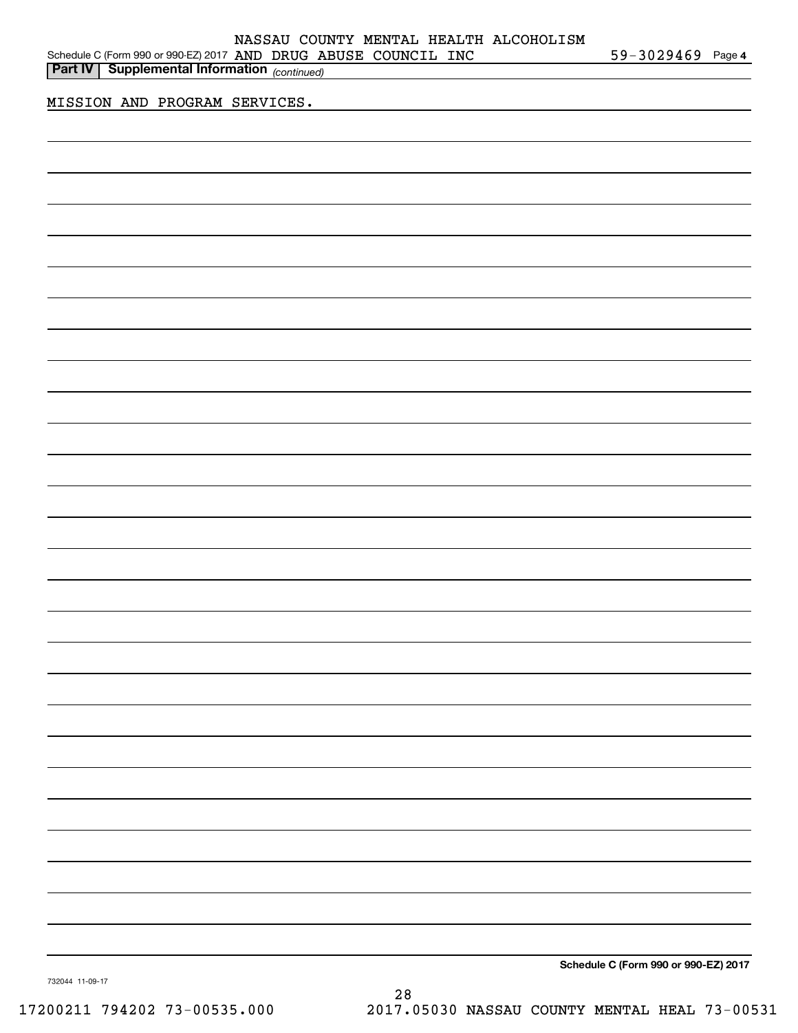| Part IV Supplemental Information (continued) |  |                                      |
|----------------------------------------------|--|--------------------------------------|
| <u>MISSION AND PROGRAM SERVICES.</u>         |  |                                      |
|                                              |  |                                      |
|                                              |  |                                      |
|                                              |  |                                      |
|                                              |  |                                      |
|                                              |  |                                      |
|                                              |  |                                      |
|                                              |  |                                      |
|                                              |  |                                      |
|                                              |  |                                      |
|                                              |  |                                      |
|                                              |  |                                      |
|                                              |  |                                      |
|                                              |  |                                      |
|                                              |  |                                      |
|                                              |  |                                      |
|                                              |  |                                      |
|                                              |  |                                      |
|                                              |  |                                      |
|                                              |  |                                      |
|                                              |  |                                      |
|                                              |  |                                      |
|                                              |  |                                      |
|                                              |  |                                      |
|                                              |  |                                      |
|                                              |  |                                      |
|                                              |  |                                      |
|                                              |  |                                      |
|                                              |  | Schedule C (Form 990 or 990-EZ) 2017 |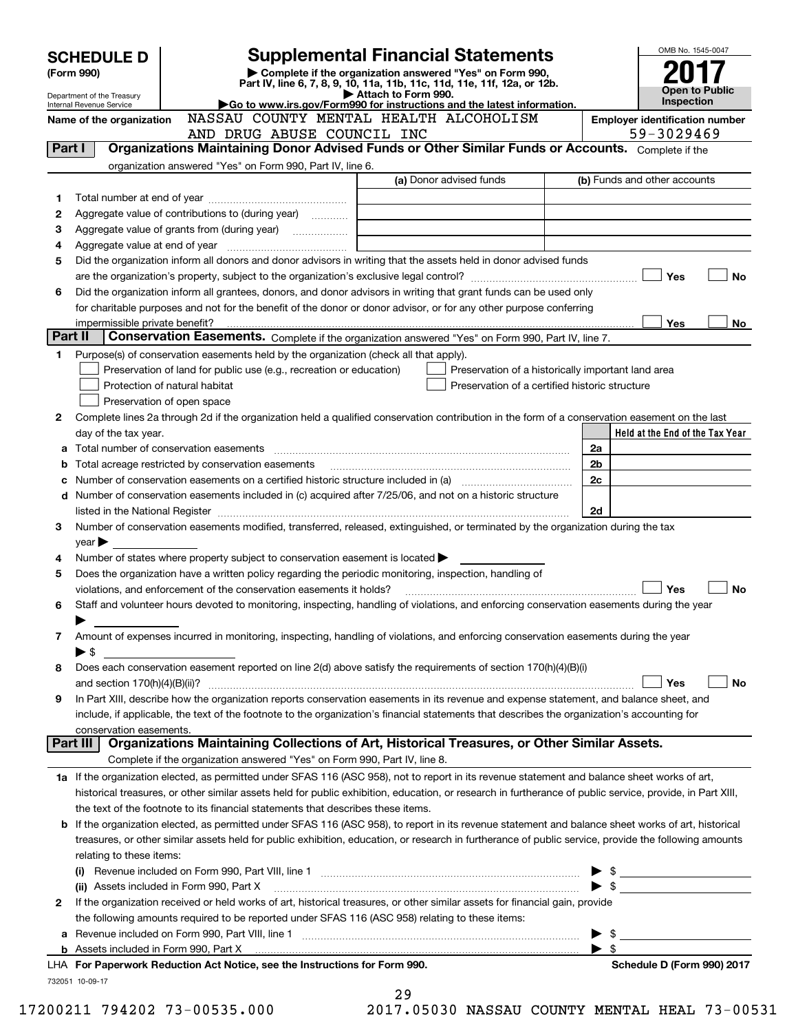|         | <b>SCHEDULE D</b>                     |                                                                                                        | <b>Supplemental Financial Statements</b>                                                                                                                                                                                                |                          | OMB No. 1545-0047                                                                                                    |
|---------|---------------------------------------|--------------------------------------------------------------------------------------------------------|-----------------------------------------------------------------------------------------------------------------------------------------------------------------------------------------------------------------------------------------|--------------------------|----------------------------------------------------------------------------------------------------------------------|
|         | (Form 990)                            |                                                                                                        | Complete if the organization answered "Yes" on Form 990,<br>Part IV, line 6, 7, 8, 9, 10, 11a, 11b, 11c, 11d, 11e, 11f, 12a, or 12b.                                                                                                    |                          |                                                                                                                      |
|         | Department of the Treasury            |                                                                                                        | Attach to Form 990.                                                                                                                                                                                                                     |                          | Open to Public<br><b>Inspection</b>                                                                                  |
|         | Internal Revenue Service              |                                                                                                        | Go to www.irs.gov/Form990 for instructions and the latest information.<br>NASSAU COUNTY MENTAL HEALTH ALCOHOLISM                                                                                                                        |                          |                                                                                                                      |
|         | Name of the organization              | AND DRUG ABUSE COUNCIL INC                                                                             |                                                                                                                                                                                                                                         |                          | <b>Employer identification number</b><br>59-3029469                                                                  |
| Part I  |                                       |                                                                                                        | Organizations Maintaining Donor Advised Funds or Other Similar Funds or Accounts. Complete if the                                                                                                                                       |                          |                                                                                                                      |
|         |                                       | organization answered "Yes" on Form 990, Part IV, line 6.                                              |                                                                                                                                                                                                                                         |                          |                                                                                                                      |
|         |                                       |                                                                                                        | (a) Donor advised funds                                                                                                                                                                                                                 |                          | (b) Funds and other accounts                                                                                         |
| 1       |                                       |                                                                                                        |                                                                                                                                                                                                                                         |                          |                                                                                                                      |
| 2       |                                       | Aggregate value of contributions to (during year)                                                      |                                                                                                                                                                                                                                         |                          |                                                                                                                      |
| з       |                                       |                                                                                                        |                                                                                                                                                                                                                                         |                          |                                                                                                                      |
| 4       |                                       |                                                                                                        |                                                                                                                                                                                                                                         |                          |                                                                                                                      |
| 5       |                                       |                                                                                                        | Did the organization inform all donors and donor advisors in writing that the assets held in donor advised funds                                                                                                                        |                          |                                                                                                                      |
|         |                                       |                                                                                                        |                                                                                                                                                                                                                                         |                          | Yes<br>No                                                                                                            |
| 6       |                                       |                                                                                                        | Did the organization inform all grantees, donors, and donor advisors in writing that grant funds can be used only<br>for charitable purposes and not for the benefit of the donor or donor advisor, or for any other purpose conferring |                          |                                                                                                                      |
|         |                                       |                                                                                                        |                                                                                                                                                                                                                                         |                          | Yes<br>No.                                                                                                           |
| Part II |                                       |                                                                                                        | Conservation Easements. Complete if the organization answered "Yes" on Form 990, Part IV, line 7.                                                                                                                                       |                          |                                                                                                                      |
| 1       |                                       | Purpose(s) of conservation easements held by the organization (check all that apply).                  |                                                                                                                                                                                                                                         |                          |                                                                                                                      |
|         |                                       | Preservation of land for public use (e.g., recreation or education)                                    | Preservation of a historically important land area                                                                                                                                                                                      |                          |                                                                                                                      |
|         |                                       | Protection of natural habitat                                                                          | Preservation of a certified historic structure                                                                                                                                                                                          |                          |                                                                                                                      |
|         |                                       | Preservation of open space                                                                             |                                                                                                                                                                                                                                         |                          |                                                                                                                      |
| 2       |                                       |                                                                                                        | Complete lines 2a through 2d if the organization held a qualified conservation contribution in the form of a conservation easement on the last                                                                                          |                          |                                                                                                                      |
|         | day of the tax year.                  |                                                                                                        |                                                                                                                                                                                                                                         |                          | Held at the End of the Tax Year                                                                                      |
| a       |                                       |                                                                                                        |                                                                                                                                                                                                                                         | 2a                       |                                                                                                                      |
| b       |                                       | Total acreage restricted by conservation easements                                                     |                                                                                                                                                                                                                                         | 2b                       |                                                                                                                      |
| c       |                                       |                                                                                                        |                                                                                                                                                                                                                                         | 2c                       |                                                                                                                      |
| d       |                                       |                                                                                                        | Number of conservation easements included in (c) acquired after 7/25/06, and not on a historic structure                                                                                                                                |                          |                                                                                                                      |
|         |                                       |                                                                                                        |                                                                                                                                                                                                                                         | 2d                       |                                                                                                                      |
| З       |                                       |                                                                                                        | Number of conservation easements modified, transferred, released, extinguished, or terminated by the organization during the tax                                                                                                        |                          |                                                                                                                      |
| 4       | $year \blacktriangleright$            | Number of states where property subject to conservation easement is located >                          |                                                                                                                                                                                                                                         |                          |                                                                                                                      |
| 5       |                                       | Does the organization have a written policy regarding the periodic monitoring, inspection, handling of |                                                                                                                                                                                                                                         |                          |                                                                                                                      |
|         |                                       | violations, and enforcement of the conservation easements it holds?                                    |                                                                                                                                                                                                                                         |                          | Yes<br>No                                                                                                            |
| 6       |                                       |                                                                                                        | Staff and volunteer hours devoted to monitoring, inspecting, handling of violations, and enforcing conservation easements during the year                                                                                               |                          |                                                                                                                      |
|         |                                       |                                                                                                        |                                                                                                                                                                                                                                         |                          |                                                                                                                      |
| 7       |                                       |                                                                                                        | Amount of expenses incurred in monitoring, inspecting, handling of violations, and enforcing conservation easements during the year                                                                                                     |                          |                                                                                                                      |
|         | $\blacktriangleright$ \$              |                                                                                                        |                                                                                                                                                                                                                                         |                          |                                                                                                                      |
| 8       |                                       |                                                                                                        | Does each conservation easement reported on line 2(d) above satisfy the requirements of section 170(h)(4)(B)(i)                                                                                                                         |                          |                                                                                                                      |
|         |                                       |                                                                                                        |                                                                                                                                                                                                                                         |                          | Yes<br>No                                                                                                            |
| 9       |                                       |                                                                                                        | In Part XIII, describe how the organization reports conservation easements in its revenue and expense statement, and balance sheet, and                                                                                                 |                          |                                                                                                                      |
|         |                                       |                                                                                                        | include, if applicable, the text of the footnote to the organization's financial statements that describes the organization's accounting for                                                                                            |                          |                                                                                                                      |
|         | conservation easements.<br>Part III I |                                                                                                        | Organizations Maintaining Collections of Art, Historical Treasures, or Other Similar Assets.                                                                                                                                            |                          |                                                                                                                      |
|         |                                       | Complete if the organization answered "Yes" on Form 990, Part IV, line 8.                              |                                                                                                                                                                                                                                         |                          |                                                                                                                      |
|         |                                       |                                                                                                        | 1a If the organization elected, as permitted under SFAS 116 (ASC 958), not to report in its revenue statement and balance sheet works of art,                                                                                           |                          |                                                                                                                      |
|         |                                       |                                                                                                        | historical treasures, or other similar assets held for public exhibition, education, or research in furtherance of public service, provide, in Part XIII,                                                                               |                          |                                                                                                                      |
|         |                                       | the text of the footnote to its financial statements that describes these items.                       |                                                                                                                                                                                                                                         |                          |                                                                                                                      |
| b       |                                       |                                                                                                        | If the organization elected, as permitted under SFAS 116 (ASC 958), to report in its revenue statement and balance sheet works of art, historical                                                                                       |                          |                                                                                                                      |
|         |                                       |                                                                                                        | treasures, or other similar assets held for public exhibition, education, or research in furtherance of public service, provide the following amounts                                                                                   |                          |                                                                                                                      |
|         | relating to these items:              |                                                                                                        |                                                                                                                                                                                                                                         |                          |                                                                                                                      |
|         |                                       |                                                                                                        |                                                                                                                                                                                                                                         |                          | $\frac{1}{2}$                                                                                                        |
|         |                                       |                                                                                                        |                                                                                                                                                                                                                                         | $\blacktriangleright$ \$ | <u> 1989 - Jan Barbara Barat, prima popular popular popular popular popular popular popular popular popular popu</u> |
| 2       |                                       |                                                                                                        | If the organization received or held works of art, historical treasures, or other similar assets for financial gain, provide                                                                                                            |                          |                                                                                                                      |
|         |                                       | the following amounts required to be reported under SFAS 116 (ASC 958) relating to these items:        |                                                                                                                                                                                                                                         |                          |                                                                                                                      |
| а       |                                       |                                                                                                        |                                                                                                                                                                                                                                         | \$                       |                                                                                                                      |
|         |                                       |                                                                                                        |                                                                                                                                                                                                                                         | - \$                     |                                                                                                                      |
|         |                                       | LHA For Paperwork Reduction Act Notice, see the Instructions for Form 990.                             |                                                                                                                                                                                                                                         |                          | Schedule D (Form 990) 2017                                                                                           |
|         | 732051 10-09-17                       |                                                                                                        | 29                                                                                                                                                                                                                                      |                          |                                                                                                                      |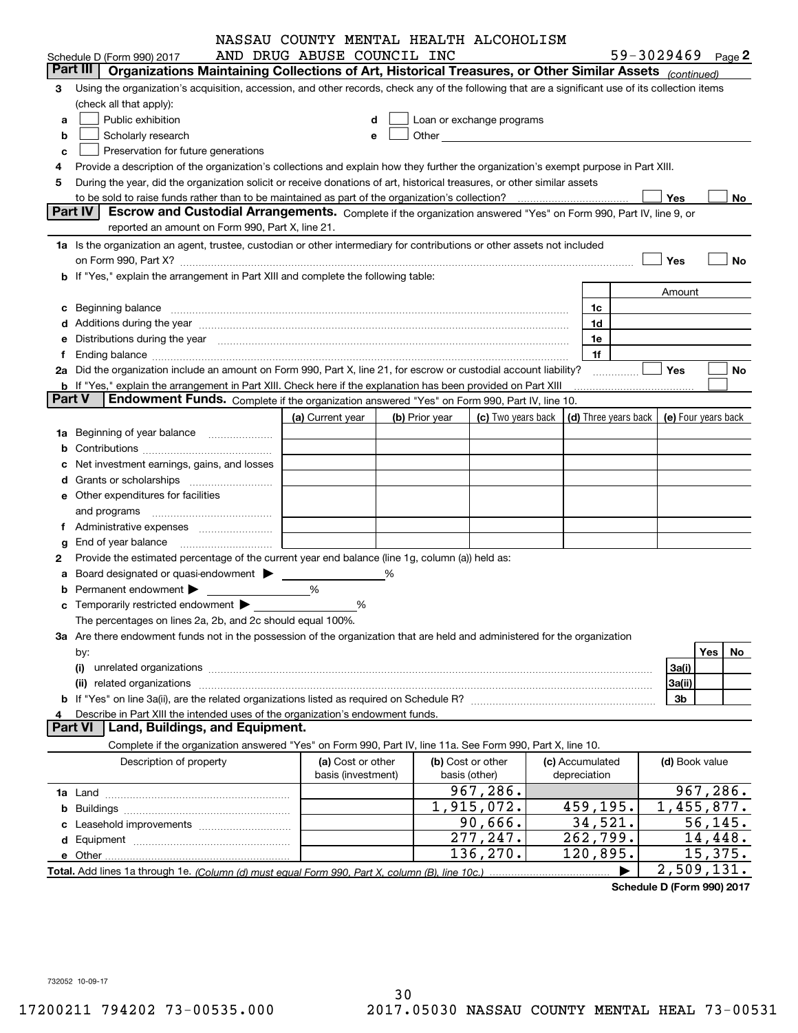|               |                                                                                                                                                                                                                                | NASSAU COUNTY MENTAL HEALTH ALCOHOLISM |   |                |                                                                                                                                                                                                                                |                                                          |                   |                |                           |
|---------------|--------------------------------------------------------------------------------------------------------------------------------------------------------------------------------------------------------------------------------|----------------------------------------|---|----------------|--------------------------------------------------------------------------------------------------------------------------------------------------------------------------------------------------------------------------------|----------------------------------------------------------|-------------------|----------------|---------------------------|
|               | Schedule D (Form 990) 2017                                                                                                                                                                                                     | AND DRUG ABUSE COUNCIL INC             |   |                |                                                                                                                                                                                                                                |                                                          | 59-3029469 Page 2 |                |                           |
|               | Organizations Maintaining Collections of Art, Historical Treasures, or Other Similar Assets (continued)<br>Part III                                                                                                            |                                        |   |                |                                                                                                                                                                                                                                |                                                          |                   |                |                           |
| 3             | Using the organization's acquisition, accession, and other records, check any of the following that are a significant use of its collection items                                                                              |                                        |   |                |                                                                                                                                                                                                                                |                                                          |                   |                |                           |
|               | (check all that apply):                                                                                                                                                                                                        |                                        |   |                |                                                                                                                                                                                                                                |                                                          |                   |                |                           |
| a             | Public exhibition                                                                                                                                                                                                              | d                                      |   |                | Loan or exchange programs                                                                                                                                                                                                      |                                                          |                   |                |                           |
| b             | Scholarly research                                                                                                                                                                                                             | е                                      |   |                | Other the contract of the contract of the contract of the contract of the contract of the contract of the contract of the contract of the contract of the contract of the contract of the contract of the contract of the cont |                                                          |                   |                |                           |
| c             | Preservation for future generations                                                                                                                                                                                            |                                        |   |                |                                                                                                                                                                                                                                |                                                          |                   |                |                           |
|               | Provide a description of the organization's collections and explain how they further the organization's exempt purpose in Part XIII.                                                                                           |                                        |   |                |                                                                                                                                                                                                                                |                                                          |                   |                |                           |
| 5             | During the year, did the organization solicit or receive donations of art, historical treasures, or other similar assets                                                                                                       |                                        |   |                |                                                                                                                                                                                                                                |                                                          |                   |                |                           |
|               | to be sold to raise funds rather than to be maintained as part of the organization's collection?                                                                                                                               |                                        |   |                |                                                                                                                                                                                                                                |                                                          | Yes               |                | No                        |
|               | <b>Part IV</b><br>Escrow and Custodial Arrangements. Complete if the organization answered "Yes" on Form 990, Part IV, line 9, or                                                                                              |                                        |   |                |                                                                                                                                                                                                                                |                                                          |                   |                |                           |
|               | reported an amount on Form 990, Part X, line 21.                                                                                                                                                                               |                                        |   |                |                                                                                                                                                                                                                                |                                                          |                   |                |                           |
|               | 1a Is the organization an agent, trustee, custodian or other intermediary for contributions or other assets not included                                                                                                       |                                        |   |                |                                                                                                                                                                                                                                |                                                          |                   |                |                           |
|               |                                                                                                                                                                                                                                |                                        |   |                |                                                                                                                                                                                                                                |                                                          | Yes               |                | No                        |
|               | b If "Yes," explain the arrangement in Part XIII and complete the following table:                                                                                                                                             |                                        |   |                |                                                                                                                                                                                                                                |                                                          |                   |                |                           |
|               |                                                                                                                                                                                                                                |                                        |   |                |                                                                                                                                                                                                                                |                                                          | Amount            |                |                           |
|               | c Beginning balance measurements and the contract of the contract of the contract of the contract of the contract of the contract of the contract of the contract of the contract of the contract of the contract of the contr |                                        |   |                |                                                                                                                                                                                                                                | 1c                                                       |                   |                |                           |
|               |                                                                                                                                                                                                                                |                                        |   |                |                                                                                                                                                                                                                                | 1d                                                       |                   |                |                           |
|               | e Distributions during the year manufactured and contained and contained and contained and contained and contained and contained and contained and contained and contained and contained and contained and contained and conta |                                        |   |                |                                                                                                                                                                                                                                | 1e                                                       |                   |                |                           |
|               |                                                                                                                                                                                                                                |                                        |   |                |                                                                                                                                                                                                                                | 1f                                                       |                   |                |                           |
|               | 2a Did the organization include an amount on Form 990, Part X, line 21, for escrow or custodial account liability?                                                                                                             |                                        |   |                |                                                                                                                                                                                                                                | .                                                        | Yes               |                | No                        |
|               | <b>b</b> If "Yes," explain the arrangement in Part XIII. Check here if the explanation has been provided on Part XIII                                                                                                          |                                        |   |                |                                                                                                                                                                                                                                |                                                          |                   |                |                           |
| <b>Part V</b> | Endowment Funds. Complete if the organization answered "Yes" on Form 990, Part IV, line 10.                                                                                                                                    |                                        |   |                |                                                                                                                                                                                                                                |                                                          |                   |                |                           |
|               |                                                                                                                                                                                                                                | (a) Current year                       |   | (b) Prior year | (c) Two years back                                                                                                                                                                                                             | $\vert$ (d) Three years back $\vert$ (e) Four years back |                   |                |                           |
| 1a            | Beginning of year balance                                                                                                                                                                                                      |                                        |   |                |                                                                                                                                                                                                                                |                                                          |                   |                |                           |
|               |                                                                                                                                                                                                                                |                                        |   |                |                                                                                                                                                                                                                                |                                                          |                   |                |                           |
|               | Net investment earnings, gains, and losses                                                                                                                                                                                     |                                        |   |                |                                                                                                                                                                                                                                |                                                          |                   |                |                           |
|               |                                                                                                                                                                                                                                |                                        |   |                |                                                                                                                                                                                                                                |                                                          |                   |                |                           |
|               | e Other expenditures for facilities                                                                                                                                                                                            |                                        |   |                |                                                                                                                                                                                                                                |                                                          |                   |                |                           |
|               |                                                                                                                                                                                                                                |                                        |   |                |                                                                                                                                                                                                                                |                                                          |                   |                |                           |
|               |                                                                                                                                                                                                                                |                                        |   |                |                                                                                                                                                                                                                                |                                                          |                   |                |                           |
| g             | End of year balance                                                                                                                                                                                                            |                                        |   |                |                                                                                                                                                                                                                                |                                                          |                   |                |                           |
| 2             | Provide the estimated percentage of the current year end balance (line 1g, column (a)) held as:                                                                                                                                |                                        |   |                |                                                                                                                                                                                                                                |                                                          |                   |                |                           |
|               | Board designated or quasi-endowment >                                                                                                                                                                                          |                                        | % |                |                                                                                                                                                                                                                                |                                                          |                   |                |                           |
|               | Permanent endowment >                                                                                                                                                                                                          | %                                      |   |                |                                                                                                                                                                                                                                |                                                          |                   |                |                           |
|               | <b>c</b> Temporarily restricted endowment $\blacktriangleright$                                                                                                                                                                | %                                      |   |                |                                                                                                                                                                                                                                |                                                          |                   |                |                           |
|               | The percentages on lines 2a, 2b, and 2c should equal 100%.                                                                                                                                                                     |                                        |   |                |                                                                                                                                                                                                                                |                                                          |                   |                |                           |
|               | 3a Are there endowment funds not in the possession of the organization that are held and administered for the organization                                                                                                     |                                        |   |                |                                                                                                                                                                                                                                |                                                          |                   |                |                           |
|               | by:                                                                                                                                                                                                                            |                                        |   |                |                                                                                                                                                                                                                                |                                                          |                   | Yes            | No.                       |
|               | (i)                                                                                                                                                                                                                            |                                        |   |                |                                                                                                                                                                                                                                |                                                          | 3a(i)             |                |                           |
|               | related organizations<br>(ii)                                                                                                                                                                                                  |                                        |   |                |                                                                                                                                                                                                                                |                                                          | 3a(ii)            |                |                           |
|               |                                                                                                                                                                                                                                |                                        |   |                |                                                                                                                                                                                                                                |                                                          | 3b                |                |                           |
| 4             | Describe in Part XIII the intended uses of the organization's endowment funds.                                                                                                                                                 |                                        |   |                |                                                                                                                                                                                                                                |                                                          |                   |                |                           |
|               | Land, Buildings, and Equipment.<br><b>Part VI</b>                                                                                                                                                                              |                                        |   |                |                                                                                                                                                                                                                                |                                                          |                   |                |                           |
|               | Complete if the organization answered "Yes" on Form 990, Part IV, line 11a. See Form 990, Part X, line 10.                                                                                                                     |                                        |   |                |                                                                                                                                                                                                                                |                                                          |                   |                |                           |
|               | Description of property                                                                                                                                                                                                        | (a) Cost or other                      |   |                | (b) Cost or other                                                                                                                                                                                                              | (c) Accumulated                                          |                   | (d) Book value |                           |
|               |                                                                                                                                                                                                                                | basis (investment)                     |   |                | basis (other)                                                                                                                                                                                                                  | depreciation                                             |                   |                |                           |
|               |                                                                                                                                                                                                                                |                                        |   |                | 967,286.<br>$\overline{1,915}$ , 072.                                                                                                                                                                                          |                                                          |                   |                | 967,286.                  |
| b             |                                                                                                                                                                                                                                |                                        |   |                |                                                                                                                                                                                                                                | 459,195.                                                 |                   |                | $\overline{1,455}$ , 877. |
|               |                                                                                                                                                                                                                                |                                        |   |                | 90,666.                                                                                                                                                                                                                        | 34,521.                                                  |                   |                | 56, 145.                  |
|               |                                                                                                                                                                                                                                |                                        |   |                | 277,247.                                                                                                                                                                                                                       | 262,799.                                                 |                   |                | 14,448.                   |
|               |                                                                                                                                                                                                                                |                                        |   |                | 136,270.                                                                                                                                                                                                                       | 120,895.                                                 |                   |                | 15,375.                   |
|               |                                                                                                                                                                                                                                |                                        |   |                |                                                                                                                                                                                                                                |                                                          |                   |                | 2,509,131.                |

**Schedule D (Form 990) 2017**

732052 10-09-17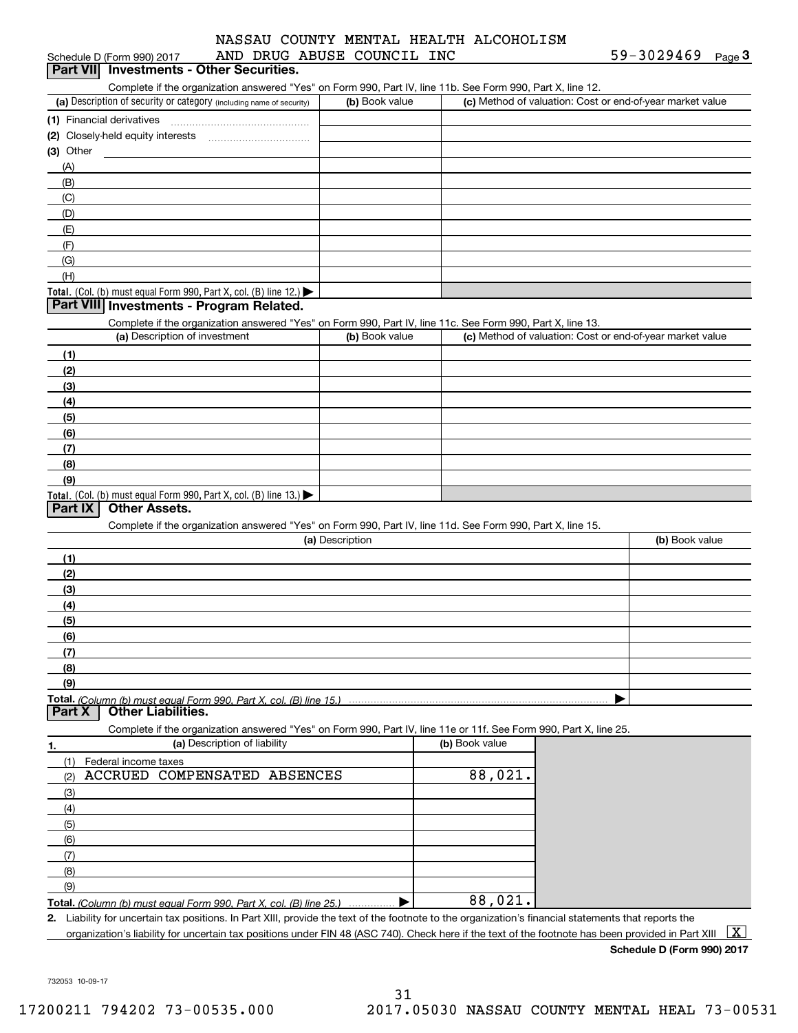# Schedule D (Form 990) 2017 AND DRUG ABUSE COUNCIL INC 59-3029469 <sub>Page</sub> 3<br>| **Part VII** | Investments - Other Securities. NASSAU COUNTY MENTAL HEALTH ALCOHOLISM

| $\frac{1}{2}$                               |  |
|---------------------------------------------|--|
| <b>Part VII</b> Investments - Other Securit |  |

Complete if the organization answered "Yes" on Form 990, Part IV, line 11b. See Form 990, Part X, line 12.

| (a) Description of security or category (including name of security)                   | (b) Book value | (c) Method of valuation: Cost or end-of-year market value |
|----------------------------------------------------------------------------------------|----------------|-----------------------------------------------------------|
| (1) Financial derivatives                                                              |                |                                                           |
| (2) Closely-held equity interests                                                      |                |                                                           |
| $(3)$ Other                                                                            |                |                                                           |
| (A)                                                                                    |                |                                                           |
| (B)                                                                                    |                |                                                           |
| (C)                                                                                    |                |                                                           |
| (D)                                                                                    |                |                                                           |
| (E)                                                                                    |                |                                                           |
| (F)                                                                                    |                |                                                           |
| (G)                                                                                    |                |                                                           |
| (H)                                                                                    |                |                                                           |
| Total. (Col. (b) must equal Form 990, Part X, col. (B) line 12.) $\blacktriangleright$ |                |                                                           |

# **Part VIII Investments - Program Related.**

Complete if the organization answered "Yes" on Form 990, Part IV, line 11c. See Form 990, Part X, line 13.

| (a) Description of investment                                    | (b) Book value | (c) Method of valuation: Cost or end-of-year market value |
|------------------------------------------------------------------|----------------|-----------------------------------------------------------|
| (1)                                                              |                |                                                           |
| (2)                                                              |                |                                                           |
| $\frac{1}{2}$                                                    |                |                                                           |
| (4)                                                              |                |                                                           |
| $\frac{1}{2}$                                                    |                |                                                           |
| (6)                                                              |                |                                                           |
| (7)                                                              |                |                                                           |
| (8)                                                              |                |                                                           |
| (9)                                                              |                |                                                           |
| Total. (Col. (b) must equal Form 990, Part X, col. (B) line 13.) |                |                                                           |

# **Part IX Other Assets.**

Complete if the organization answered "Yes" on Form 990, Part IV, line 11d. See Form 990, Part X, line 15.

| (a) Description | (b) Book value |
|-----------------|----------------|
| (1)             |                |
| (2)             |                |
| $\frac{1}{2}$   |                |
| (4)             |                |
| (5)             |                |
| (6)             |                |
| (7)             |                |
| (8)             |                |
| (9)             |                |
|                 |                |

#### **Part X Other Liabilities.**

Complete if the organization answered "Yes" on Form 990, Part IV, line 11e or 11f. See Form 990, Part X, line 25.

| 1.  | (a) Description of liability                                            | (b) Book value |
|-----|-------------------------------------------------------------------------|----------------|
|     | Federal income taxes                                                    |                |
| (2) | ACCRUED COMPENSATED ABSENCES                                            | 88,021.        |
| (3) |                                                                         |                |
| (4) |                                                                         |                |
| (5) |                                                                         |                |
| (6) |                                                                         |                |
| (7) |                                                                         |                |
| (8) |                                                                         |                |
| (9) |                                                                         |                |
|     | Total. (Column (b) must equal Form 990, Part X, col. (B) line 25.)<br>. | 88,021.        |

**2.** Liability for uncertain tax positions. In Part XIII, provide the text of the footnote to the organization's financial statements that reports the

organization's liability for uncertain tax positions under FIN 48 (ASC 740). Check here if the text of the footnote has been provided in Part XIII  $~\boxed{\rm X}$ 

**Schedule D (Form 990) 2017**

732053 10-09-17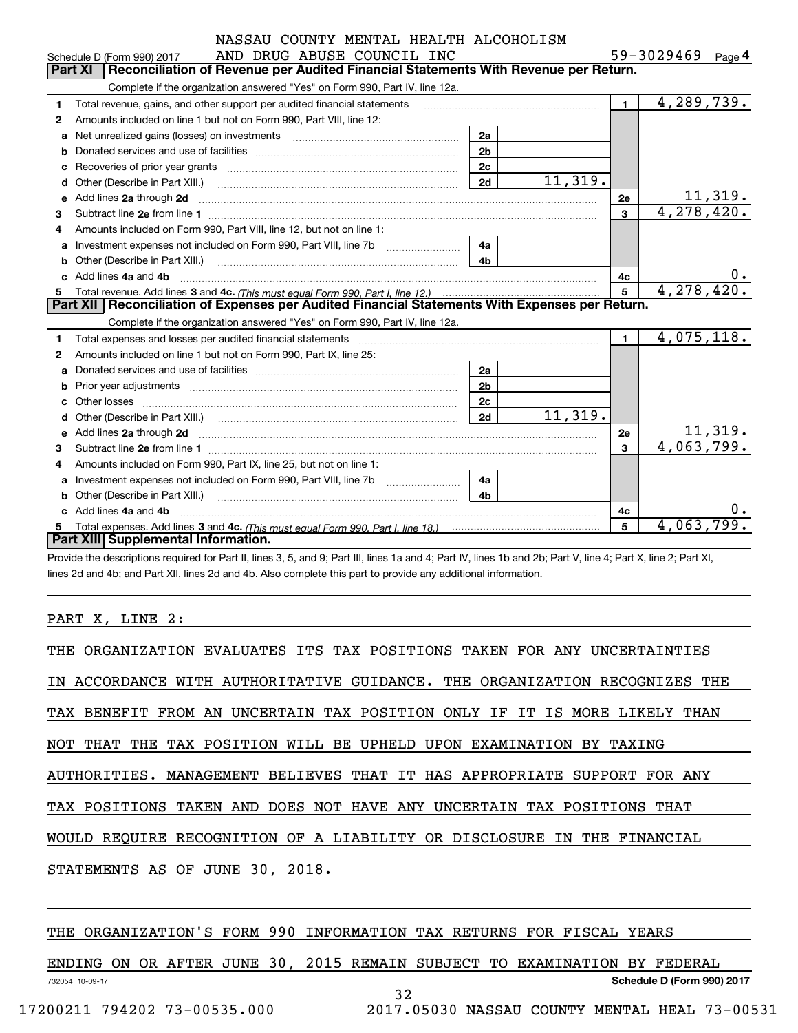|   | COUNTY MENTAL HEALTH ALCOHOLISM<br>NASSAU                                                                                                                                                                                           |                |                                                             |             |                   |         |
|---|-------------------------------------------------------------------------------------------------------------------------------------------------------------------------------------------------------------------------------------|----------------|-------------------------------------------------------------|-------------|-------------------|---------|
|   | AND DRUG ABUSE COUNCIL INC<br>Schedule D (Form 990) 2017                                                                                                                                                                            |                |                                                             |             | 59-3029469 Page 4 |         |
|   | Reconciliation of Revenue per Audited Financial Statements With Revenue per Return.<br>Part XI                                                                                                                                      |                |                                                             |             |                   |         |
|   | Complete if the organization answered "Yes" on Form 990, Part IV, line 12a.                                                                                                                                                         |                |                                                             |             |                   |         |
|   | Total revenue, gains, and other support per audited financial statements                                                                                                                                                            |                |                                                             | 1.          | 4,289,739.        |         |
| 2 | Amounts included on line 1 but not on Form 990, Part VIII, line 12:                                                                                                                                                                 |                |                                                             |             |                   |         |
| a | Net unrealized gains (losses) on investments [11] matter contracts and the unrealized gains (losses) on investments                                                                                                                 | 2a             |                                                             |             |                   |         |
|   |                                                                                                                                                                                                                                     | 2 <sub>b</sub> |                                                             |             |                   |         |
|   |                                                                                                                                                                                                                                     | 2c             |                                                             |             |                   |         |
|   |                                                                                                                                                                                                                                     | 11,319.        |                                                             |             |                   |         |
| e | Add lines 2a through 2d <b>contained and all and all and all and all and all and all and all and all and all and a</b>                                                                                                              |                |                                                             | 2e          |                   | 11,319. |
| 3 | Subtract line 2e from line 1                                                                                                                                                                                                        |                |                                                             | 3           | 4,278,420.        |         |
| 4 | Amounts included on Form 990, Part VIII, line 12, but not on line 1:                                                                                                                                                                |                |                                                             |             |                   |         |
| a |                                                                                                                                                                                                                                     | 4a             |                                                             |             |                   |         |
| b |                                                                                                                                                                                                                                     |                |                                                             |             |                   |         |
|   | Add lines 4a and 4b                                                                                                                                                                                                                 |                |                                                             | 4c          |                   | $0$ .   |
| 5 |                                                                                                                                                                                                                                     |                |                                                             | 5           | 4,278,420.        |         |
|   | Part XII   Reconciliation of Expenses per Audited Financial Statements With Expenses per Return.                                                                                                                                    |                |                                                             |             |                   |         |
|   | Complete if the organization answered "Yes" on Form 990, Part IV, line 12a.                                                                                                                                                         |                |                                                             |             |                   |         |
| 1 | Total expenses and losses per audited financial statements [111] [12] contain the statements [13] [13] Total expenses and losses per audited financial statements [13] [13] [13] Total expenses and losses per audited financi      |                |                                                             | $\mathbf 1$ | 4,075,118.        |         |
| 2 | Amounts included on line 1 but not on Form 990, Part IX, line 25:                                                                                                                                                                   |                |                                                             |             |                   |         |
| a |                                                                                                                                                                                                                                     | 2a             |                                                             |             |                   |         |
|   |                                                                                                                                                                                                                                     | 2 <sub>b</sub> |                                                             |             |                   |         |
|   | c Other losses <b>contracts</b> and the contract of the contract of the contract of the contract of the contract of the contract of the contract of the contract of the contract of the contract of the contract of the contract of |                |                                                             |             |                   |         |
|   |                                                                                                                                                                                                                                     |                | $\overline{a}$ $\overline{a}$ $\overline{a}$ $\overline{a}$ |             |                   |         |

|   | G UTHEL IUSSES                                                                   | 26 |    |         |
|---|----------------------------------------------------------------------------------|----|----|---------|
|   | <b>d</b> Other (Describe in Part XIII.)                                          | 2d |    |         |
|   | e Add lines 2a through 2d                                                        |    | 2e | 11,319. |
|   | 3 Subtract line 2e from line 1                                                   |    |    |         |
|   | 4 Amounts included on Form 990, Part IX, line 25, but not on line 1:             |    |    |         |
|   | a Investment expenses not included on Form 990, Part VIII, line 7b               | 4a |    |         |
|   | <b>b</b> Other (Describe in Part XIII.)                                          | 4h |    |         |
|   | c Add lines 4a and 4b                                                            |    | 4c |         |
| 5 | Total expenses. Add lines 3 and 4c. (This must equal Form 990. Part I. line 18.) |    |    |         |
|   | Part XIII Supplemental Information.                                              |    |    |         |

Provide the descriptions required for Part II, lines 3, 5, and 9; Part III, lines 1a and 4; Part IV, lines 1b and 2b; Part V, line 4; Part X, line 2; Part XI, lines 2d and 4b; and Part XII, lines 2d and 4b. Also complete this part to provide any additional information.

# PART X, LINE 2:

| THE ORGANIZATION EVALUATES ITS TAX POSITIONS TAKEN FOR ANY UNCERTAINTIES   |
|----------------------------------------------------------------------------|
| IN ACCORDANCE WITH AUTHORITATIVE GUIDANCE. THE ORGANIZATION RECOGNIZES THE |
| TAX BENEFIT FROM AN UNCERTAIN TAX POSITION ONLY IF IT IS MORE LIKELY THAN  |
| NOT THAT THE TAX POSITION WILL BE UPHELD UPON EXAMINATION BY TAXING        |
| AUTHORITIES. MANAGEMENT BELIEVES THAT IT HAS APPROPRIATE SUPPORT FOR ANY   |
| TAX POSITIONS TAKEN AND DOES NOT HAVE ANY UNCERTAIN TAX POSITIONS THAT     |
| WOULD REOUIRE RECOGNITION OF A LIABILITY OR DISCLOSURE IN THE FINANCIAL    |
| STATEMENTS AS OF JUNE 30, 2018.                                            |
|                                                                            |
|                                                                            |

# THE ORGANIZATION'S FORM 990 INFORMATION TAX RETURNS FOR FISCAL YEARS

732054 10-09-17 **Schedule D (Form 990) 2017** ENDING ON OR AFTER JUNE 30, 2015 REMAIN SUBJECT TO EXAMINATION BY FEDERAL 32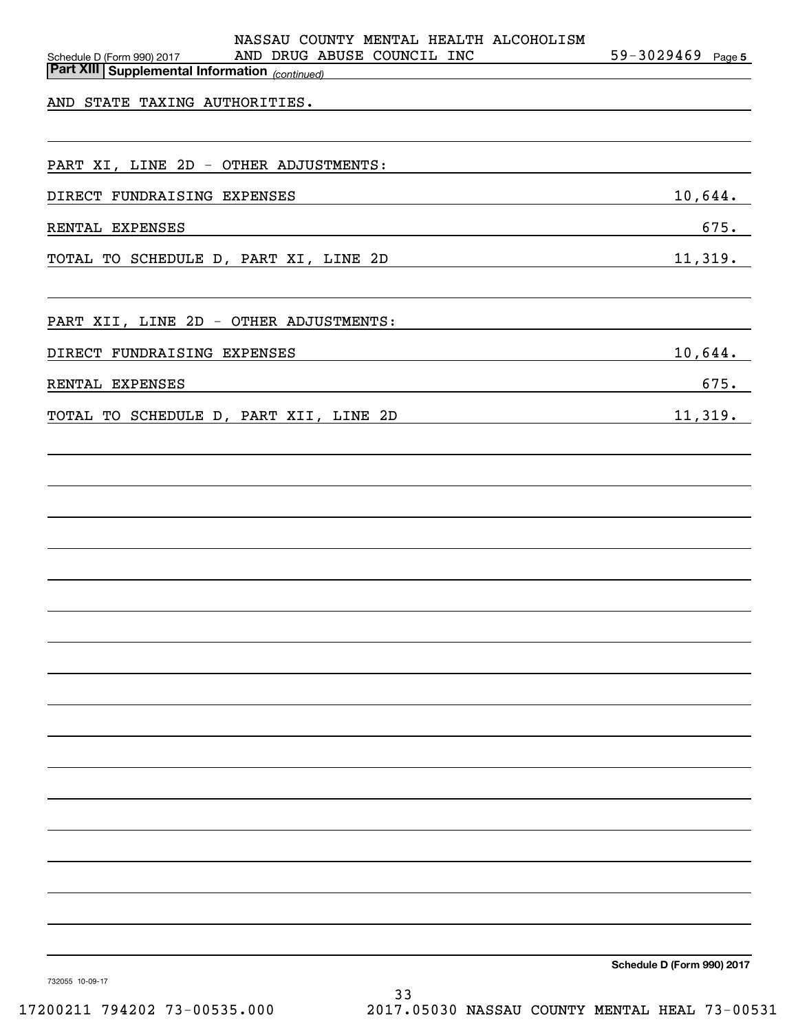| NASSAU COUNTY MENTAL HEALTH ALCOHOLISM<br>Schedule D (Form 990) 2017 AND DRUG ABUSE COUNCIL INC<br><u>  Microsoft Willie (Supplemental Information <sub>(continued)</sub></u><br>  Part XIII   Supplemental Information <sub>(continued)</sub>   | $59 - 3029469$ Page 5 |
|--------------------------------------------------------------------------------------------------------------------------------------------------------------------------------------------------------------------------------------------------|-----------------------|
|                                                                                                                                                                                                                                                  |                       |
|                                                                                                                                                                                                                                                  |                       |
|                                                                                                                                                                                                                                                  |                       |
| PART XI, LINE 2D - OTHER ADJUSTMENTS:                                                                                                                                                                                                            |                       |
|                                                                                                                                                                                                                                                  | $10,644$ .            |
| RENTAL EXPENSES<br>the control of the control of the control of the control of the control of the control of the control of the control of the control of the control of the control of the control of the control of the control of the control | 675.                  |
| 11,319.<br>TOTAL TO SCHEDULE D, PART XI, LINE 2D                                                                                                                                                                                                 |                       |
|                                                                                                                                                                                                                                                  |                       |
| PART XII, LINE 2D - OTHER ADJUSTMENTS:                                                                                                                                                                                                           |                       |
| DIRECT FUNDRAISING EXPENSES<br><u> 1989 - Johann Barn, amerikansk politiker (</u>                                                                                                                                                                | $10,644$ .            |
| RENTAL EXPENSES<br><u> 1989 - Johann Stoff, deutscher Stoffen und der Stoffen und der Stoffen und der Stoffen und der Stoffen und der</u>                                                                                                        | 675.                  |
|                                                                                                                                                                                                                                                  |                       |
| TOTAL TO SCHEDULE D, PART XII, LINE 2D 11,319.                                                                                                                                                                                                   |                       |
|                                                                                                                                                                                                                                                  |                       |
|                                                                                                                                                                                                                                                  |                       |
|                                                                                                                                                                                                                                                  |                       |
|                                                                                                                                                                                                                                                  |                       |
|                                                                                                                                                                                                                                                  |                       |
|                                                                                                                                                                                                                                                  |                       |
|                                                                                                                                                                                                                                                  |                       |
|                                                                                                                                                                                                                                                  |                       |
|                                                                                                                                                                                                                                                  |                       |
|                                                                                                                                                                                                                                                  |                       |
|                                                                                                                                                                                                                                                  |                       |
|                                                                                                                                                                                                                                                  |                       |
|                                                                                                                                                                                                                                                  |                       |
|                                                                                                                                                                                                                                                  |                       |
|                                                                                                                                                                                                                                                  |                       |
|                                                                                                                                                                                                                                                  |                       |
|                                                                                                                                                                                                                                                  |                       |
|                                                                                                                                                                                                                                                  |                       |
|                                                                                                                                                                                                                                                  |                       |
|                                                                                                                                                                                                                                                  |                       |
|                                                                                                                                                                                                                                                  |                       |

**Schedule D (Form 990) 2017**

732055 10-09-17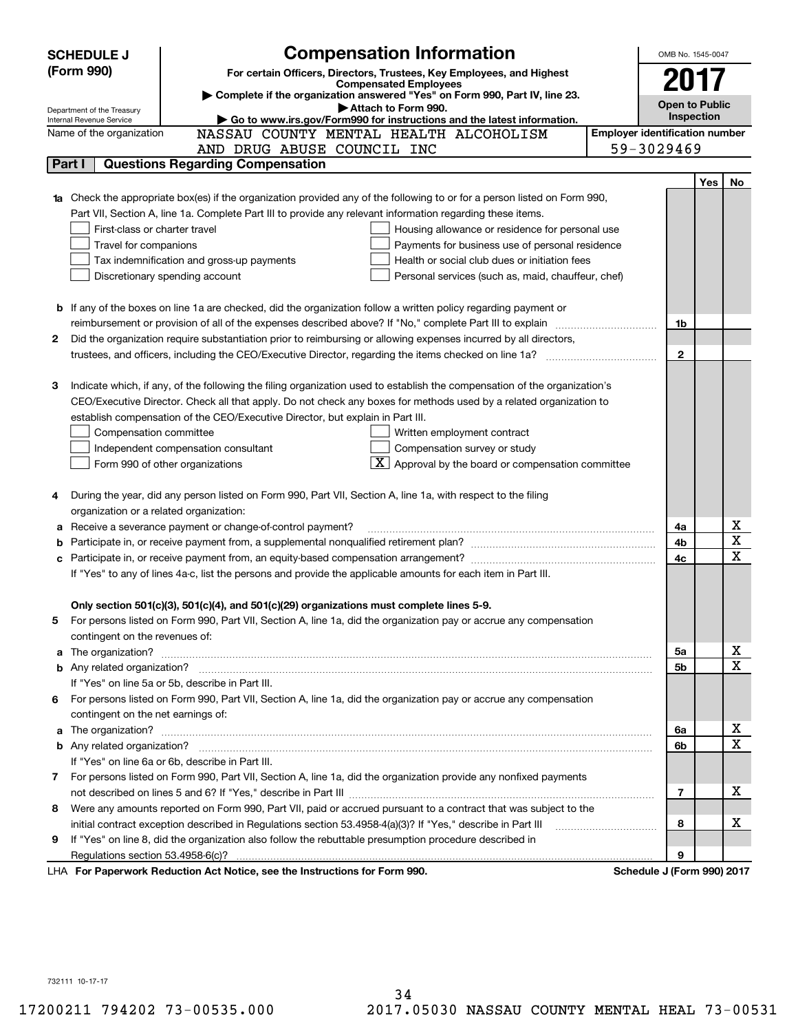|    | <b>Compensation Information</b><br><b>SCHEDULE J</b>                                                                                                                                                                                 |                                       | OMB No. 1545-0047     |            |                         |  |  |
|----|--------------------------------------------------------------------------------------------------------------------------------------------------------------------------------------------------------------------------------------|---------------------------------------|-----------------------|------------|-------------------------|--|--|
|    | (Form 990)<br>For certain Officers, Directors, Trustees, Key Employees, and Highest                                                                                                                                                  |                                       |                       |            |                         |  |  |
|    | <b>Compensated Employees</b>                                                                                                                                                                                                         |                                       | 2017                  |            |                         |  |  |
|    | Complete if the organization answered "Yes" on Form 990, Part IV, line 23.<br>Attach to Form 990.                                                                                                                                    |                                       | <b>Open to Public</b> |            |                         |  |  |
|    | Department of the Treasury<br>Go to www.irs.gov/Form990 for instructions and the latest information.<br>Internal Revenue Service                                                                                                     |                                       | <b>Inspection</b>     |            |                         |  |  |
|    | NASSAU COUNTY MENTAL HEALTH ALCOHOLISM<br>Name of the organization                                                                                                                                                                   | <b>Employer identification number</b> |                       |            |                         |  |  |
|    | AND DRUG ABUSE COUNCIL INC                                                                                                                                                                                                           | 59-3029469                            |                       |            |                         |  |  |
|    | <b>Questions Regarding Compensation</b><br>Part I                                                                                                                                                                                    |                                       |                       |            |                         |  |  |
|    |                                                                                                                                                                                                                                      |                                       |                       | <b>Yes</b> | No                      |  |  |
|    | 1a Check the appropriate box(es) if the organization provided any of the following to or for a person listed on Form 990,                                                                                                            |                                       |                       |            |                         |  |  |
|    | Part VII, Section A, line 1a. Complete Part III to provide any relevant information regarding these items.                                                                                                                           |                                       |                       |            |                         |  |  |
|    | First-class or charter travel<br>Housing allowance or residence for personal use                                                                                                                                                     |                                       |                       |            |                         |  |  |
|    | Travel for companions<br>Payments for business use of personal residence                                                                                                                                                             |                                       |                       |            |                         |  |  |
|    | Tax indemnification and gross-up payments<br>Health or social club dues or initiation fees                                                                                                                                           |                                       |                       |            |                         |  |  |
|    | Discretionary spending account<br>Personal services (such as, maid, chauffeur, chef)                                                                                                                                                 |                                       |                       |            |                         |  |  |
|    |                                                                                                                                                                                                                                      |                                       |                       |            |                         |  |  |
|    | <b>b</b> If any of the boxes on line 1a are checked, did the organization follow a written policy regarding payment or                                                                                                               |                                       |                       |            |                         |  |  |
|    | reimbursement or provision of all of the expenses described above? If "No," complete Part III to explain                                                                                                                             |                                       | 1b                    |            |                         |  |  |
| 2  | Did the organization require substantiation prior to reimbursing or allowing expenses incurred by all directors,                                                                                                                     |                                       |                       |            |                         |  |  |
|    | trustees, and officers, including the CEO/Executive Director, regarding the items checked on line 1a?                                                                                                                                |                                       | $\mathbf{2}$          |            |                         |  |  |
|    |                                                                                                                                                                                                                                      |                                       |                       |            |                         |  |  |
| 3  | Indicate which, if any, of the following the filing organization used to establish the compensation of the organization's                                                                                                            |                                       |                       |            |                         |  |  |
|    | CEO/Executive Director. Check all that apply. Do not check any boxes for methods used by a related organization to                                                                                                                   |                                       |                       |            |                         |  |  |
|    | establish compensation of the CEO/Executive Director, but explain in Part III.                                                                                                                                                       |                                       |                       |            |                         |  |  |
|    | Compensation committee<br>Written employment contract                                                                                                                                                                                |                                       |                       |            |                         |  |  |
|    | Compensation survey or study<br>Independent compensation consultant                                                                                                                                                                  |                                       |                       |            |                         |  |  |
|    | $\overline{\mathbf{X}}$ Approval by the board or compensation committee<br>Form 990 of other organizations                                                                                                                           |                                       |                       |            |                         |  |  |
|    |                                                                                                                                                                                                                                      |                                       |                       |            |                         |  |  |
|    | During the year, did any person listed on Form 990, Part VII, Section A, line 1a, with respect to the filing                                                                                                                         |                                       |                       |            |                         |  |  |
|    | organization or a related organization:                                                                                                                                                                                              |                                       |                       |            | х                       |  |  |
|    | Receive a severance payment or change-of-control payment?                                                                                                                                                                            |                                       | 4a                    |            | $\overline{\mathbf{x}}$ |  |  |
|    |                                                                                                                                                                                                                                      |                                       | 4b<br>4c              |            | $\overline{\mathbf{x}}$ |  |  |
|    |                                                                                                                                                                                                                                      |                                       |                       |            |                         |  |  |
|    | If "Yes" to any of lines 4a-c, list the persons and provide the applicable amounts for each item in Part III.                                                                                                                        |                                       |                       |            |                         |  |  |
|    | Only section 501(c)(3), 501(c)(4), and 501(c)(29) organizations must complete lines 5-9.                                                                                                                                             |                                       |                       |            |                         |  |  |
|    | For persons listed on Form 990, Part VII, Section A, line 1a, did the organization pay or accrue any compensation                                                                                                                    |                                       |                       |            |                         |  |  |
|    | contingent on the revenues of:                                                                                                                                                                                                       |                                       |                       |            |                         |  |  |
|    |                                                                                                                                                                                                                                      |                                       | 5а                    |            | x                       |  |  |
|    |                                                                                                                                                                                                                                      |                                       | 5b                    |            | $\overline{\mathbf{x}}$ |  |  |
|    | If "Yes" on line 5a or 5b, describe in Part III.                                                                                                                                                                                     |                                       |                       |            |                         |  |  |
| 6. | For persons listed on Form 990, Part VII, Section A, line 1a, did the organization pay or accrue any compensation                                                                                                                    |                                       |                       |            |                         |  |  |
|    | contingent on the net earnings of:                                                                                                                                                                                                   |                                       |                       |            |                         |  |  |
|    | a The organization? <b>Entitled Strategies and Strategies and Strategies and Strategies and Strategies and Strategies and Strategies and Strategies and Strategies and Strategies and Strategies and Strategies and Strategies a</b> |                                       | 6a                    |            | x                       |  |  |
|    |                                                                                                                                                                                                                                      |                                       | 6b                    |            | $\overline{\mathbf{x}}$ |  |  |
|    | If "Yes" on line 6a or 6b, describe in Part III.                                                                                                                                                                                     |                                       |                       |            |                         |  |  |
|    | 7 For persons listed on Form 990, Part VII, Section A, line 1a, did the organization provide any nonfixed payments                                                                                                                   |                                       |                       |            |                         |  |  |
|    |                                                                                                                                                                                                                                      |                                       | 7                     |            | x                       |  |  |
| 8  | Were any amounts reported on Form 990, Part VII, paid or accrued pursuant to a contract that was subject to the                                                                                                                      |                                       |                       |            |                         |  |  |
|    | initial contract exception described in Regulations section 53.4958-4(a)(3)? If "Yes," describe in Part III                                                                                                                          |                                       | 8                     |            | х                       |  |  |
| 9  | If "Yes" on line 8, did the organization also follow the rebuttable presumption procedure described in                                                                                                                               |                                       |                       |            |                         |  |  |
|    |                                                                                                                                                                                                                                      |                                       | 9                     |            |                         |  |  |
|    | LHA For Paperwork Reduction Act Notice, see the Instructions for Form 990.                                                                                                                                                           | Schedule J (Form 990) 2017            |                       |            |                         |  |  |

732111 10-17-17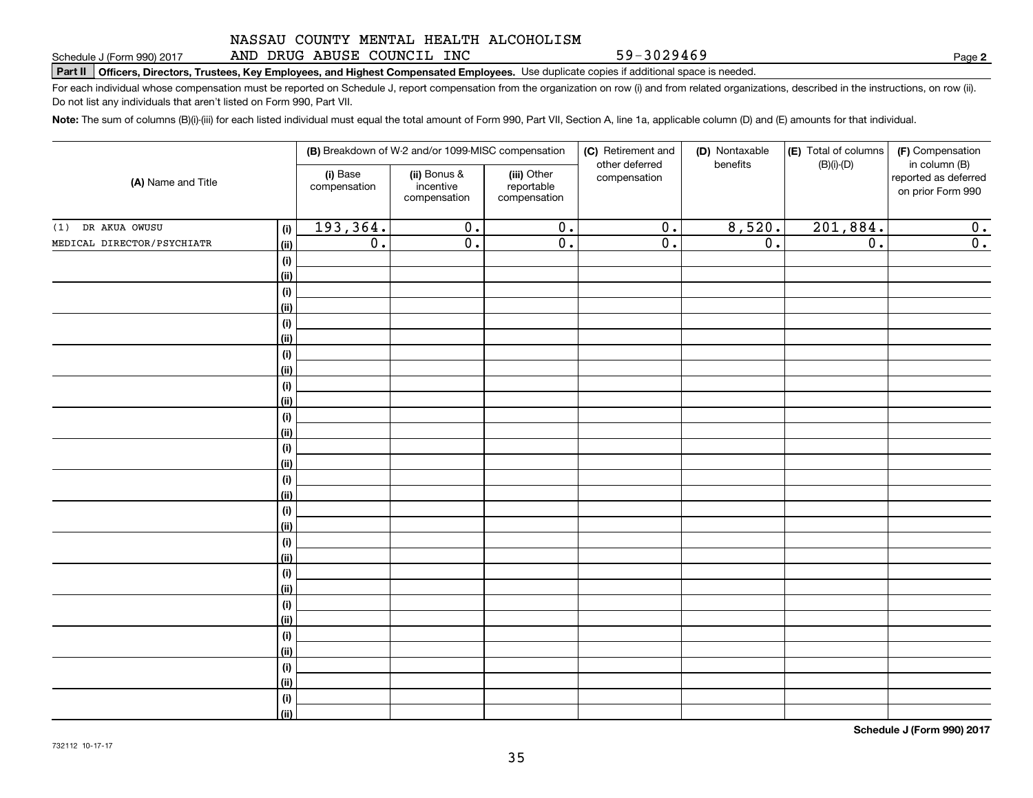AND DRUG ABUSE COUNCIL INC

59-3029469

**2**

**Part II Officers, Directors, Trustees, Key Employees, and Highest Compensated Employees.**  Schedule J (Form 990) 2017 Page Use duplicate copies if additional space is needed.

For each individual whose compensation must be reported on Schedule J, report compensation from the organization on row (i) and from related organizations, described in the instructions, on row (ii). Do not list any individuals that aren't listed on Form 990, Part VII.

**Note:**  The sum of columns (B)(i)-(iii) for each listed individual must equal the total amount of Form 990, Part VII, Section A, line 1a, applicable column (D) and (E) amounts for that individual.

| (A) Name and Title         |                            | (B) Breakdown of W-2 and/or 1099-MISC compensation |                                           |                                           | (C) Retirement and<br>(D) Nontaxable | (E) Total of columns | (F) Compensation |                                                            |
|----------------------------|----------------------------|----------------------------------------------------|-------------------------------------------|-------------------------------------------|--------------------------------------|----------------------|------------------|------------------------------------------------------------|
|                            |                            | (i) Base<br>compensation                           | (ii) Bonus &<br>incentive<br>compensation | (iii) Other<br>reportable<br>compensation | other deferred<br>compensation       | benefits             | $(B)(i)$ - $(D)$ | in column (B)<br>reported as deferred<br>on prior Form 990 |
| (1) DR AKUA OWUSU          | (i)                        | 193,364.                                           | $\overline{0}$ .                          | $\overline{0}$ .                          | $\overline{0}$ .                     | 8,520.               | 201,884.         | $\overline{0}$ .                                           |
| MEDICAL DIRECTOR/PSYCHIATR | $\overline{(\mathsf{ii})}$ | $\overline{0}$ .                                   | $\overline{0}$ .                          | $\overline{0}$ .                          | $\overline{\mathbf{0}}$ .            | $\overline{0}$ .     | $\overline{0}$ . | $\overline{0}$ .                                           |
|                            | (i)                        |                                                    |                                           |                                           |                                      |                      |                  |                                                            |
|                            | (ii)                       |                                                    |                                           |                                           |                                      |                      |                  |                                                            |
|                            | (i)                        |                                                    |                                           |                                           |                                      |                      |                  |                                                            |
|                            | (ii)                       |                                                    |                                           |                                           |                                      |                      |                  |                                                            |
|                            | (i)                        |                                                    |                                           |                                           |                                      |                      |                  |                                                            |
|                            | (ii)                       |                                                    |                                           |                                           |                                      |                      |                  |                                                            |
|                            | (i)                        |                                                    |                                           |                                           |                                      |                      |                  |                                                            |
|                            | (ii)                       |                                                    |                                           |                                           |                                      |                      |                  |                                                            |
|                            | (i)                        |                                                    |                                           |                                           |                                      |                      |                  |                                                            |
|                            | (ii)                       |                                                    |                                           |                                           |                                      |                      |                  |                                                            |
|                            | (i)                        |                                                    |                                           |                                           |                                      |                      |                  |                                                            |
|                            | (ii)                       |                                                    |                                           |                                           |                                      |                      |                  |                                                            |
|                            | (i)                        |                                                    |                                           |                                           |                                      |                      |                  |                                                            |
|                            | (ii)                       |                                                    |                                           |                                           |                                      |                      |                  |                                                            |
|                            | (i)                        |                                                    |                                           |                                           |                                      |                      |                  |                                                            |
|                            | (ii)                       |                                                    |                                           |                                           |                                      |                      |                  |                                                            |
|                            | (i)<br>(ii)                |                                                    |                                           |                                           |                                      |                      |                  |                                                            |
|                            | (i)                        |                                                    |                                           |                                           |                                      |                      |                  |                                                            |
|                            | (ii)                       |                                                    |                                           |                                           |                                      |                      |                  |                                                            |
|                            | (i)                        |                                                    |                                           |                                           |                                      |                      |                  |                                                            |
|                            | (ii)                       |                                                    |                                           |                                           |                                      |                      |                  |                                                            |
|                            | (i)                        |                                                    |                                           |                                           |                                      |                      |                  |                                                            |
|                            | (ii)                       |                                                    |                                           |                                           |                                      |                      |                  |                                                            |
|                            | (i)                        |                                                    |                                           |                                           |                                      |                      |                  |                                                            |
|                            | (ii)                       |                                                    |                                           |                                           |                                      |                      |                  |                                                            |
|                            | (i)                        |                                                    |                                           |                                           |                                      |                      |                  |                                                            |
|                            | (ii)                       |                                                    |                                           |                                           |                                      |                      |                  |                                                            |
|                            | (i)                        |                                                    |                                           |                                           |                                      |                      |                  |                                                            |
|                            | (ii)                       |                                                    |                                           |                                           |                                      |                      |                  |                                                            |

**Schedule J (Form 990) 2017**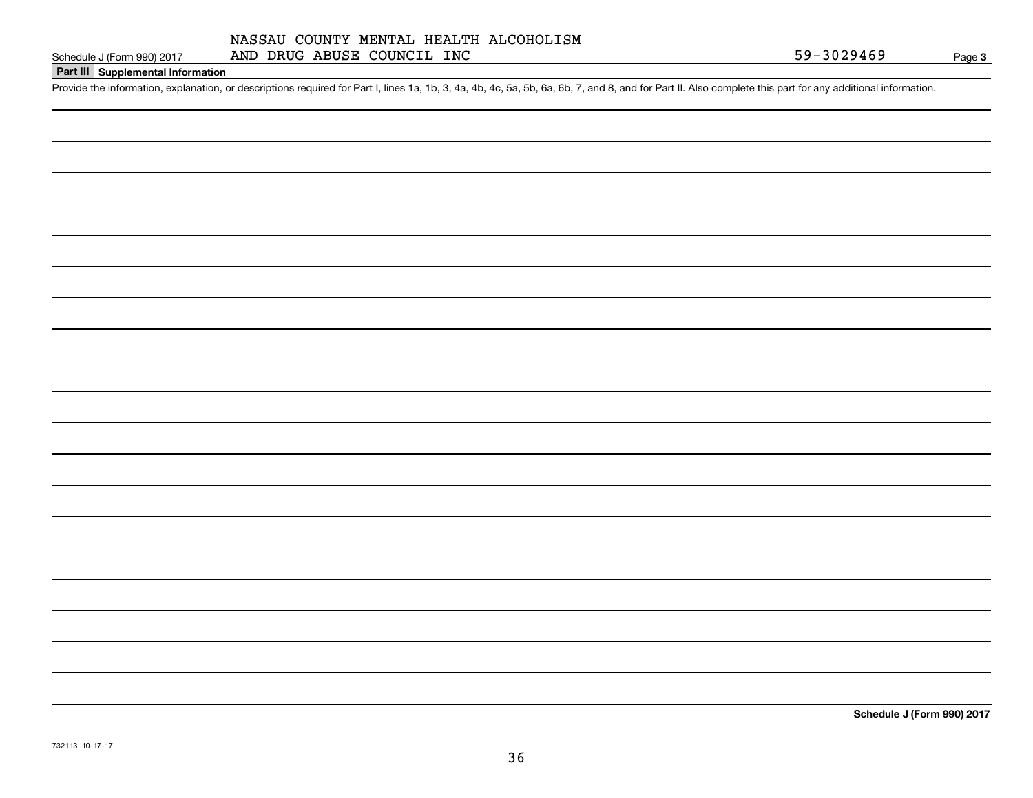# **Part III Supplemental Information**

Schedule J (Form 990) 2017 AND DRUG ABUSE COUNCIL INC<br>Part III Supplemental Information<br>Provide the information, explanation, or descriptions required for Part I, lines 1a, 1b, 3, 4a, 4b, 4c, 5a, 5b, 6a, 6b, 7, and 8, and

**Schedule J (Form 990) 2017**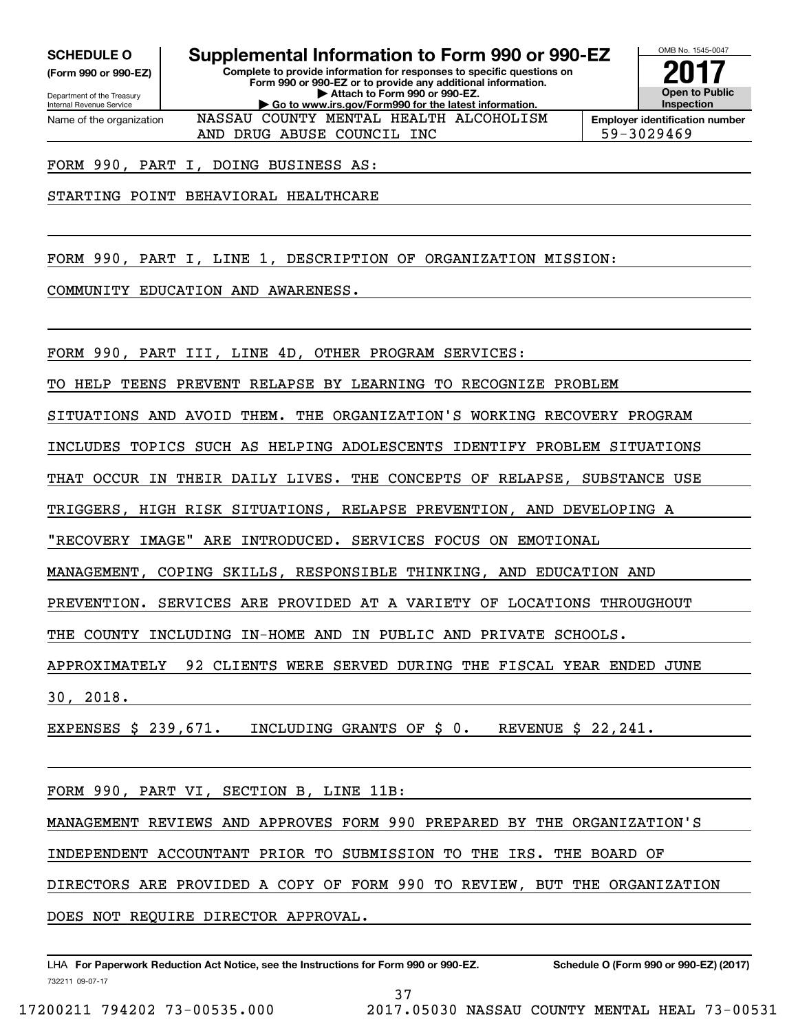**(Form 990 or 990-EZ)**

Department of the Treasury Internal Revenue Service Name of the organization

**Complete to provide information for responses to specific questions on SCHEDULE O Supplemental Information to Form 990 or 990-EZ**

**Form 990 or 990-EZ or to provide any additional information. | Attach to Form 990 or 990-EZ. | Go to www.irs.gov/Form990 for the latest information.** NASSAU COUNTY MENTAL HEALTH ALCOHOLISM



AND DRUG ABUSE COUNCIL INC  $\vert$  59-3029469

FORM 990, PART I, DOING BUSINESS AS:

STARTING POINT BEHAVIORAL HEALTHCARE

FORM 990, PART I, LINE 1, DESCRIPTION OF ORGANIZATION MISSION:

COMMUNITY EDUCATION AND AWARENESS.

FORM 990, PART III, LINE 4D, OTHER PROGRAM SERVICES:

TO HELP TEENS PREVENT RELAPSE BY LEARNING TO RECOGNIZE PROBLEM

SITUATIONS AND AVOID THEM. THE ORGANIZATION'S WORKING RECOVERY PROGRAM

INCLUDES TOPICS SUCH AS HELPING ADOLESCENTS IDENTIFY PROBLEM SITUATIONS

THAT OCCUR IN THEIR DAILY LIVES. THE CONCEPTS OF RELAPSE, SUBSTANCE USE

TRIGGERS, HIGH RISK SITUATIONS, RELAPSE PREVENTION, AND DEVELOPING A

"RECOVERY IMAGE" ARE INTRODUCED. SERVICES FOCUS ON EMOTIONAL

MANAGEMENT, COPING SKILLS, RESPONSIBLE THINKING, AND EDUCATION AND

PREVENTION. SERVICES ARE PROVIDED AT A VARIETY OF LOCATIONS THROUGHOUT

THE COUNTY INCLUDING IN-HOME AND IN PUBLIC AND PRIVATE SCHOOLS.

APPROXIMATELY 92 CLIENTS WERE SERVED DURING THE FISCAL YEAR ENDED JUNE

30, 2018.

EXPENSES \$ 239,671. INCLUDING GRANTS OF \$ 0. REVENUE \$ 22,241.

FORM 990, PART VI, SECTION B, LINE 11B:

MANAGEMENT REVIEWS AND APPROVES FORM 990 PREPARED BY THE ORGANIZATION'S

INDEPENDENT ACCOUNTANT PRIOR TO SUBMISSION TO THE IRS. THE BOARD OF

DIRECTORS ARE PROVIDED A COPY OF FORM 990 TO REVIEW, BUT THE ORGANIZATION

DOES NOT REQUIRE DIRECTOR APPROVAL.

732211 09-07-17 LHA For Paperwork Reduction Act Notice, see the Instructions for Form 990 or 990-EZ. Schedule O (Form 990 or 990-EZ) (2017)